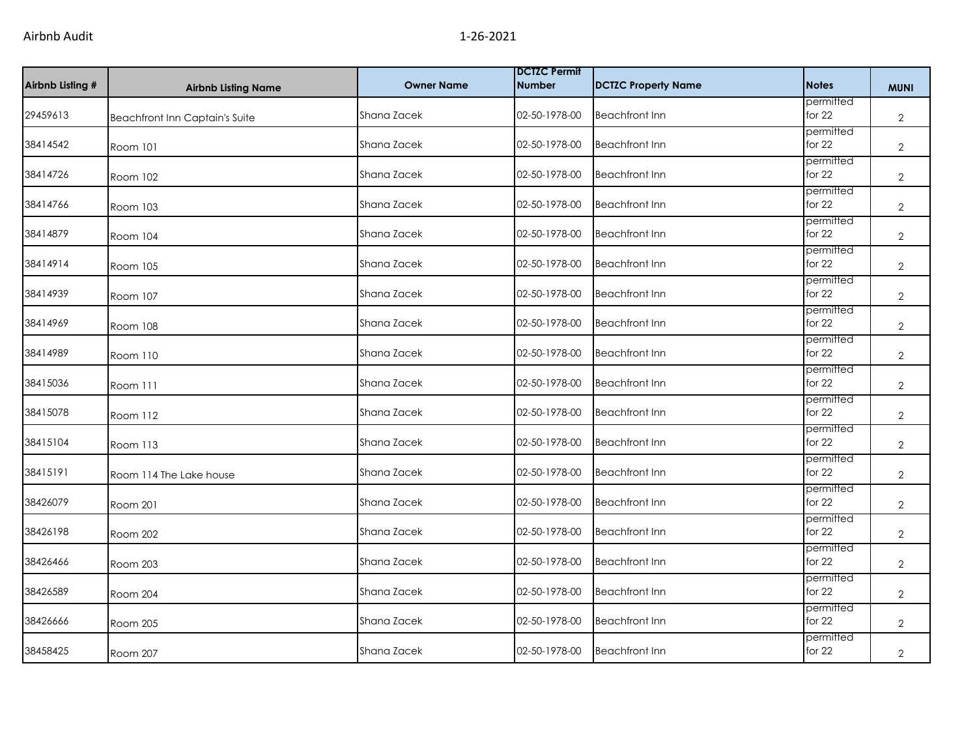| Airbnb Listing # | <b>Airbnb Listing Name</b>            | <b>Owner Name</b> | <b>DCTZC Permit</b><br><b>Number</b> | <b>DCTZC Property Name</b> | <b>Notes</b>          | <b>MUNI</b>    |
|------------------|---------------------------------------|-------------------|--------------------------------------|----------------------------|-----------------------|----------------|
| 29459613         | <b>Beachfront Inn Captain's Suite</b> | Shana Zacek       | 02-50-1978-00                        | <b>Beachfront Inn</b>      | permitted<br>for $22$ | $\overline{2}$ |
| 38414542         | Room 101                              | Shana Zacek       | 02-50-1978-00                        | <b>Beachfront Inn</b>      | permitted<br>for $22$ | $\overline{2}$ |
| 38414726         | Room 102                              | Shana Zacek       | 02-50-1978-00                        | <b>Beachfront Inn</b>      | permitted<br>for 22   | $\overline{2}$ |
| 38414766         | Room 103                              | Shana Zacek       | 02-50-1978-00                        | <b>Beachfront Inn</b>      | permitted<br>for $22$ | $\overline{2}$ |
| 38414879         | Room 104                              | Shana Zacek       | 02-50-1978-00                        | <b>Beachfront Inn</b>      | permitted<br>for $22$ | $\overline{2}$ |
| 38414914         | Room 105                              | Shana Zacek       | 02-50-1978-00                        | <b>Beachfront Inn</b>      | permitted<br>for 22   | $\mathbf{2}$   |
| 38414939         | Room 107                              | Shana Zacek       | 02-50-1978-00                        | <b>Beachfront Inn</b>      | permitted<br>for $22$ | $\mathbf{2}$   |
| 38414969         | <b>Room 108</b>                       | Shana Zacek       | 02-50-1978-00                        | <b>Beachfront Inn</b>      | permitted<br>for 22   | $\mathbf{2}$   |
| 38414989         | Room 110                              | Shana Zacek       | 02-50-1978-00                        | <b>Beachfront Inn</b>      | permitted<br>for $22$ | $\mathbf{2}$   |
| 38415036         | Room 111                              | Shana Zacek       | 02-50-1978-00                        | <b>Beachfront Inn</b>      | permitted<br>for $22$ | $\overline{2}$ |
| 38415078         | Room 112                              | Shana Zacek       | 02-50-1978-00                        | <b>Beachfront Inn</b>      | permitted<br>for $22$ | $\overline{2}$ |
| 38415104         | Room 113                              | Shana Zacek       | 02-50-1978-00                        | <b>Beachfront Inn</b>      | permitted<br>for $22$ | $\overline{2}$ |
| 38415191         | Room 114 The Lake house               | Shana Zacek       | 02-50-1978-00                        | <b>Beachfront Inn</b>      | permitted<br>for $22$ | $\mathbf{2}$   |
| 38426079         | Room 201                              | Shana Zacek       | 02-50-1978-00                        | <b>Beachfront Inn</b>      | permitted<br>for $22$ | $\overline{2}$ |
| 38426198         | <b>Room 202</b>                       | Shana Zacek       | 02-50-1978-00                        | <b>Beachfront Inn</b>      | permitted<br>for $22$ | $\mathbf{2}$   |
| 38426466         | Room 203                              | Shana Zacek       | 02-50-1978-00                        | <b>Beachfront Inn</b>      | permitted<br>for $22$ | 2              |
| 38426589         | Room 204                              | Shana Zacek       | 02-50-1978-00                        | <b>Beachfront Inn</b>      | permitted<br>for 22   | $\overline{2}$ |
| 38426666         | Room 205                              | Shana Zacek       | 02-50-1978-00                        | <b>Beachfront Inn</b>      | permitted<br>for $22$ | $\overline{2}$ |
| 38458425         | Room 207                              | Shana Zacek       | 02-50-1978-00                        | <b>Beachfront Inn</b>      | permitted<br>for $22$ | $\overline{2}$ |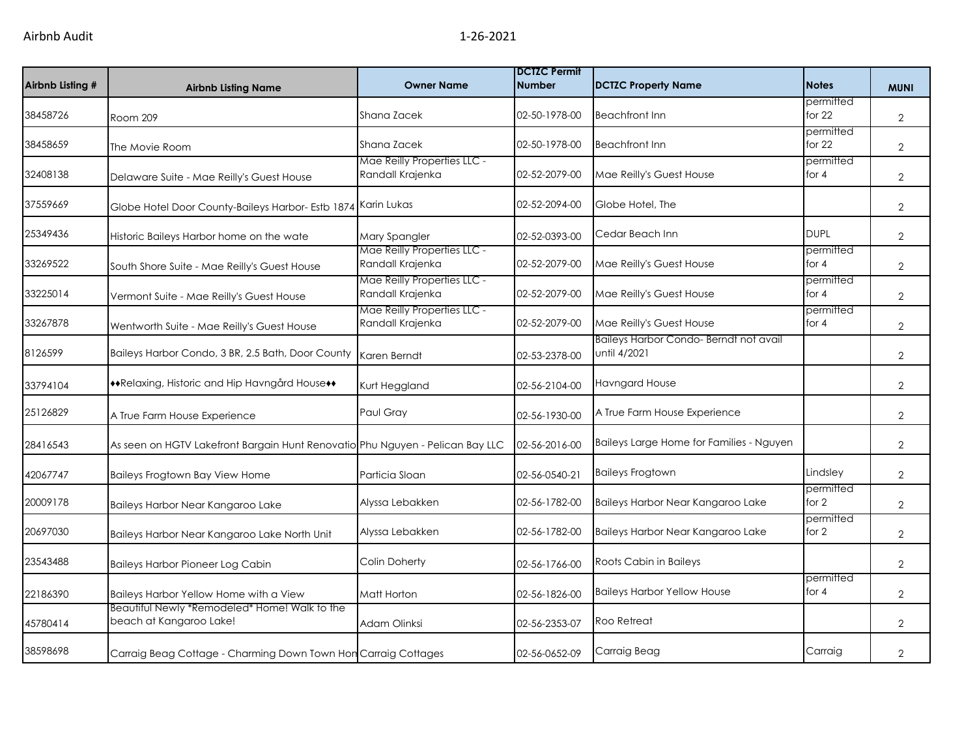| Airbnb Listing # | <b>Airbnb Listing Name</b>                                                    | <b>Owner Name</b>                               | <b>DCTZC Permit</b><br><b>Number</b> | <b>DCTZC Property Name</b>                            | <b>Notes</b>          | <b>MUNI</b>    |
|------------------|-------------------------------------------------------------------------------|-------------------------------------------------|--------------------------------------|-------------------------------------------------------|-----------------------|----------------|
| 38458726         | Room 209                                                                      | Shana Zacek                                     | 02-50-1978-00                        | <b>Beachfront Inn</b>                                 | permitted<br>for $22$ | $\overline{2}$ |
| 38458659         | The Movie Room                                                                | Shana Zacek                                     | 02-50-1978-00                        | <b>Beachfront Inn</b>                                 | permitted<br>for 22   | $\mathbf{2}$   |
| 32408138         | Delaware Suite - Mae Reilly's Guest House                                     | Mae Reilly Properties LLC -<br>Randall Krajenka | 02-52-2079-00                        | Mae Reilly's Guest House                              | permitted<br>for $4$  | $\overline{2}$ |
| 37559669         | Globe Hotel Door County-Baileys Harbor- Estb 1874                             | Karin Lukas                                     | 02-52-2094-00                        | Globe Hotel, The                                      |                       | $\overline{2}$ |
| 25349436         | Historic Baileys Harbor home on the wate                                      | Mary Spangler                                   | 02-52-0393-00                        | Cedar Beach Inn                                       | <b>DUPL</b>           | $\overline{2}$ |
| 33269522         | South Shore Suite - Mae Reilly's Guest House                                  | Mae Reilly Properties LLC -<br>Randall Krajenka | 02-52-2079-00                        | Mae Reilly's Guest House                              | permitted<br>for $4$  | $\overline{2}$ |
| 33225014         | Vermont Suite - Mae Reilly's Guest House                                      | Mae Reilly Properties LLC -<br>Randall Krajenka | 02-52-2079-00                        | Mae Reilly's Guest House                              | permitted<br>for $4$  | $\overline{2}$ |
| 33267878         | Wentworth Suite - Mae Reilly's Guest House                                    | Mae Reilly Properties LLC -<br>Randall Krajenka | 02-52-2079-00                        | Mae Reilly's Guest House                              | permitted<br>for $4$  | $\overline{2}$ |
| 8126599          | Baileys Harbor Condo, 3 BR, 2.5 Bath, Door County                             | Karen Berndt                                    | 02-53-2378-00                        | Baileys Harbor Condo-Berndt not avail<br>until 4/2021 |                       | $\overline{2}$ |
| 33794104         | **Relaxing, Historic and Hip Havngård House**                                 | Kurt Heggland                                   | 02-56-2104-00                        | <b>Havngard House</b>                                 |                       | $\overline{2}$ |
| 25126829         | A True Farm House Experience                                                  | Paul Gray                                       | 02-56-1930-00                        | A True Farm House Experience                          |                       | $\overline{2}$ |
| 28416543         | As seen on HGTV Lakefront Bargain Hunt Renovatio Phu Nguyen - Pelican Bay LLC |                                                 | 02-56-2016-00                        | Baileys Large Home for Families - Nguyen              |                       | $\overline{2}$ |
| 42067747         | Baileys Frogtown Bay View Home                                                | Particia Sloan                                  | 02-56-0540-21                        | <b>Baileys Frogtown</b>                               | Lindsley              | $\overline{2}$ |
| 20009178         | Baileys Harbor Near Kangaroo Lake                                             | Alyssa Lebakken                                 | 02-56-1782-00                        | Baileys Harbor Near Kangaroo Lake                     | permitted<br>for $2$  | $\overline{2}$ |
| 20697030         | Baileys Harbor Near Kangaroo Lake North Unit                                  | Alyssa Lebakken                                 | 02-56-1782-00                        | Baileys Harbor Near Kangaroo Lake                     | permitted<br>for $2$  | $\overline{2}$ |
| 23543488         | <b>Baileys Harbor Pioneer Log Cabin</b>                                       | Colin Doherty                                   | 02-56-1766-00                        | Roots Cabin in Baileys                                |                       | $\overline{2}$ |
| 22186390         | Baileys Harbor Yellow Home with a View                                        | Matt Horton                                     | 02-56-1826-00                        | <b>Baileys Harbor Yellow House</b>                    | permitted<br>for $4$  | $\overline{2}$ |
| 45780414         | Beautiful Newly *Remodeled* Home! Walk to the<br>beach at Kangaroo Lake!      | Adam Olinksi                                    | 02-56-2353-07                        | Roo Retreat                                           |                       | $\overline{2}$ |
| 38598698         | Carraig Beag Cottage - Charming Down Town Hon Carraig Cottages                |                                                 | 02-56-0652-09                        | Carraig Beag                                          | Carraig               | $\overline{2}$ |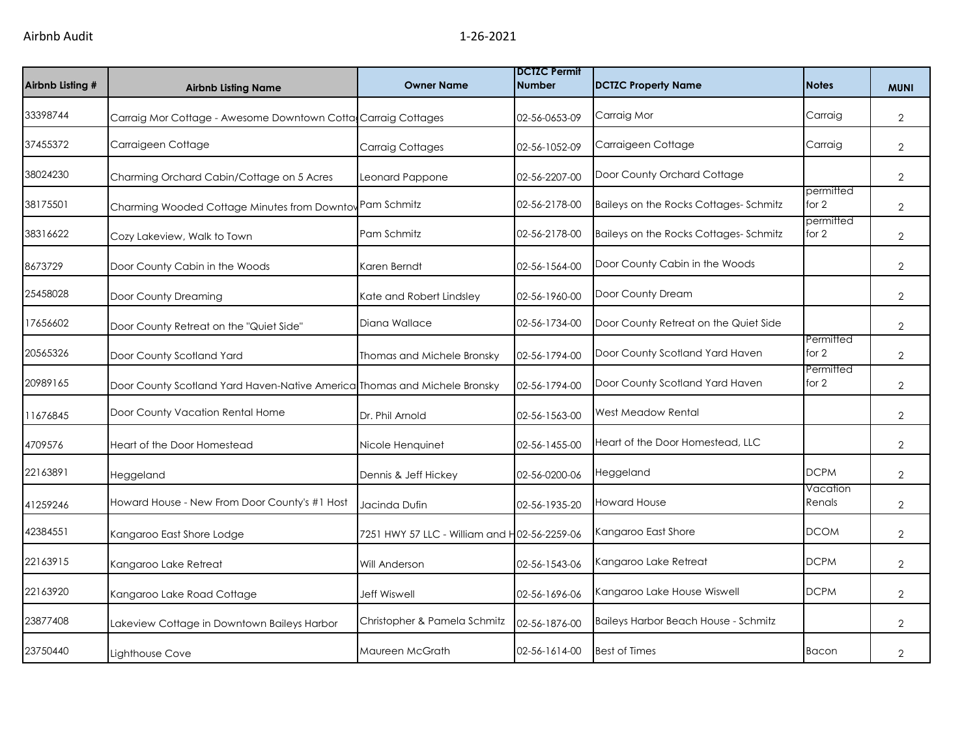| Airbnb Listing # | <b>Airbnb Listing Name</b>                                                | <b>Owner Name</b>                            | <b>DCTZC Permit</b><br><b>Number</b> | <b>DCTZC Property Name</b>            | <b>Notes</b>       | <b>MUNI</b>    |
|------------------|---------------------------------------------------------------------------|----------------------------------------------|--------------------------------------|---------------------------------------|--------------------|----------------|
| 33398744         | Carraig Mor Cottage - Awesome Downtown Cotta Carraig Cottages             |                                              | 02-56-0653-09                        | Carraig Mor                           | Carraig            | $\overline{2}$ |
| 37455372         | Carraigeen Cottage                                                        | <b>Carraig Cottages</b>                      | 02-56-1052-09                        | Carraigeen Cottage                    | Carraig            | $\overline{2}$ |
| 38024230         | Charming Orchard Cabin/Cottage on 5 Acres                                 | Leonard Pappone                              | 02-56-2207-00                        | Door County Orchard Cottage           |                    | $\overline{2}$ |
| 38175501         | Charming Wooded Cottage Minutes from Downtow                              | Pam Schmitz                                  | 02-56-2178-00                        | Baileys on the Rocks Cottages-Schmitz | permitted<br>for 2 | $\overline{2}$ |
| 38316622         | Cozy Lakeview, Walk to Town                                               | Pam Schmitz                                  | 02-56-2178-00                        | Baileys on the Rocks Cottages-Schmitz | permitted<br>for 2 | 2              |
| 8673729          | Door County Cabin in the Woods                                            | Karen Berndt                                 | 02-56-1564-00                        | Door County Cabin in the Woods        |                    | $\overline{2}$ |
| 25458028         | Door County Dreaming                                                      | Kate and Robert Lindsley                     | 02-56-1960-00                        | Door County Dream                     |                    | $\overline{2}$ |
| 17656602         | Door County Retreat on the "Quiet Side"                                   | Diana Wallace                                | 02-56-1734-00                        | Door County Retreat on the Quiet Side |                    | $\overline{2}$ |
| 20565326         | Door County Scotland Yard                                                 | Thomas and Michele Bronsky                   | 02-56-1794-00                        | Door County Scotland Yard Haven       | Permitted<br>for 2 | $\overline{2}$ |
| 20989165         | Door County Scotland Yard Haven-Native America Thomas and Michele Bronsky |                                              | 02-56-1794-00                        | Door County Scotland Yard Haven       | Permitted<br>for 2 | 2              |
| 11676845         | Door County Vacation Rental Home                                          | Dr. Phil Arnold                              | 02-56-1563-00                        | West Meadow Rental                    |                    | $\overline{2}$ |
| 4709576          | Heart of the Door Homestead                                               | Nicole Henquinet                             | 02-56-1455-00                        | Heart of the Door Homestead, LLC      |                    | $\overline{2}$ |
| 22163891         | Heggeland                                                                 | Dennis & Jeff Hickey                         | 02-56-0200-06                        | Heggeland                             | <b>DCPM</b>        | $\overline{2}$ |
| 41259246         | Howard House - New From Door County's #1 Host                             | Jacinda Dufin                                | 02-56-1935-20                        | <b>Howard House</b>                   | Vacation<br>Renals | $\overline{2}$ |
| 42384551         | Kangaroo East Shore Lodge                                                 | 7251 HWY 57 LLC - William and H02-56-2259-06 |                                      | Kangaroo East Shore                   | <b>DCOM</b>        | $\overline{2}$ |
| 22163915         | Kangaroo Lake Retreat                                                     | Will Anderson                                | 02-56-1543-06                        | Kangaroo Lake Retreat                 | <b>DCPM</b>        | 2              |
| 22163920         | Kangaroo Lake Road Cottage                                                | <b>Jeff Wiswell</b>                          | 02-56-1696-06                        | Kangaroo Lake House Wiswell           | <b>DCPM</b>        | $\overline{2}$ |
| 23877408         | Lakeview Cottage in Downtown Baileys Harbor                               | Christopher & Pamela Schmitz                 | 02-56-1876-00                        | Baileys Harbor Beach House - Schmitz  |                    | $\overline{2}$ |
| 23750440         | Lighthouse Cove                                                           | Maureen McGrath                              | 02-56-1614-00                        | <b>Best of Times</b>                  | Bacon              | 2              |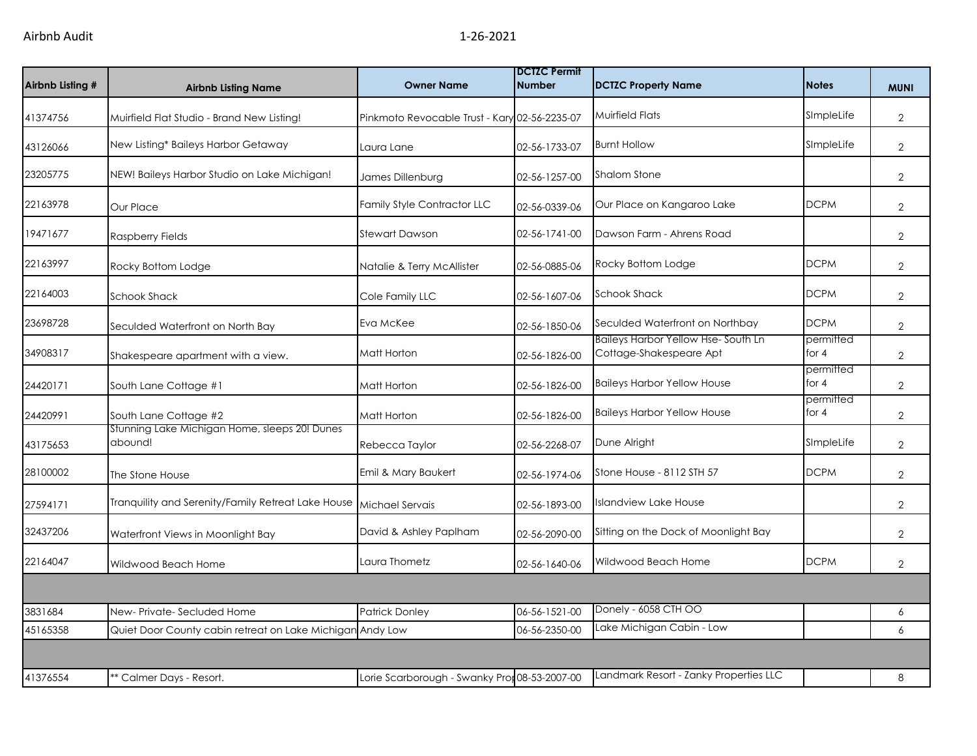| Airbnb Listing # | <b>Airbnb Listing Name</b>                                | <b>Owner Name</b>                             | <b>DCTZC Permit</b><br><b>Number</b> | <b>DCTZC Property Name</b>                                           | <b>Notes</b>         | <b>MUNI</b>    |
|------------------|-----------------------------------------------------------|-----------------------------------------------|--------------------------------------|----------------------------------------------------------------------|----------------------|----------------|
| 41374756         | Muirfield Flat Studio - Brand New Listing!                | Pinkmoto Revocable Trust - Kary 02-56-2235-07 |                                      | <b>Muirfield Flats</b>                                               | SImpleLife           | $\mathbf{2}$   |
| 43126066         | New Listing* Baileys Harbor Getaway                       | Laura Lane                                    | 02-56-1733-07                        | <b>Burnt Hollow</b>                                                  | SImpleLife           | 2              |
| 23205775         | NEW! Baileys Harbor Studio on Lake Michigan!              | James Dillenburg                              | 02-56-1257-00                        | <b>Shalom Stone</b>                                                  |                      | $\overline{2}$ |
| 22163978         | Our Place                                                 | <b>Family Style Contractor LLC</b>            | 02-56-0339-06                        | Our Place on Kangaroo Lake                                           | <b>DCPM</b>          | $\overline{2}$ |
| 19471677         | Raspberry Fields                                          | <b>Stewart Dawson</b>                         | 02-56-1741-00                        | Dawson Farm - Ahrens Road                                            |                      | $\overline{2}$ |
| 22163997         | Rocky Bottom Lodge                                        | Natalie & Terry McAllister                    | 02-56-0885-06                        | Rocky Bottom Lodge                                                   | <b>DCPM</b>          | $\overline{2}$ |
| 22164003         | <b>Schook Shack</b>                                       | Cole Family LLC                               | 02-56-1607-06                        | <b>Schook Shack</b>                                                  | <b>DCPM</b>          | $\overline{2}$ |
| 23698728         | Seculded Waterfront on North Bay                          | Eva McKee                                     | 02-56-1850-06                        | Seculded Waterfront on Northbay                                      | <b>DCPM</b>          | $\overline{2}$ |
| 34908317         | Shakespeare apartment with a view.                        | Matt Horton                                   | 02-56-1826-00                        | <b>Baileys Harbor Yellow Hse-South Ln</b><br>Cottage-Shakespeare Apt | permitted<br>for $4$ | $\overline{2}$ |
| 24420171         | South Lane Cottage #1                                     | Matt Horton                                   | 02-56-1826-00                        | <b>Baileys Harbor Yellow House</b>                                   | permitted<br>for $4$ | $\overline{2}$ |
| 24420991         | South Lane Cottage #2                                     | Matt Horton                                   | 02-56-1826-00                        | <b>Baileys Harbor Yellow House</b>                                   | permitted<br>for $4$ | $\mathbf{2}$   |
| 43175653         | Stunning Lake Michigan Home, sleeps 20! Dunes<br>abound!  | Rebecca Taylor                                | 02-56-2268-07                        | Dune Alright                                                         | SImpleLife           | $\overline{2}$ |
| 28100002         | The Stone House                                           | Emil & Mary Baukert                           | 02-56-1974-06                        | Stone House - 8112 STH 57                                            | <b>DCPM</b>          | $\mathbf{2}$   |
| 27594171         | Tranquility and Serenity/Family Retreat Lake House        | Michael Servais                               | 02-56-1893-00                        | <b>Islandview Lake House</b>                                         |                      | $\overline{2}$ |
| 32437206         | Waterfront Views in Moonlight Bay                         | David & Ashley Paplham                        | 02-56-2090-00                        | Sitting on the Dock of Moonlight Bay                                 |                      | $\overline{2}$ |
| 22164047         | Wildwood Beach Home                                       | Laura Thometz                                 | 02-56-1640-06                        | Wildwood Beach Home                                                  | <b>DCPM</b>          | $\overline{2}$ |
|                  |                                                           |                                               |                                      |                                                                      |                      |                |
| 3831684          | New-Private-Secluded Home                                 | Patrick Donley                                | 06-56-1521-00                        | Donely - 6058 CTH OO                                                 |                      | 6              |
| 45165358         | Quiet Door County cabin retreat on Lake Michigan Andy Low |                                               | 06-56-2350-00                        | Lake Michigan Cabin - Low                                            |                      | 6              |
|                  |                                                           |                                               |                                      |                                                                      |                      |                |
| 41376554         | ** Calmer Days - Resort.                                  | Lorie Scarborough - Swanky Pror 08-53-2007-00 |                                      | Landmark Resort - Zanky Properties LLC                               |                      | 8              |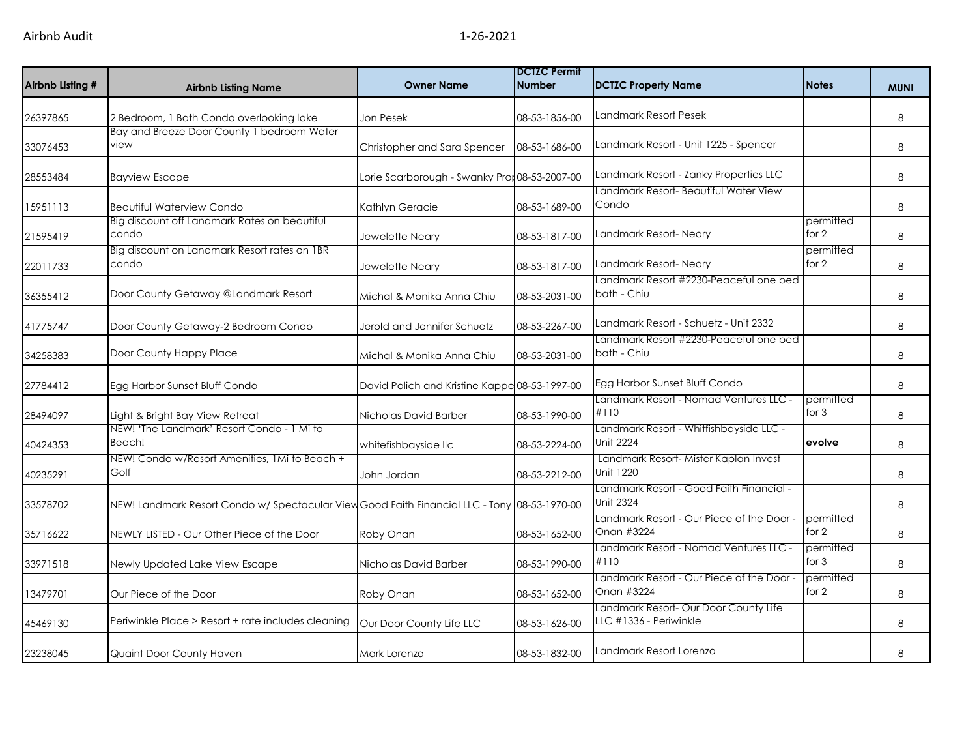| Airbnb Listing # | <b>Airbnb Listing Name</b>                                                                   | <b>Owner Name</b>                             | <b>DCTZC Permit</b><br><b>Number</b> | <b>DCTZC Property Name</b>                                      | <b>Notes</b>         | <b>MUNI</b> |
|------------------|----------------------------------------------------------------------------------------------|-----------------------------------------------|--------------------------------------|-----------------------------------------------------------------|----------------------|-------------|
| 26397865         | 2 Bedroom, 1 Bath Condo overlooking lake                                                     | Jon Pesek                                     | 08-53-1856-00                        | Landmark Resort Pesek                                           |                      | 8           |
| 33076453         | Bay and Breeze Door County 1 bedroom Water<br>view                                           | Christopher and Sara Spencer                  | 08-53-1686-00                        | Landmark Resort - Unit 1225 - Spencer                           |                      | 8           |
| 28553484         | <b>Bayview Escape</b>                                                                        | Lorie Scarborough - Swanky Pron08-53-2007-00  |                                      | Landmark Resort - Zanky Properties LLC                          |                      | 8           |
| 15951113         | <b>Beautiful Waterview Condo</b>                                                             | Kathlyn Geracie                               | 08-53-1689-00                        | Landmark Resort- Beautiful Water View<br>Condo                  |                      | 8           |
| 21595419         | Big discount off Landmark Rates on beautiful<br>condo                                        | Jewelette Neary                               | 08-53-1817-00                        | Landmark Resort-Neary                                           | permitted<br>for 2   | 8           |
| 22011733         | Big discount on Landmark Resort rates on IBR<br>condo                                        | Jewelette Neary                               | 08-53-1817-00                        | Landmark Resort-Neary                                           | permitted<br>for 2   | 8           |
| 36355412         | Door County Getaway @Landmark Resort                                                         | Michal & Monika Anna Chiu                     | 08-53-2031-00                        | Landmark Resort #2230-Peaceful one bed<br>bath - Chiu           |                      | 8           |
| 41775747         | Door County Getaway-2 Bedroom Condo                                                          | Jerold and Jennifer Schuetz                   | 08-53-2267-00                        | Landmark Resort - Schuetz - Unit 2332                           |                      | 8           |
| 34258383         | Door County Happy Place                                                                      | Michal & Monika Anna Chiu                     | 08-53-2031-00                        | Landmark Resort #2230-Peaceful one bed<br>bath - Chiu           |                      | 8           |
| 27784412         | Egg Harbor Sunset Bluff Condo                                                                | David Polich and Kristine Kappe 08-53-1997-00 |                                      | Egg Harbor Sunset Bluff Condo                                   |                      | 8           |
| 28494097         | Light & Bright Bay View Retreat                                                              | Nicholas David Barber                         | 08-53-1990-00                        | Landmark Resort - Nomad Ventures LLC -<br>#110                  | permitted<br>for 3   | 8           |
| 40424353         | NEW! 'The Landmark' Resort Condo - 1 Mi to<br>Beach!                                         | whitefishbayside llc                          | 08-53-2224-00                        | Landmark Resort - Whitfishbayside LLC -<br>Unit 2224            | evolve               | 8           |
| 40235291         | NEW! Condo w/Resort Amenities, 1Mi to Beach +<br>Golf                                        | John Jordan                                   | 08-53-2212-00                        | Landmark Resort- Mister Kaplan Invest<br>Unit 1220              |                      | 8           |
| 33578702         | NEW! Landmark Resort Condo w/ Spectacular View Good Faith Financial LLC - Tony 08-53-1970-00 |                                               |                                      | Landmark Resort - Good Faith Financial -<br><b>Unit 2324</b>    |                      | 8           |
| 35716622         | NEWLY LISTED - Our Other Piece of the Door                                                   | Roby Onan                                     | 08-53-1652-00                        | Landmark Resort - Our Piece of the Door -<br>Onan #3224         | permitted<br>for 2   | 8           |
| 33971518         | Newly Updated Lake View Escape                                                               | Nicholas David Barber                         | 08-53-1990-00                        | Landmark Resort - Nomad Ventures LLC -<br>#110                  | permitted<br>for $3$ | 8           |
| 13479701         | Our Piece of the Door                                                                        | Roby Onan                                     | 08-53-1652-00                        | Landmark Resort - Our Piece of the Door -<br>Onan #3224         | permitted<br>for 2   | 8           |
| 45469130         | Periwinkle Place > Resort + rate includes cleaning                                           | Our Door County Life LLC                      | 08-53-1626-00                        | Landmark Resort- Our Door County Life<br>LLC #1336 - Periwinkle |                      | 8           |
| 23238045         | <b>Quaint Door County Haven</b>                                                              | Mark Lorenzo                                  | 08-53-1832-00                        | Landmark Resort Lorenzo                                         |                      | 8           |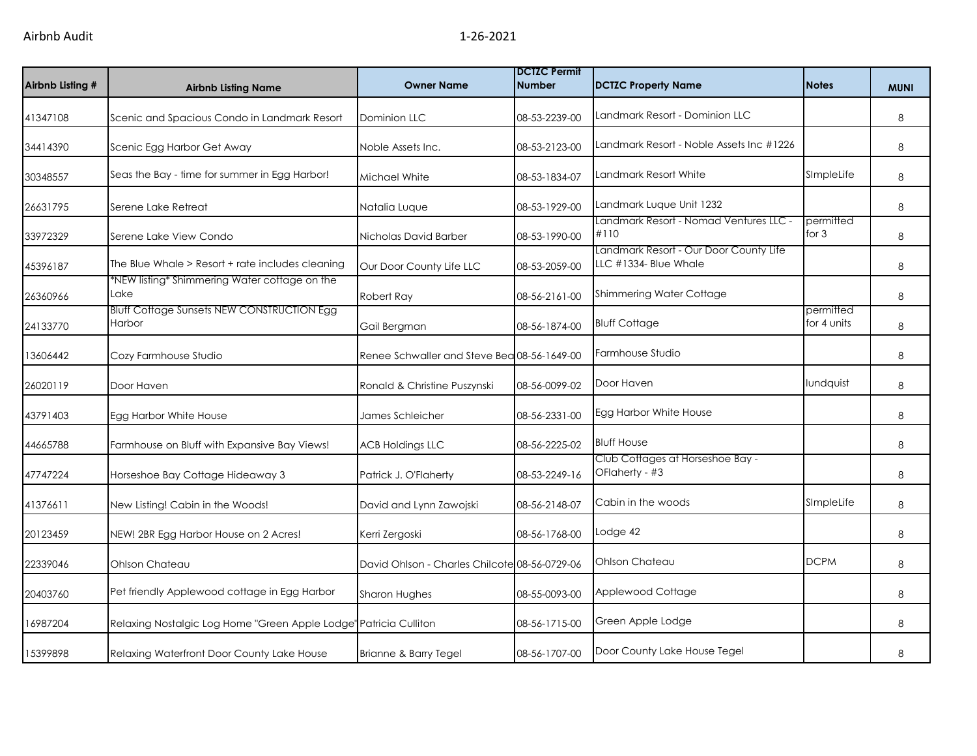| Airbnb Listing # | <b>Airbnb Listing Name</b>                                        | <b>Owner Name</b>                             | <b>DCTZC Permit</b><br><b>Number</b> | <b>DCTZC Property Name</b>                                      | <b>Notes</b>             | <b>MUNI</b> |
|------------------|-------------------------------------------------------------------|-----------------------------------------------|--------------------------------------|-----------------------------------------------------------------|--------------------------|-------------|
| 41347108         | Scenic and Spacious Condo in Landmark Resort                      | Dominion LLC                                  | 08-53-2239-00                        | Landmark Resort - Dominion LLC                                  |                          | 8           |
| 34414390         | Scenic Egg Harbor Get Away                                        | Noble Assets Inc.                             | 08-53-2123-00                        | Landmark Resort - Noble Assets Inc #1226                        |                          | $\,8\,$     |
| 30348557         | Seas the Bay - time for summer in Egg Harbor!                     | Michael White                                 | 08-53-1834-07                        | Landmark Resort White                                           | SImpleLife               | 8           |
| 26631795         | Serene Lake Retreat                                               | Natalia Luque                                 | 08-53-1929-00                        | Landmark Luque Unit 1232                                        |                          | 8           |
| 33972329         | Serene Lake View Condo                                            | Nicholas David Barber                         | 08-53-1990-00                        | Landmark Resort - Nomad Ventures LLC -<br>#110                  | permitted<br>for 3       | 8           |
| 45396187         | The Blue Whale > Resort + rate includes cleaning                  | Our Door County Life LLC                      | 08-53-2059-00                        | Landmark Resort - Our Door County Life<br>LLC #1334- Blue Whale |                          | 8           |
| 26360966         | *NEW listing* Shimmering Water cottage on the<br>Lake             | Robert Ray                                    | 08-56-2161-00                        | Shimmering Water Cottage                                        |                          | 8           |
| 24133770         | <b>Bluff Cottage Sunsets NEW CONSTRUCTION Egg</b><br>Harbor       | Gail Bergman                                  | 08-56-1874-00                        | <b>Bluff Cottage</b>                                            | permitted<br>for 4 units | 8           |
| 13606442         | Cozy Farmhouse Studio                                             | Renee Schwaller and Steve Bea 08-56-1649-00   |                                      | Farmhouse Studio                                                |                          | 8           |
| 26020119         | Door Haven                                                        | Ronald & Christine Puszynski                  | 08-56-0099-02                        | Door Haven                                                      | lundquist                | 8           |
| 43791403         | Egg Harbor White House                                            | James Schleicher                              | 08-56-2331-00                        | Egg Harbor White House                                          |                          | 8           |
| 44665788         | Farmhouse on Bluff with Expansive Bay Views!                      | <b>ACB Holdings LLC</b>                       | 08-56-2225-02                        | <b>Bluff House</b>                                              |                          | 8           |
| 47747224         | Horseshoe Bay Cottage Hideaway 3                                  | Patrick J. O'Flaherty                         | 08-53-2249-16                        | Club Cottages at Horseshoe Bay -<br>OFlaherty - #3              |                          | 8           |
| 41376611         | New Listing! Cabin in the Woods!                                  | David and Lynn Zawojski                       | 08-56-2148-07                        | Cabin in the woods                                              | SImpleLife               | 8           |
| 20123459         | NEW! 2BR Egg Harbor House on 2 Acres!                             | Kerri Zergoski                                | 08-56-1768-00                        | Lodge 42                                                        |                          | 8           |
| 22339046         | Ohlson Chateau                                                    | David Ohlson - Charles Chilcote 08-56-0729-06 |                                      | Ohlson Chateau                                                  | <b>DCPM</b>              | 8           |
| 20403760         | Pet friendly Applewood cottage in Egg Harbor                      | Sharon Hughes                                 | 08-55-0093-00                        | Applewood Cottage                                               |                          | 8           |
| 16987204         | Relaxing Nostalgic Log Home "Green Apple Lodge" Patricia Culliton |                                               | 08-56-1715-00                        | Green Apple Lodge                                               |                          | 8           |
| 15399898         | Relaxing Waterfront Door County Lake House                        | Brianne & Barry Tegel                         | 08-56-1707-00                        | Door County Lake House Tegel                                    |                          | 8           |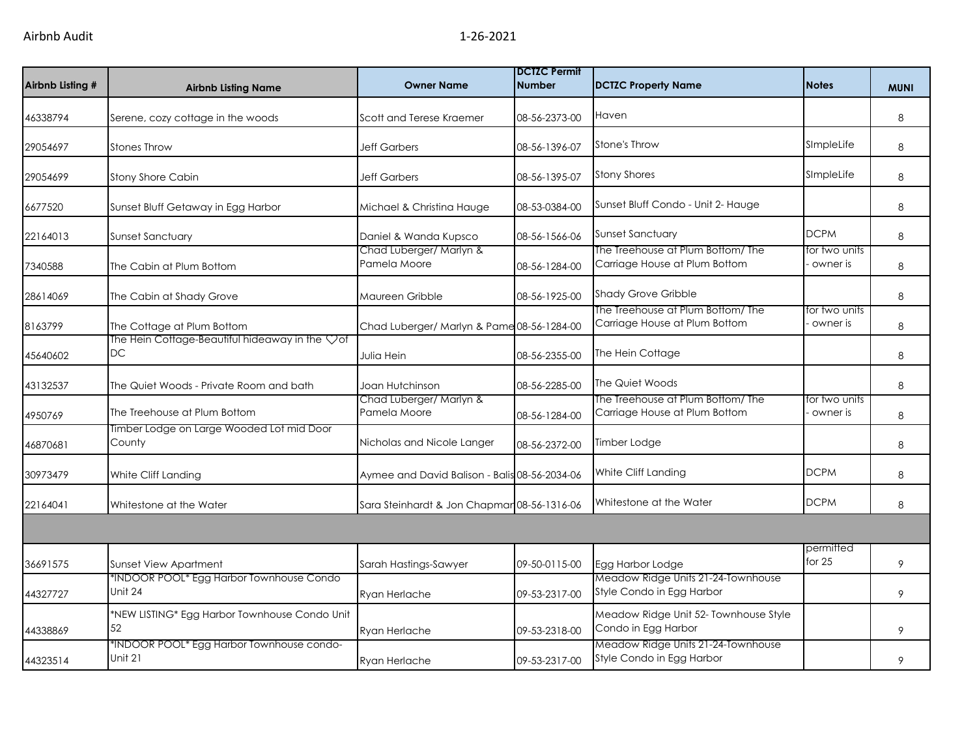| Airbnb Listing # | <b>Airbnb Listing Name</b>                                              | <b>Owner Name</b>                             | <b>DCTZC Permit</b><br><b>Number</b> | <b>DCTZC Property Name</b>                                         | <b>Notes</b>              | <b>MUNI</b> |
|------------------|-------------------------------------------------------------------------|-----------------------------------------------|--------------------------------------|--------------------------------------------------------------------|---------------------------|-------------|
| 46338794         | Serene, cozy cottage in the woods                                       | Scott and Terese Kraemer                      | 08-56-2373-00                        | Haven                                                              |                           | 8           |
| 29054697         | <b>Stones Throw</b>                                                     | <b>Jeff Garbers</b>                           | 08-56-1396-07                        | Stone's Throw                                                      | SImpleLife                | 8           |
| 29054699         | Stony Shore Cabin                                                       | <b>Jeff Garbers</b>                           | 08-56-1395-07                        | <b>Stony Shores</b>                                                | SImpleLife                | 8           |
| 6677520          | Sunset Bluff Getaway in Egg Harbor                                      | Michael & Christina Hauge                     | 08-53-0384-00                        | Sunset Bluff Condo - Unit 2- Hauge                                 |                           | 8           |
| 22164013         | Sunset Sanctuary                                                        | Daniel & Wanda Kupsco                         | 08-56-1566-06                        | <b>Sunset Sanctuary</b>                                            | <b>DCPM</b>               | 8           |
| 7340588          | The Cabin at Plum Bottom                                                | Chad Luberger/ Marlyn &<br>Pamela Moore       | 08-56-1284-00                        | The Treehouse at Plum Bottom/ The<br>Carriage House at Plum Bottom | for two units<br>owner is | 8           |
| 28614069         | The Cabin at Shady Grove                                                | Maureen Gribble                               | 08-56-1925-00                        | <b>Shady Grove Gribble</b>                                         |                           | 8           |
| 8163799          | The Cottage at Plum Bottom                                              | Chad Luberger/ Marlyn & Pame 08-56-1284-00    |                                      | The Treehouse at Plum Bottom/ The<br>Carriage House at Plum Bottom | for two units<br>owner is | 8           |
| 45640602         | The Hein Cottage-Beautiful hideaway in the $\heartsuit$ of<br><b>DC</b> | Julia Hein                                    | 08-56-2355-00                        | The Hein Cottage                                                   |                           | 8           |
| 43132537         | The Quiet Woods - Private Room and bath                                 | Joan Hutchinson                               | 08-56-2285-00                        | The Quiet Woods                                                    |                           | 8           |
| 4950769          | The Treehouse at Plum Bottom                                            | Chad Luberger/ Marlyn &<br>Pamela Moore       | 08-56-1284-00                        | The Treehouse at Plum Bottom/ The<br>Carriage House at Plum Bottom | for two units<br>owner is | 8           |
| 46870681         | Timber Lodge on Large Wooded Lot mid Door<br>County                     | Nicholas and Nicole Langer                    | 08-56-2372-00                        | Timber Lodge                                                       |                           | 8           |
| 30973479         | White Cliff Landing                                                     | Aymee and David Balison - Balis 08-56-2034-06 |                                      | White Cliff Landing                                                | <b>DCPM</b>               | 8           |
| 22164041         | Whitestone at the Water                                                 | Sara Steinhardt & Jon Chapmar 08-56-1316-06   |                                      | Whitestone at the Water                                            | <b>DCPM</b>               | 8           |
|                  |                                                                         |                                               |                                      |                                                                    |                           |             |
| 36691575         | Sunset View Apartment                                                   | Sarah Hastings-Sawyer                         | 09-50-0115-00                        | Egg Harbor Lodge                                                   | permitted<br>for $25$     | 9           |
| 44327727         | *INDOOR POOL* Egg Harbor Townhouse Condo<br>Unit 24                     | Ryan Herlache                                 | 09-53-2317-00                        | Meadow Ridge Units 21-24-Townhouse<br>Style Condo in Egg Harbor    |                           | 9           |
| 44338869         | *NEW LISTING* Egg Harbor Townhouse Condo Unit<br>52                     | Ryan Herlache                                 | 09-53-2318-00                        | Meadow Ridge Unit 52- Townhouse Style<br>Condo in Egg Harbor       |                           | 9           |
| 44323514         | *INDOOR POOL* Egg Harbor Townhouse condo-<br><b>Unit 21</b>             | Ryan Herlache                                 | 09-53-2317-00                        | Meadow Ridge Units 21-24-Townhouse<br>Style Condo in Egg Harbor    |                           | 9           |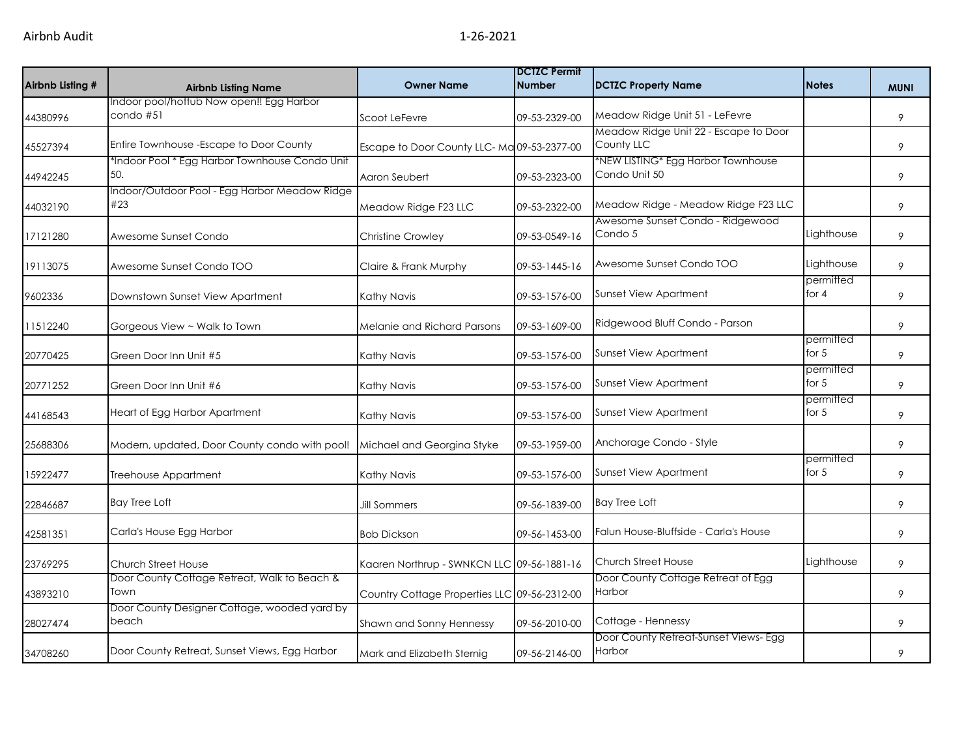| Airbnb Listing # | <b>Airbnb Listing Name</b>                            | <b>Owner Name</b>                            | <b>DCTZC Permit</b><br><b>Number</b> | <b>DCTZC Property Name</b>                          | <b>Notes</b>         | <b>MUNI</b> |
|------------------|-------------------------------------------------------|----------------------------------------------|--------------------------------------|-----------------------------------------------------|----------------------|-------------|
| 44380996         | Indoor pool/hottub Now open!! Egg Harbor<br>condo #51 | Scoot LeFevre                                | 09-53-2329-00                        | Meadow Ridge Unit 51 - LeFevre                      |                      | 9           |
|                  |                                                       |                                              |                                      | Meadow Ridge Unit 22 - Escape to Door               |                      |             |
| 45527394         | Entire Townhouse - Escape to Door County              | Escape to Door County LLC-Ma 09-53-2377-00   |                                      | County LLC                                          |                      | 9           |
| 44942245         | *Indoor Pool * Egg Harbor Townhouse Condo Unit<br>50. | Aaron Seubert                                | 09-53-2323-00                        | *NEW LISTING* Egg Harbor Townhouse<br>Condo Unit 50 |                      | 9           |
| 44032190         | Indoor/Outdoor Pool - Egg Harbor Meadow Ridge<br>#23  | Meadow Ridge F23 LLC                         | 09-53-2322-00                        | Meadow Ridge - Meadow Ridge F23 LLC                 |                      | 9           |
| 17121280         | Awesome Sunset Condo                                  | <b>Christine Crowley</b>                     | 09-53-0549-16                        | Awesome Sunset Condo - Ridgewood<br>Condo 5         | Lighthouse           | 9           |
| 19113075         | Awesome Sunset Condo TOO                              | Claire & Frank Murphy                        | 09-53-1445-16                        | Awesome Sunset Condo TOO                            | Lighthouse           | 9           |
| 9602336          | Downstown Sunset View Apartment                       | Kathy Navis                                  | 09-53-1576-00                        | <b>Sunset View Apartment</b>                        | permitted<br>for 4   | 9           |
| 11512240         | Gorgeous View ~ Walk to Town                          | Melanie and Richard Parsons                  | 09-53-1609-00                        | Ridgewood Bluff Condo - Parson                      |                      | 9           |
| 20770425         | Green Door Inn Unit #5                                | Kathy Navis                                  | 09-53-1576-00                        | <b>Sunset View Apartment</b>                        | permitted<br>for $5$ | 9           |
| 20771252         | Green Door Inn Unit #6                                | Kathy Navis                                  | 09-53-1576-00                        | <b>Sunset View Apartment</b>                        | permitted<br>for $5$ | 9           |
| 44168543         | Heart of Egg Harbor Apartment                         | Kathy Navis                                  | 09-53-1576-00                        | <b>Sunset View Apartment</b>                        | permitted<br>for $5$ | 9           |
| 25688306         | Modern, updated, Door County condo with pool!         | Michael and Georgina Styke                   | 09-53-1959-00                        | Anchorage Condo - Style                             |                      | 9           |
| 15922477         | Treehouse Appartment                                  | Kathy Navis                                  | 09-53-1576-00                        | <b>Sunset View Apartment</b>                        | permitted<br>for $5$ | 9           |
| 22846687         | <b>Bay Tree Loft</b>                                  | Jill Sommers                                 | 09-56-1839-00                        | <b>Bay Tree Loft</b>                                |                      | 9           |
| 42581351         | Carla's House Egg Harbor                              | <b>Bob Dickson</b>                           | 09-56-1453-00                        | Falun House-Bluffside - Carla's House               |                      | 9           |
| 23769295         | Church Street House                                   | Kaaren Northrup - SWNKCN LLC 09-56-1881-16   |                                      | <b>Church Street House</b>                          | Lighthouse           | 9           |
| 43893210         | Door County Cottage Retreat, Walk to Beach &<br>Town  | Country Cottage Properties LLC 09-56-2312-00 |                                      | Door County Cottage Retreat of Egg<br>Harbor        |                      | 9           |
| 28027474         | Door County Designer Cottage, wooded yard by<br>beach | Shawn and Sonny Hennessy                     | 09-56-2010-00                        | Cottage - Hennessy                                  |                      | 9           |
| 34708260         | Door County Retreat, Sunset Views, Egg Harbor         | Mark and Elizabeth Sternig                   | 09-56-2146-00                        | Door County Retreat-Sunset Views- Egg<br>Harbor     |                      | 9           |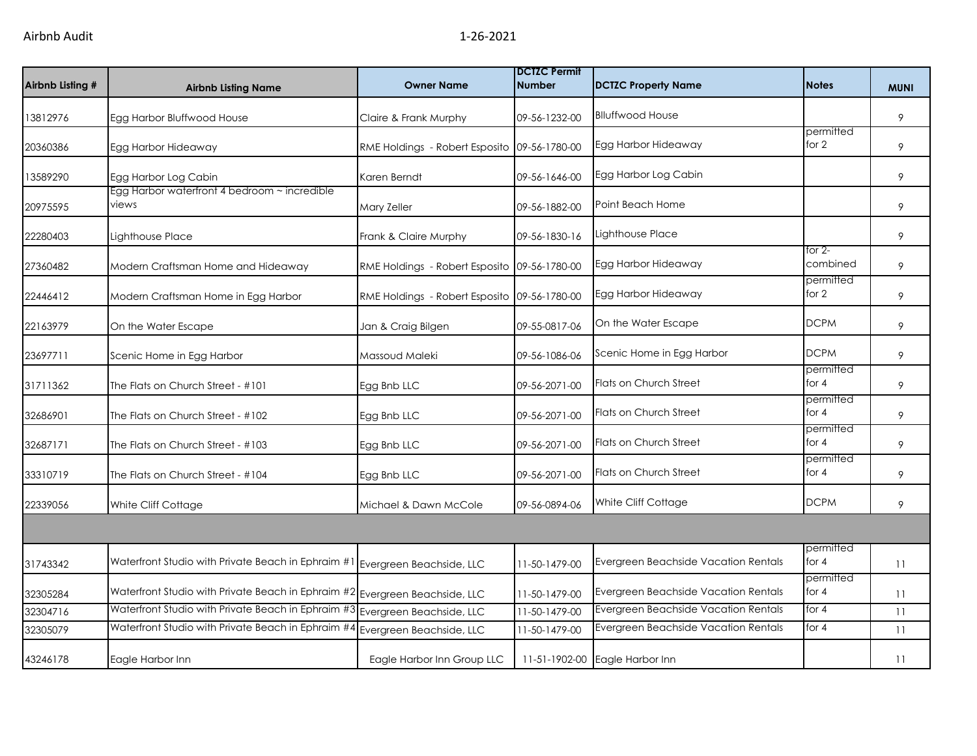| Airbnb Listing # | <b>Airbnb Listing Name</b>                                                  | <b>Owner Name</b>                            | <b>DCTZC Permit</b><br><b>Number</b> | <b>DCTZC Property Name</b>           | <b>Notes</b>         | <b>MUNI</b> |
|------------------|-----------------------------------------------------------------------------|----------------------------------------------|--------------------------------------|--------------------------------------|----------------------|-------------|
| 13812976         | Egg Harbor Bluffwood House                                                  | Claire & Frank Murphy                        | 09-56-1232-00                        | <b>Blluffwood House</b>              |                      | 9           |
| 20360386         | Egg Harbor Hideaway                                                         | RME Holdings - Robert Esposito 09-56-1780-00 |                                      | Egg Harbor Hideaway                  | permitted<br>for 2   | 9           |
| 13589290         | Egg Harbor Log Cabin                                                        | Karen Berndt                                 | 09-56-1646-00                        | Egg Harbor Log Cabin                 |                      | 9           |
| 20975595         | Egg Harbor waterfront 4 bedroom ~ incredible<br>views                       | Mary Zeller                                  | 09-56-1882-00                        | Point Beach Home                     |                      | 9           |
| 22280403         | Lighthouse Place                                                            | Frank & Claire Murphy                        | 09-56-1830-16                        | Lighthouse Place                     |                      | 9           |
| 27360482         | Modern Craftsman Home and Hideaway                                          | RME Holdings - Robert Esposito 09-56-1780-00 |                                      | Egg Harbor Hideaway                  | for $2-$<br>combined | 9           |
| 22446412         | Modern Craftsman Home in Egg Harbor                                         | RME Holdings - Robert Esposito 09-56-1780-00 |                                      | Egg Harbor Hideaway                  | permitted<br>for 2   | 9           |
| 22163979         | On the Water Escape                                                         | Jan & Craig Bilgen                           | 09-55-0817-06                        | On the Water Escape                  | <b>DCPM</b>          | 9           |
| 23697711         | Scenic Home in Egg Harbor                                                   | Massoud Maleki                               | 09-56-1086-06                        | Scenic Home in Egg Harbor            | <b>DCPM</b>          | 9           |
| 31711362         | The Flats on Church Street - #101                                           | Egg Bnb LLC                                  | 09-56-2071-00                        | Flats on Church Street               | permitted<br>for $4$ | 9           |
| 32686901         | The Flats on Church Street - #102                                           | Egg Bnb LLC                                  | 09-56-2071-00                        | Flats on Church Street               | permitted<br>for $4$ | 9           |
| 32687171         | The Flats on Church Street - #103                                           | Egg Bnb LLC                                  | 09-56-2071-00                        | <b>Flats on Church Street</b>        | permitted<br>for $4$ | 9           |
| 33310719         | The Flats on Church Street - #104                                           | Egg Bnb LLC                                  | 09-56-2071-00                        | Flats on Church Street               | permitted<br>for $4$ | 9           |
| 22339056         | White Cliff Cottage                                                         | Michael & Dawn McCole                        | 09-56-0894-06                        | White Cliff Cottage                  | <b>DCPM</b>          | 9           |
|                  |                                                                             |                                              |                                      |                                      |                      |             |
| 31743342         | Waterfront Studio with Private Beach in Ephraim #1                          | Evergreen Beachside, LLC                     | 11-50-1479-00                        | Evergreen Beachside Vacation Rentals | permitted<br>for $4$ | 11          |
| 32305284         | Waterfront Studio with Private Beach in Ephraim #2 Evergreen Beachside, LLC |                                              | 11-50-1479-00                        | Evergreen Beachside Vacation Rentals | permitted<br>for $4$ | 11          |
| 32304716         | Waterfront Studio with Private Beach in Ephraim #3                          | Evergreen Beachside, LLC                     | 11-50-1479-00                        | Evergreen Beachside Vacation Rentals | for $4$              | 11          |
| 32305079         | Waterfront Studio with Private Beach in Ephraim #                           | Evergreen Beachside, LLC                     | 11-50-1479-00                        | Evergreen Beachside Vacation Rentals | for 4                | 11          |
| 43246178         | Eagle Harbor Inn                                                            | Eagle Harbor Inn Group LLC                   |                                      | 11-51-1902-00 Eagle Harbor Inn       |                      | 11          |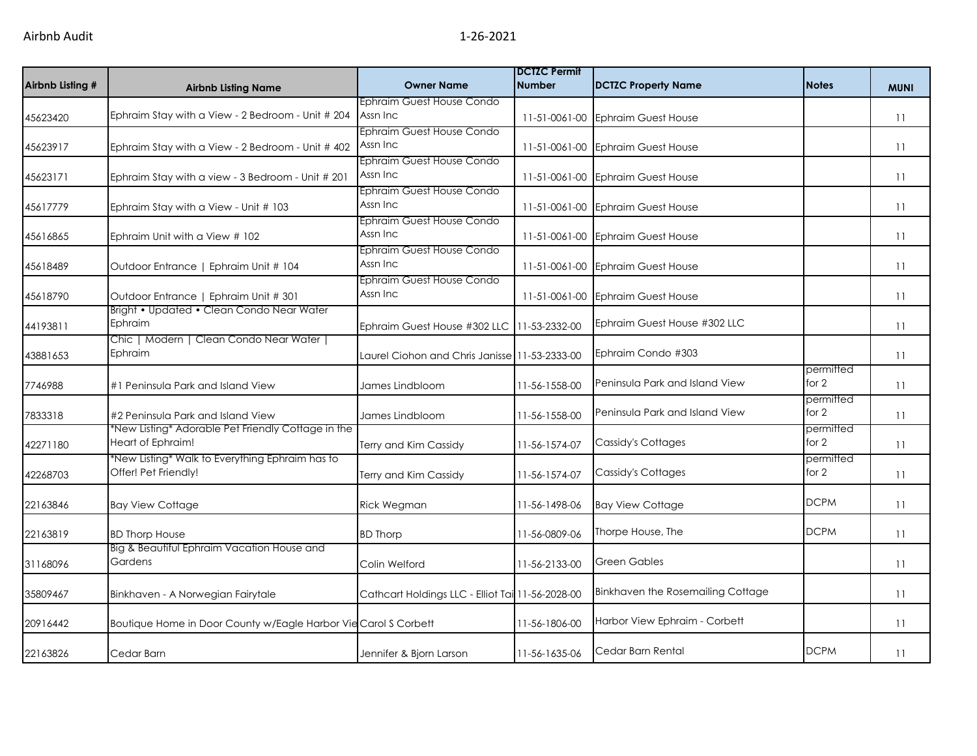| Airbnb Listing # | <b>Airbnb Listing Name</b>                                              | <b>Owner Name</b>                                                  | <b>DCTZC Permit</b><br><b>Number</b> | DCTZC Property Name               | <b>Notes</b>         | <b>MUNI</b> |
|------------------|-------------------------------------------------------------------------|--------------------------------------------------------------------|--------------------------------------|-----------------------------------|----------------------|-------------|
| 45623420         | Ephraim Stay with a View - 2 Bedroom - Unit # 204                       | Ephraim Guest House Condo<br>Assn Inc                              |                                      | 11-51-0061-00 Ephraim Guest House |                      | 11          |
| 45623917         | Ephraim Stay with a View - 2 Bedroom - Unit # 402                       | Ephraim Guest House Condo<br>Assn Inc                              |                                      | 11-51-0061-00 Ephraim Guest House |                      | 11          |
| 45623171         | Ephraim Stay with a view - 3 Bedroom - Unit # 201                       | Ephraim Guest House Condo<br>Assn Inc                              |                                      | 11-51-0061-00 Ephraim Guest House |                      | 11          |
| 45617779         | Ephraim Stay with a View - Unit # 103                                   | Ephraim Guest House Condo<br>Assn Inc<br>Ephraim Guest House Condo |                                      | 11-51-0061-00 Ephraim Guest House |                      | 11          |
| 45616865         | Ephraim Unit with a View # 102                                          | Assn Inc                                                           |                                      | 11-51-0061-00 Ephraim Guest House |                      | 11          |
| 45618489         | Outdoor Entrance   Ephraim Unit # 104                                   | Ephraim Guest House Condo<br>Assn Inc                              |                                      | 11-51-0061-00 Ephraim Guest House |                      | 11          |
| 45618790         | Outdoor Entrance   Ephraim Unit # 301                                   | Ephraim Guest House Condo<br>Assn Inc                              |                                      | 11-51-0061-00 Ephraim Guest House |                      | 11          |
| 44193811         | Bright • Updated • Clean Condo Near Water<br>Ephraim                    | Ephraim Guest House #302 LLC                                       | 11-53-2332-00                        | Ephraim Guest House #302 LLC      |                      | 11          |
| 43881653         | Chic   Modern   Clean Condo Near Water  <br>Ephraim                     | Laurel Ciohon and Chris Janisse 11-53-2333-00                      |                                      | Ephraim Condo #303                |                      | 11          |
| 7746988          | #1 Peninsula Park and Island View                                       | James Lindbloom                                                    | 11-56-1558-00                        | Peninsula Park and Island View    | permitted<br>for $2$ | 11          |
| 7833318          | #2 Peninsula Park and Island View                                       | James Lindbloom                                                    | 11-56-1558-00                        | Peninsula Park and Island View    | permitted<br>for $2$ | 11          |
| 42271180         | *New Listing* Adorable Pet Friendly Cottage in the<br>Heart of Ephraim! | Terry and Kim Cassidy                                              | 11-56-1574-07                        | Cassidy's Cottages                | permitted<br>for $2$ | 11          |
| 42268703         | *New Listing* Walk to Everything Ephraim has to<br>Offer! Pet Friendly! | Terry and Kim Cassidy                                              | 11-56-1574-07                        | Cassidy's Cottages                | permitted<br>for 2   | 11          |
| 22163846         | <b>Bay View Cottage</b>                                                 | Rick Wegman                                                        | 11-56-1498-06                        | <b>Bay View Cottage</b>           | <b>DCPM</b>          | 11          |
| 22163819         | <b>BD Thorp House</b>                                                   | <b>BD Thorp</b>                                                    | 11-56-0809-06                        | Thorpe House, The                 | <b>DCPM</b>          | 11          |
| 31168096         | Big & Beautiful Ephraim Vacation House and<br>Gardens                   | Colin Welford                                                      | 11-56-2133-00                        | <b>Green Gables</b>               |                      | 11          |
| 35809467         | Binkhaven - A Norwegian Fairytale                                       | Cathcart Holdings LLC - Elliot Tai 11-56-2028-00                   |                                      | Binkhaven the Rosemailing Cottage |                      | 11          |
| 20916442         | Boutique Home in Door County w/Eagle Harbor Vie Carol S Corbett         |                                                                    | 11-56-1806-00                        | Harbor View Ephraim - Corbett     |                      | 11          |
| 22163826         | Cedar Barn                                                              | Jennifer & Bjorn Larson                                            | 11-56-1635-06                        | Cedar Barn Rental                 | <b>DCPM</b>          | 11          |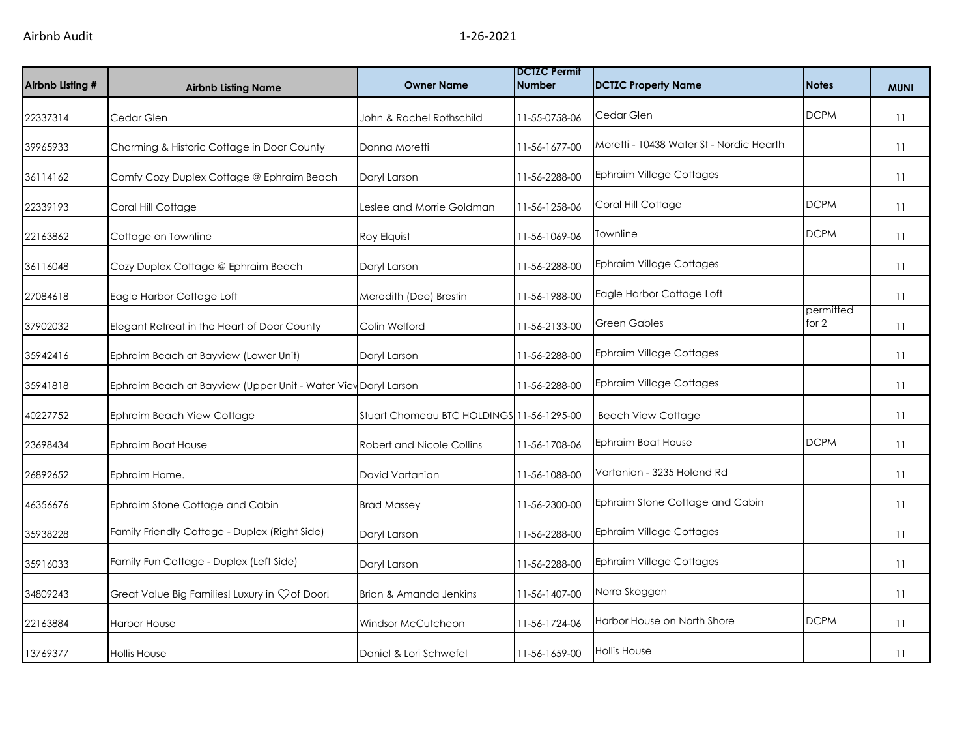| Airbnb Listing # | <b>Airbnb Listing Name</b>                                     | <b>Owner Name</b>                         | <b>DCTZC Permit</b><br><b>Number</b> | <b>DCTZC Property Name</b>               | <b>Notes</b>       | <b>MUNI</b> |
|------------------|----------------------------------------------------------------|-------------------------------------------|--------------------------------------|------------------------------------------|--------------------|-------------|
| 22337314         | Cedar Glen                                                     | John & Rachel Rothschild                  | 11-55-0758-06                        | Cedar Glen                               | <b>DCPM</b>        | 11          |
| 39965933         | Charming & Historic Cottage in Door County                     | Donna Moretti                             | 11-56-1677-00                        | Moretti - 10438 Water St - Nordic Hearth |                    | 11          |
| 36114162         | Comfy Cozy Duplex Cottage @ Ephraim Beach                      | Daryl Larson                              | 11-56-2288-00                        | <b>Ephraim Village Cottages</b>          |                    | 11          |
| 22339193         | Coral Hill Cottage                                             | Leslee and Morrie Goldman                 | 11-56-1258-06                        | Coral Hill Cottage                       | <b>DCPM</b>        | 11          |
| 22163862         | Cottage on Townline                                            | Roy Elquist                               | 11-56-1069-06                        | Townline                                 | <b>DCPM</b>        | 11          |
| 36116048         | Cozy Duplex Cottage @ Ephraim Beach                            | Daryl Larson                              | 11-56-2288-00                        | <b>Ephraim Village Cottages</b>          |                    | 11          |
| 27084618         | Eagle Harbor Cottage Loft                                      | Meredith (Dee) Brestin                    | 11-56-1988-00                        | Eagle Harbor Cottage Loft                |                    | 11          |
| 37902032         | Elegant Retreat in the Heart of Door County                    | Colin Welford                             | 11-56-2133-00                        | <b>Green Gables</b>                      | permitted<br>for 2 | 11          |
| 35942416         | Ephraim Beach at Bayview (Lower Unit)                          | Daryl Larson                              | 11-56-2288-00                        | <b>Ephraim Village Cottages</b>          |                    | 11          |
| 35941818         | Ephraim Beach at Bayview (Upper Unit - Water Viev Daryl Larson |                                           | 11-56-2288-00                        | <b>Ephraim Village Cottages</b>          |                    | 11          |
| 40227752         | Ephraim Beach View Cottage                                     | Stuart Chomeau BTC HOLDINGS 11-56-1295-00 |                                      | <b>Beach View Cottage</b>                |                    | 11          |
| 23698434         | Ephraim Boat House                                             | <b>Robert and Nicole Collins</b>          | 11-56-1708-06                        | <b>Ephraim Boat House</b>                | <b>DCPM</b>        | 11          |
| 26892652         | Ephraim Home.                                                  | David Vartanian                           | 11-56-1088-00                        | Vartanian - 3235 Holand Rd               |                    | 11          |
| 46356676         | Ephraim Stone Cottage and Cabin                                | <b>Brad Massey</b>                        | 11-56-2300-00                        | Ephraim Stone Cottage and Cabin          |                    | 11          |
| 35938228         | Family Friendly Cottage - Duplex (Right Side)                  | Daryl Larson                              | 11-56-2288-00                        | <b>Ephraim Village Cottages</b>          |                    | 11          |
| 35916033         | Family Fun Cottage - Duplex (Left Side)                        | Daryl Larson                              | 11-56-2288-00                        | <b>Ephraim Village Cottages</b>          |                    | 11          |
| 34809243         | Great Value Big Families! Luxury in Çof Door!                  | Brian & Amanda Jenkins                    | 11-56-1407-00                        | Norra Skoggen                            |                    | 11          |
| 22163884         | <b>Harbor House</b>                                            | Windsor McCutcheon                        | 11-56-1724-06                        | Harbor House on North Shore              | <b>DCPM</b>        | 11          |
| 13769377         | <b>Hollis House</b>                                            | Daniel & Lori Schwefel                    | 11-56-1659-00                        | <b>Hollis House</b>                      |                    | 11          |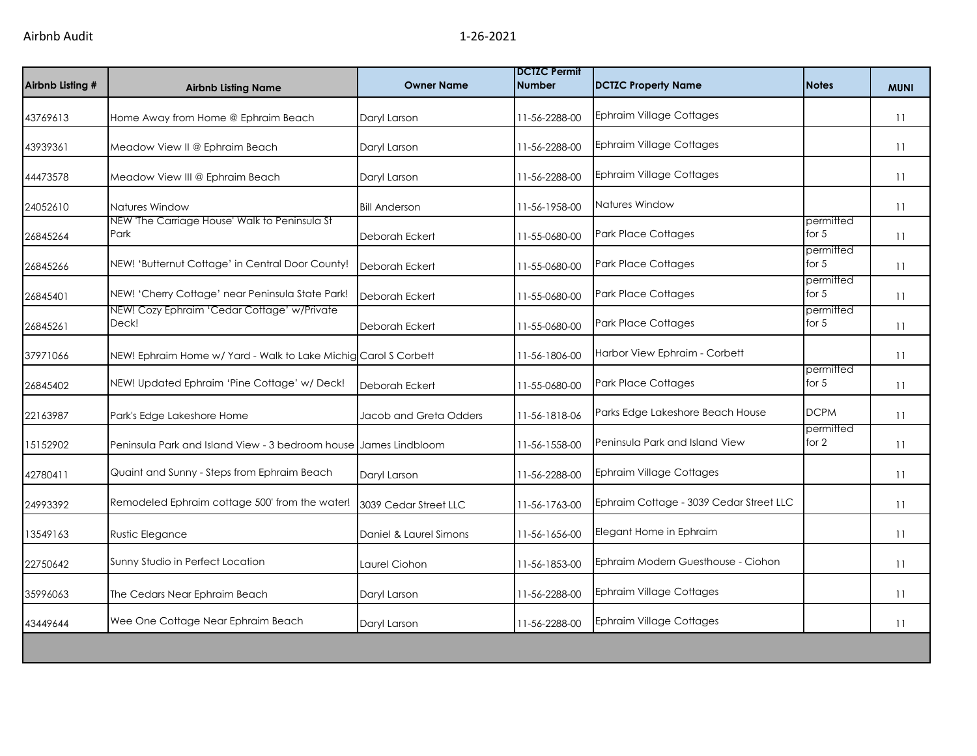| Airbnb Listing # | <b>Airbnb Listing Name</b>                                       | <b>Owner Name</b>      | <b>DCTZC Permit</b><br><b>Number</b> | <b>DCTZC Property Name</b>              | <b>Notes</b>         | <b>MUNI</b> |
|------------------|------------------------------------------------------------------|------------------------|--------------------------------------|-----------------------------------------|----------------------|-------------|
| 43769613         | Home Away from Home @ Ephraim Beach                              | Daryl Larson           | 11-56-2288-00                        | Ephraim Village Cottages                |                      | 11          |
| 43939361         | Meadow View II @ Ephraim Beach                                   | Daryl Larson           | 11-56-2288-00                        | Ephraim Village Cottages                |                      | 11          |
| 44473578         | Meadow View III @ Ephraim Beach                                  | Daryl Larson           | 11-56-2288-00                        | Ephraim Village Cottages                |                      | 11          |
| 24052610         | Natures Window                                                   | <b>Bill Anderson</b>   | 11-56-1958-00                        | Natures Window                          |                      | 11          |
| 26845264         | NEW 'The Carriage House' Walk to Peninsula St<br>Park            | Deborah Eckert         | 11-55-0680-00                        | Park Place Cottages                     | permitted<br>for $5$ | 11          |
| 26845266         | NEW! 'Butternut Cottage' in Central Door County!                 | Deborah Eckert         | 11-55-0680-00                        | <b>Park Place Cottages</b>              | permitted<br>for $5$ | 11          |
| 26845401         | NEW! 'Cherry Cottage' near Peninsula State Park!                 | Deborah Eckert         | 11-55-0680-00                        | <b>Park Place Cottages</b>              | permitted<br>for $5$ | 11          |
| 26845261         | NEW! Cozy Ephraim 'Cedar Cottage' w/Private<br>Deck!             | Deborah Eckert         | 11-55-0680-00                        | <b>Park Place Cottages</b>              | permitted<br>for $5$ | 11          |
| 37971066         | NEW! Ephraim Home w/ Yard - Walk to Lake Michig Carol S Corbett  |                        | 11-56-1806-00                        | Harbor View Ephraim - Corbett           |                      | 11          |
| 26845402         | NEW! Updated Ephraim 'Pine Cottage' w/ Deck!                     | Deborah Eckert         | 11-55-0680-00                        | <b>Park Place Cottages</b>              | permitted<br>for $5$ | 11          |
| 22163987         | Park's Edge Lakeshore Home                                       | Jacob and Greta Odders | 11-56-1818-06                        | Parks Edge Lakeshore Beach House        | <b>DCPM</b>          | 11          |
| 15152902         | Peninsula Park and Island View - 3 bedroom house James Lindbloom |                        | 11-56-1558-00                        | Peninsula Park and Island View          | permitted<br>for 2   | 11          |
| 42780411         | Quaint and Sunny - Steps from Ephraim Beach                      | Daryl Larson           | 11-56-2288-00                        | Ephraim Village Cottages                |                      | 11          |
| 24993392         | Remodeled Ephraim cottage 500' from the water!                   | 3039 Cedar Street LLC  | 11-56-1763-00                        | Ephraim Cottage - 3039 Cedar Street LLC |                      | 11          |
| 13549163         | Rustic Elegance                                                  | Daniel & Laurel Simons | 11-56-1656-00                        | Elegant Home in Ephraim                 |                      | 11          |
| 22750642         | Sunny Studio in Perfect Location                                 | Laurel Ciohon          | 11-56-1853-00                        | Ephraim Modern Guesthouse - Ciohon      |                      | 11          |
| 35996063         | The Cedars Near Ephraim Beach                                    | Daryl Larson           | 11-56-2288-00                        | <b>Ephraim Village Cottages</b>         |                      | 11          |
| 43449644         | Wee One Cottage Near Ephraim Beach                               | Daryl Larson           | 11-56-2288-00                        | Ephraim Village Cottages                |                      | 11          |
|                  |                                                                  |                        |                                      |                                         |                      |             |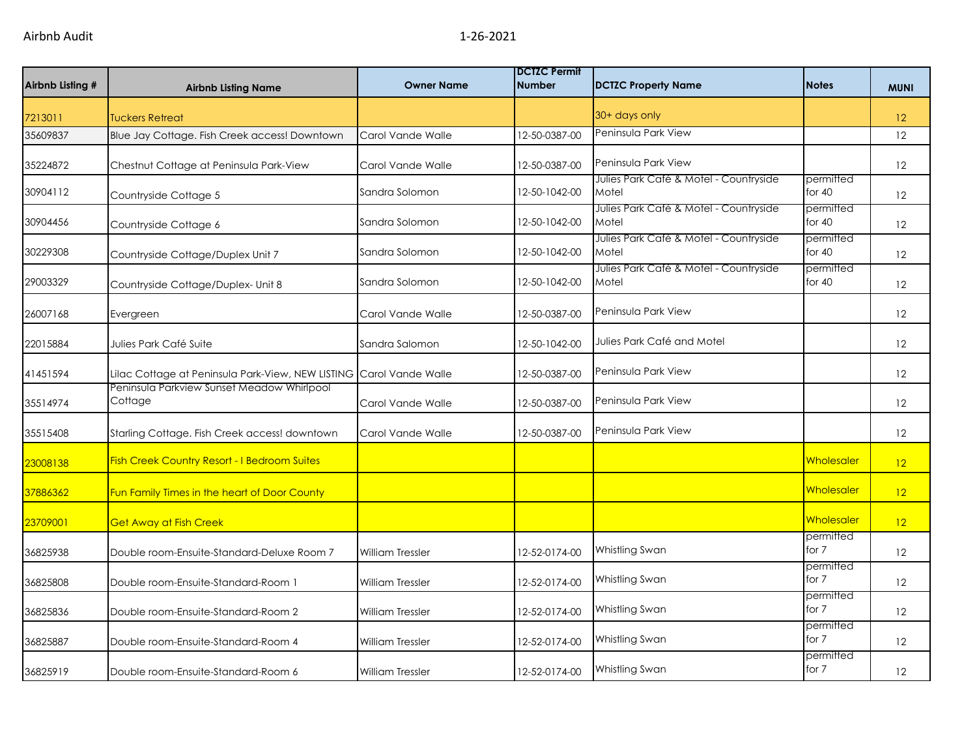| Airbnb Listing # | <b>Airbnb Listing Name</b>                                          | <b>Owner Name</b>       | <b>DCTZC Permit</b><br><b>Number</b> | <b>DCTZC Property Name</b>                      | <b>Notes</b>          | <b>MUNI</b>       |
|------------------|---------------------------------------------------------------------|-------------------------|--------------------------------------|-------------------------------------------------|-----------------------|-------------------|
| 7213011          | <b>Tuckers Retreat</b>                                              |                         |                                      | 30+ days only                                   |                       | 12                |
| 35609837         | Blue Jay Cottage. Fish Creek access! Downtown                       | Carol Vande Walle       | 12-50-0387-00                        | Peninsula Park View                             |                       | 12                |
| 35224872         | Chestnut Cottage at Peninsula Park-View                             | Carol Vande Walle       | 12-50-0387-00                        | Peninsula Park View                             |                       | 12                |
| 30904112         | Countryside Cottage 5                                               | Sandra Solomon          | 12-50-1042-00                        | Julies Park Café & Motel - Countryside<br>Motel | permitted<br>for $40$ | 12                |
| 30904456         | Countryside Cottage 6                                               | Sandra Solomon          | 12-50-1042-00                        | Julies Park Café & Motel - Countryside<br>Motel | permitted<br>for 40   | 12                |
| 30229308         | Countryside Cottage/Duplex Unit 7                                   | Sandra Solomon          | 12-50-1042-00                        | Julies Park Café & Motel - Countryside<br>Motel | permitted<br>for $40$ | 12                |
| 29003329         | Countryside Cottage/Duplex- Unit 8                                  | Sandra Solomon          | 12-50-1042-00                        | Julies Park Café & Motel - Countryside<br>Motel | permitted<br>for 40   | 12                |
| 26007168         | Evergreen                                                           | Carol Vande Walle       | 12-50-0387-00                        | Peninsula Park View                             |                       | 12                |
| 22015884         | Julies Park Café Suite                                              | Sandra Salomon          | 12-50-1042-00                        | Julies Park Café and Motel                      |                       | 12                |
| 41451594         | Lilac Cottage at Peninsula Park-View, NEW LISTING Carol Vande Walle |                         | 12-50-0387-00                        | Peninsula Park View                             |                       | 12                |
| 35514974         | Peninsula Parkview Sunset Meadow Whirlpool<br>Cottage               | Carol Vande Walle       | 12-50-0387-00                        | Peninsula Park View                             |                       | 12                |
| 35515408         | Starling Cottage. Fish Creek access! downtown                       | Carol Vande Walle       | 12-50-0387-00                        | Peninsula Park View                             |                       | 12                |
| 23008138         | Fish Creek Country Resort - I Bedroom Suites                        |                         |                                      |                                                 | Wholesaler            | 12                |
| 37886362         | Fun Family Times in the heart of Door County                        |                         |                                      |                                                 | <b>Wholesaler</b>     | 12                |
| 23709001         | <b>Get Away at Fish Creek</b>                                       |                         |                                      |                                                 | Wholesaler            | 12                |
| 36825938         | Double room-Ensuite-Standard-Deluxe Room 7                          | <b>William Tressler</b> | 12-52-0174-00                        | Whistling Swan                                  | permitted<br>for 7    | 12                |
| 36825808         | Double room-Ensuite-Standard-Room 1                                 | <b>William Tressler</b> | 12-52-0174-00                        | Whistling Swan                                  | permitted<br>for 7    | 12                |
| 36825836         | Double room-Ensuite-Standard-Room 2                                 | <b>William Tressler</b> | 12-52-0174-00                        | Whistling Swan                                  | permitted<br>for 7    | 12                |
| 36825887         | Double room-Ensuite-Standard-Room 4                                 | <b>William Tressler</b> | 12-52-0174-00                        | Whistling Swan                                  | permitted<br>for 7    | 12                |
| 36825919         | Double room-Ensuite-Standard-Room 6                                 | <b>William Tressler</b> | 12-52-0174-00                        | Whistling Swan                                  | permitted<br>for 7    | $12 \overline{ }$ |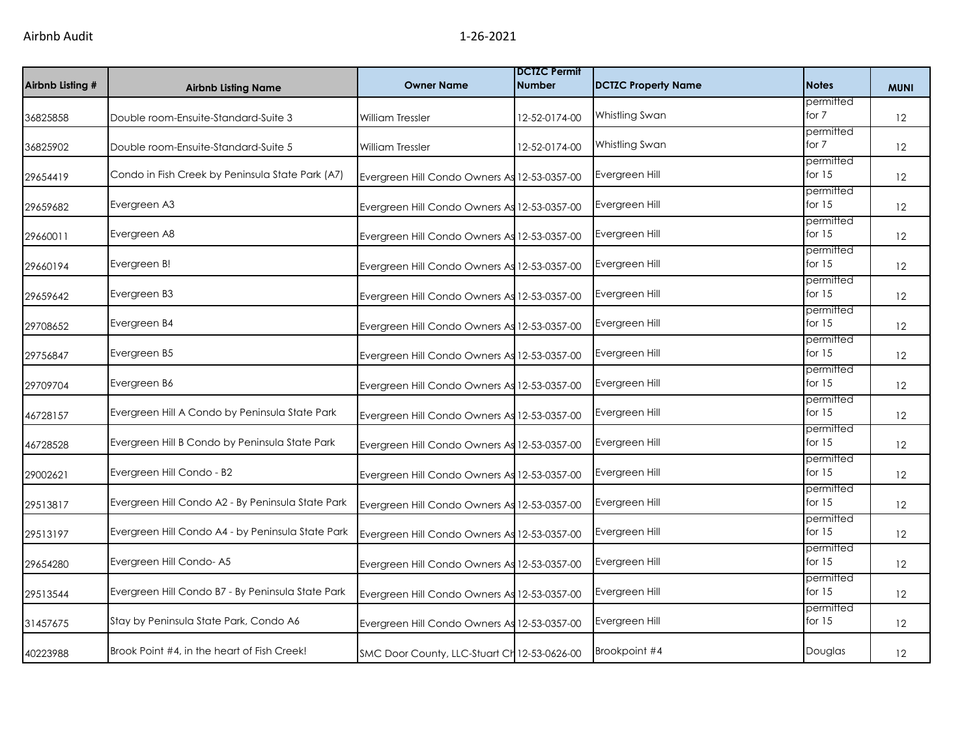| Airbnb Listing # | <b>Airbnb Listing Name</b>                        | <b>Owner Name</b>                            | <b>IDCTZC Permit</b><br><b>Number</b> | <b>DCTZC Property Name</b> | <b>Notes</b>          | <b>MUNI</b> |
|------------------|---------------------------------------------------|----------------------------------------------|---------------------------------------|----------------------------|-----------------------|-------------|
| 36825858         | Double room-Ensuite-Standard-Suite 3              | <b>William Tressler</b>                      | 12-52-0174-00                         | Whistling Swan             | permitted<br>for 7    | 12          |
| 36825902         | Double room-Ensuite-Standard-Suite 5              | <b>William Tressler</b>                      | 12-52-0174-00                         | Whistling Swan             | permitted<br>for 7    | 12          |
| 29654419         | Condo in Fish Creek by Peninsula State Park (A7)  | Evergreen Hill Condo Owners As 12-53-0357-00 |                                       | Evergreen Hill             | permitted<br>for $15$ | 12          |
| 29659682         | Evergreen A3                                      | Evergreen Hill Condo Owners As 12-53-0357-00 |                                       | Evergreen Hill             | permitted<br>for $15$ | 12          |
| 29660011         | Evergreen A8                                      | Evergreen Hill Condo Owners As 12-53-0357-00 |                                       | Evergreen Hill             | permitted<br>for $15$ | 12          |
| 29660194         | Evergreen B!                                      | Evergreen Hill Condo Owners As 12-53-0357-00 |                                       | Evergreen Hill             | permitted<br>for $15$ | 12          |
| 29659642         | Evergreen B3                                      | Evergreen Hill Condo Owners As 12-53-0357-00 |                                       | Evergreen Hill             | permitted<br>for $15$ | 12          |
| 29708652         | Evergreen B4                                      | Evergreen Hill Condo Owners As 12-53-0357-00 |                                       | Evergreen Hill             | permitted<br>for $15$ | 12          |
| 29756847         | Evergreen B5                                      | Evergreen Hill Condo Owners As 12-53-0357-00 |                                       | Evergreen Hill             | permitted<br>for $15$ | 12          |
| 29709704         | Evergreen B6                                      | Evergreen Hill Condo Owners As 12-53-0357-00 |                                       | Evergreen Hill             | permitted<br>for $15$ | 12          |
| 46728157         | Evergreen Hill A Condo by Peninsula State Park    | Evergreen Hill Condo Owners As 12-53-0357-00 |                                       | Evergreen Hill             | permitted<br>for $15$ | 12          |
| 46728528         | Evergreen Hill B Condo by Peninsula State Park    | Evergreen Hill Condo Owners As 12-53-0357-00 |                                       | Evergreen Hill             | permitted<br>for $15$ | 12          |
| 29002621         | Evergreen Hill Condo - B2                         | Evergreen Hill Condo Owners As 12-53-0357-00 |                                       | Evergreen Hill             | permitted<br>for $15$ | 12          |
| 29513817         | Evergreen Hill Condo A2 - By Peninsula State Park | Evergreen Hill Condo Owners As 12-53-0357-00 |                                       | Evergreen Hill             | permitted<br>for $15$ | 12          |
| 29513197         | Evergreen Hill Condo A4 - by Peninsula State Park | Evergreen Hill Condo Owners As 12-53-0357-00 |                                       | Evergreen Hill             | permitted<br>for $15$ | 12          |
| 29654280         | Evergreen Hill Condo-A5                           | Evergreen Hill Condo Owners As 12-53-0357-00 |                                       | Evergreen Hill             | permitted<br>for $15$ | 12          |
| 29513544         | Evergreen Hill Condo B7 - By Peninsula State Park | Evergreen Hill Condo Owners As 12-53-0357-00 |                                       | Evergreen Hill             | permitted<br>for $15$ | 12          |
| 31457675         | Stay by Peninsula State Park, Condo A6            | Evergreen Hill Condo Owners As 12-53-0357-00 |                                       | Evergreen Hill             | permitted<br>for $15$ | 12          |
| 40223988         | Brook Point #4, in the heart of Fish Creek!       | SMC Door County, LLC-Stuart Ch 12-53-0626-00 |                                       | Brookpoint #4              | Douglas               | 12          |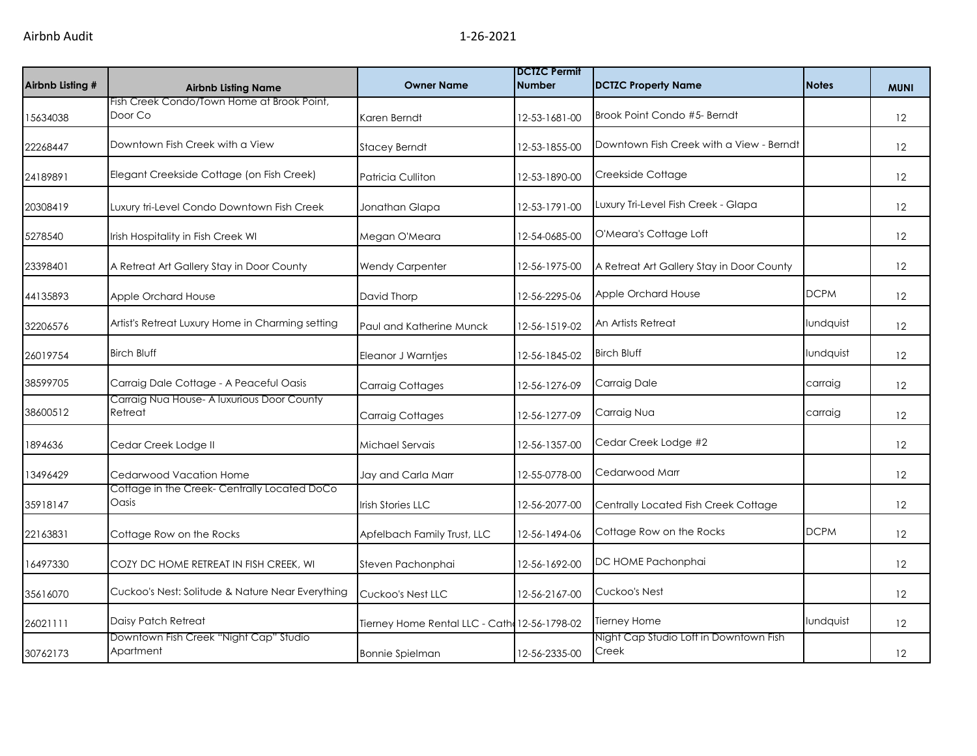| Airbnb Listing # | <b>Airbnb Listing Name</b>                            | <b>Owner Name</b>                            | <b>DCTZC Permit</b><br><b>Number</b> | <b>DCTZC Property Name</b>                      | <b>Notes</b> | <b>MUNI</b> |
|------------------|-------------------------------------------------------|----------------------------------------------|--------------------------------------|-------------------------------------------------|--------------|-------------|
| 15634038         | Fish Creek Condo/Town Home at Brook Point,<br>Door Co | Karen Berndt                                 | 12-53-1681-00                        | Brook Point Condo #5- Berndt                    |              | 12          |
| 22268447         | Downtown Fish Creek with a View                       | <b>Stacey Berndt</b>                         | 12-53-1855-00                        | Downtown Fish Creek with a View - Berndt        |              | 12          |
| 24189891         | Elegant Creekside Cottage (on Fish Creek)             | Patricia Culliton                            | 12-53-1890-00                        | Creekside Cottage                               |              | 12          |
| 20308419         | Luxury tri-Level Condo Downtown Fish Creek            | Jonathan Glapa                               | 12-53-1791-00                        | Luxury Tri-Level Fish Creek - Glapa             |              | 12          |
| 5278540          | Irish Hospitality in Fish Creek WI                    | Megan O'Meara                                | 12-54-0685-00                        | O'Meara's Cottage Loft                          |              | 12          |
| 23398401         | A Retreat Art Gallery Stay in Door County             | <b>Wendy Carpenter</b>                       | 12-56-1975-00                        | A Retreat Art Gallery Stay in Door County       |              | 12          |
| 44135893         | Apple Orchard House                                   | David Thorp                                  | 12-56-2295-06                        | Apple Orchard House                             | <b>DCPM</b>  | 12          |
| 32206576         | Artist's Retreat Luxury Home in Charming setting      | Paul and Katherine Munck                     | 12-56-1519-02                        | An Artists Retreat                              | lundquist    | 12          |
| 26019754         | <b>Birch Bluff</b>                                    | Eleanor J Warntjes                           | 12-56-1845-02                        | <b>Birch Bluff</b>                              | lundquist    | 12          |
| 38599705         | Carraig Dale Cottage - A Peaceful Oasis               | <b>Carraig Cottages</b>                      | 12-56-1276-09                        | Carraig Dale                                    | carraig      | 12          |
| 38600512         | Carraig Nua House- A luxurious Door County<br>Retreat | <b>Carraig Cottages</b>                      | 12-56-1277-09                        | Carraig Nua                                     | carraig      | 12          |
| 1894636          | Cedar Creek Lodge II                                  | Michael Servais                              | 12-56-1357-00                        | Cedar Creek Lodge #2                            |              | 12          |
| 13496429         | Cedarwood Vacation Home                               | Jay and Carla Marr                           | 12-55-0778-00                        | Cedarwood Marr                                  |              | 12          |
| 35918147         | Cottage in the Creek- Centrally Located DoCo<br>Oasis | <b>Irish Stories LLC</b>                     | 12-56-2077-00                        | Centrally Located Fish Creek Cottage            |              | 12          |
| 22163831         | Cottage Row on the Rocks                              | Apfelbach Family Trust, LLC                  | 12-56-1494-06                        | Cottage Row on the Rocks                        | <b>DCPM</b>  | 12          |
| 16497330         | COZY DC HOME RETREAT IN FISH CREEK, WI                | Steven Pachonphai                            | 12-56-1692-00                        | DC HOME Pachonphai                              |              | 12          |
| 35616070         | Cuckoo's Nest: Solitude & Nature Near Everything      | Cuckoo's Nest LLC                            | 12-56-2167-00                        | Cuckoo's Nest                                   |              | 12          |
| 26021111         | Daisy Patch Retreat                                   | Tierney Home Rental LLC - Cath 12-56-1798-02 |                                      | Tierney Home                                    | lundquist    | 12          |
| 30762173         | Downtown Fish Creek "Night Cap" Studio<br>Apartment   | <b>Bonnie Spielman</b>                       | 12-56-2335-00                        | Night Cap Studio Loft in Downtown Fish<br>Creek |              | 12          |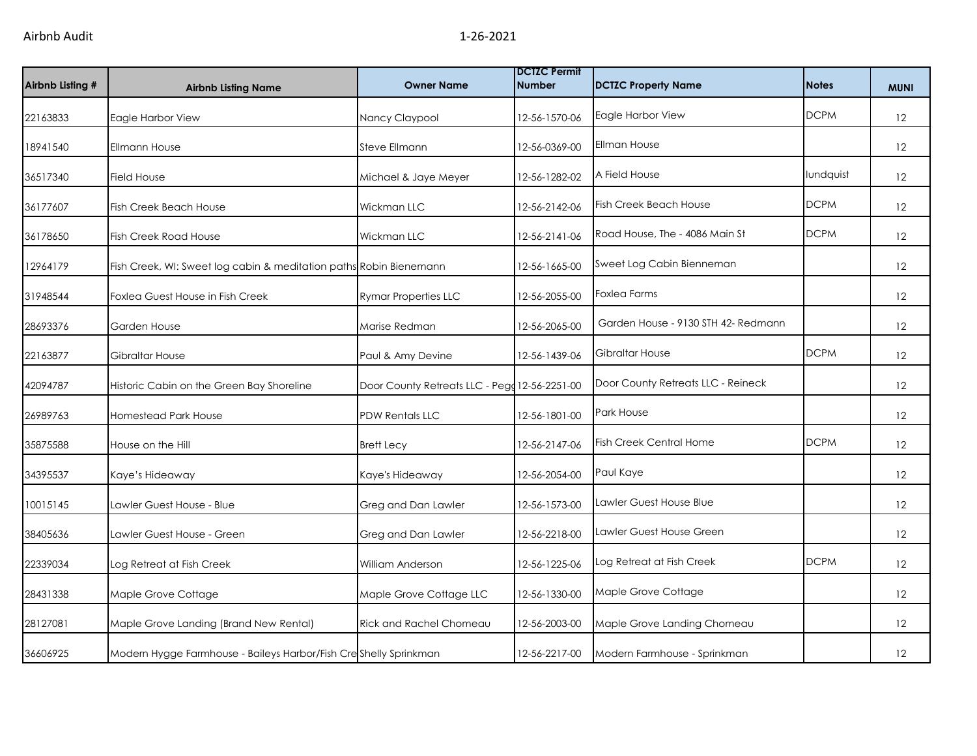| Airbnb Listing # | <b>Airbnb Listing Name</b>                                         | <b>Owner Name</b>                             | <b>DCTZC Permit</b><br><b>Number</b> | <b>DCTZC Property Name</b>          | <b>Notes</b> | <b>MUNI</b> |
|------------------|--------------------------------------------------------------------|-----------------------------------------------|--------------------------------------|-------------------------------------|--------------|-------------|
| 22163833         | Eagle Harbor View                                                  | Nancy Claypool                                | 12-56-1570-06                        | Eagle Harbor View                   | <b>DCPM</b>  | 12          |
| 18941540         | <b>Ellmann House</b>                                               | Steve Ellmann                                 | 12-56-0369-00                        | Ellman House                        |              | 12          |
| 36517340         | <b>Field House</b>                                                 | Michael & Jaye Meyer                          | 12-56-1282-02                        | A Field House                       | lundquist    | 12          |
| 36177607         | <b>Fish Creek Beach House</b>                                      | Wickman LLC                                   | 12-56-2142-06                        | <b>Fish Creek Beach House</b>       | <b>DCPM</b>  | 12          |
| 36178650         | Fish Creek Road House                                              | Wickman LLC                                   | 12-56-2141-06                        | Road House, The - 4086 Main St      | <b>DCPM</b>  | 12          |
| 12964179         | Fish Creek, WI: Sweet log cabin & meditation paths Robin Bienemann |                                               | 12-56-1665-00                        | Sweet Log Cabin Bienneman           |              | 12          |
| 31948544         | Foxlea Guest House in Fish Creek                                   | <b>Rymar Properties LLC</b>                   | 12-56-2055-00                        | <b>Foxlea Farms</b>                 |              | 12          |
| 28693376         | Garden House                                                       | Marise Redman                                 | 12-56-2065-00                        | Garden House - 9130 STH 42- Redmann |              | 12          |
| 22163877         | Gibraltar House                                                    | Paul & Amy Devine                             | 12-56-1439-06                        | Gibraltar House                     | <b>DCPM</b>  | 12          |
| 42094787         | Historic Cabin on the Green Bay Shoreline                          | Door County Retreats LLC - Pegg 12-56-2251-00 |                                      | Door County Retreats LLC - Reineck  |              | 12          |
| 26989763         | Homestead Park House                                               | PDW Rentals LLC                               | 12-56-1801-00                        | Park House                          |              | 12          |
| 35875588         | House on the Hill                                                  | <b>Brett Lecy</b>                             | 12-56-2147-06                        | <b>Fish Creek Central Home</b>      | <b>DCPM</b>  | 12          |
| 34395537         | Kaye's Hideaway                                                    | Kaye's Hideaway                               | 12-56-2054-00                        | Paul Kaye                           |              | 12          |
| 10015145         | Lawler Guest House - Blue                                          | Greg and Dan Lawler                           | 12-56-1573-00                        | Lawler Guest House Blue             |              | 12          |
| 38405636         | Lawler Guest House - Green                                         | Greg and Dan Lawler                           | 12-56-2218-00                        | Lawler Guest House Green            |              | 12          |
| 22339034         | Log Retreat at Fish Creek                                          | William Anderson                              | 12-56-1225-06                        | Log Retreat at Fish Creek           | <b>DCPM</b>  | 12          |
| 28431338         | Maple Grove Cottage                                                | Maple Grove Cottage LLC                       | 12-56-1330-00                        | Maple Grove Cottage                 |              | 12          |
| 28127081         | Maple Grove Landing (Brand New Rental)                             | Rick and Rachel Chomeau                       | 12-56-2003-00                        | Maple Grove Landing Chomeau         |              | 12          |
| 36606925         | Modern Hygge Farmhouse - Baileys Harbor/Fish Cresshelly Sprinkman  |                                               | 12-56-2217-00                        | Modern Farmhouse - Sprinkman        |              | 12          |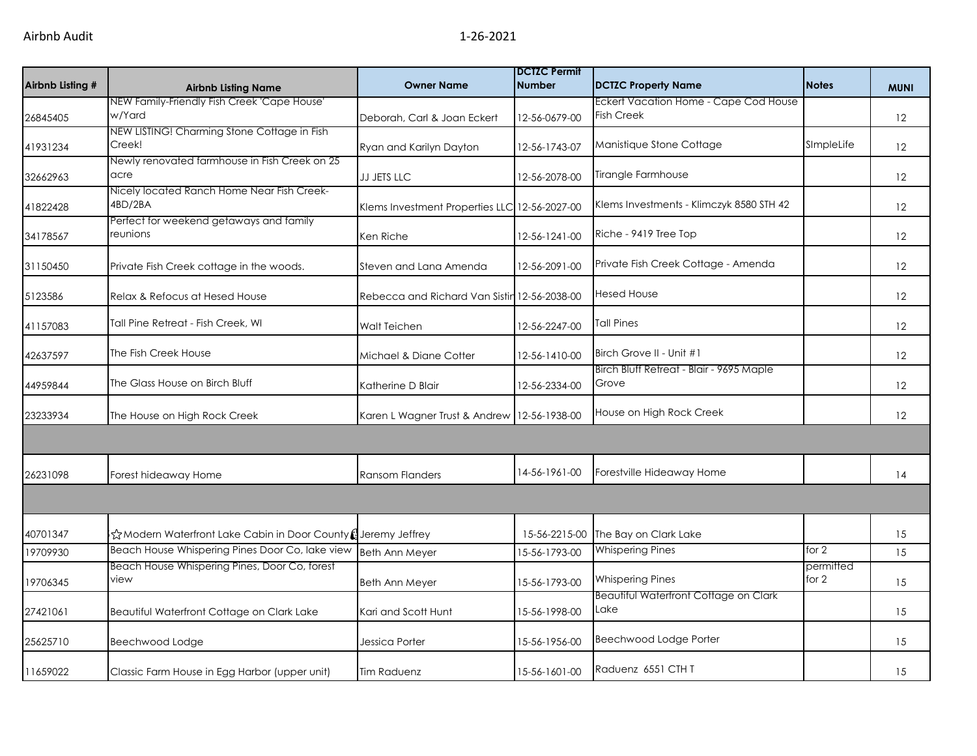| Airbnb Listing # | <b>Airbnb Listing Name</b>                                   | <b>Owner Name</b>                            | <b>DCTZC Permit</b><br><b>Number</b> | <b>DCTZC Property Name</b>                        | <b>Notes</b>         | <b>MUNI</b> |
|------------------|--------------------------------------------------------------|----------------------------------------------|--------------------------------------|---------------------------------------------------|----------------------|-------------|
|                  | NEW Family-Friendly Fish Creek 'Cape House'                  |                                              |                                      | Eckert Vacation Home - Cape Cod House             |                      |             |
| 26845405         | w/Yard                                                       | Deborah, Carl & Joan Eckert                  | 12-56-0679-00                        | <b>Fish Creek</b>                                 |                      | 12          |
| 41931234         | NEW LISTING! Charming Stone Cottage in Fish<br>Creek!        | Ryan and Karilyn Dayton                      | 12-56-1743-07                        | Manistique Stone Cottage                          | SImpleLife           | 12          |
| 32662963         | Newly renovated farmhouse in Fish Creek on 25<br>acre        | JJ JETS LLC                                  | 12-56-2078-00                        | Tirangle Farmhouse                                |                      | 12          |
| 41822428         | Nicely located Ranch Home Near Fish Creek-<br>4BD/2BA        | Klems Investment Properties LLC              | 12-56-2027-00                        | Klems Investments - Klimczyk 8580 STH 42          |                      | 12          |
| 34178567         | Perfect for weekend getaways and family<br>reunions          | Ken Riche                                    | 12-56-1241-00                        | Riche - 9419 Tree Top                             |                      | 12          |
| 31150450         | Private Fish Creek cottage in the woods.                     | Steven and Lana Amenda                       | 12-56-2091-00                        | Private Fish Creek Cottage - Amenda               |                      | 12          |
| 5123586          | Relax & Refocus at Hesed House                               | Rebecca and Richard Van Sistin 12-56-2038-00 |                                      | <b>Hesed House</b>                                |                      | 12          |
| 41157083         | <b>Tall Pine Retreat - Fish Creek, WI</b>                    | Walt Teichen                                 | 12-56-2247-00                        | <b>Tall Pines</b>                                 |                      | 12          |
| 42637597         | The Fish Creek House                                         | Michael & Diane Cotter                       | 12-56-1410-00                        | Birch Grove II - Unit #1                          |                      | 12          |
| 44959844         | The Glass House on Birch Bluff                               | Katherine D Blair                            | 12-56-2334-00                        | Birch Bluff Retreat - Blair - 9695 Maple<br>Grove |                      | 12          |
| 23233934         | The House on High Rock Creek                                 | Karen L Wagner Trust & Andrew                | 12-56-1938-00                        | House on High Rock Creek                          |                      | 12          |
|                  |                                                              |                                              |                                      |                                                   |                      |             |
| 26231098         | Forest hideaway Home                                         | <b>Ransom Flanders</b>                       | 14-56-1961-00                        | Forestville Hideaway Home                         |                      | 14          |
|                  |                                                              |                                              |                                      |                                                   |                      |             |
| 40701347         | ☆Modern Waterfront Lake Cabin in Door County (Jeremy Jeffrey |                                              | 15-56-2215-00                        | The Bay on Clark Lake                             |                      | 15          |
| 19709930         | Beach House Whispering Pines Door Co, lake view              | <b>Beth Ann Meyer</b>                        | 15-56-1793-00                        | <b>Whispering Pines</b>                           | for $2$              | 15          |
| 19706345         | Beach House Whispering Pines, Door Co, forest<br>view        | <b>Beth Ann Meyer</b>                        | 15-56-1793-00                        | <b>Whispering Pines</b>                           | permitted<br>for $2$ | 15          |
| 27421061         | Beautiful Waterfront Cottage on Clark Lake                   | Kari and Scott Hunt                          | 15-56-1998-00                        | Beautiful Waterfront Cottage on Clark<br>Lake     |                      | 15          |
| 25625710         | Beechwood Lodge                                              | Jessica Porter                               | 15-56-1956-00                        | Beechwood Lodge Porter                            |                      | 15          |
| 11659022         | Classic Farm House in Egg Harbor (upper unit)                | <b>Tim Raduenz</b>                           | 15-56-1601-00                        | Raduenz 6551 CTH T                                |                      | 15          |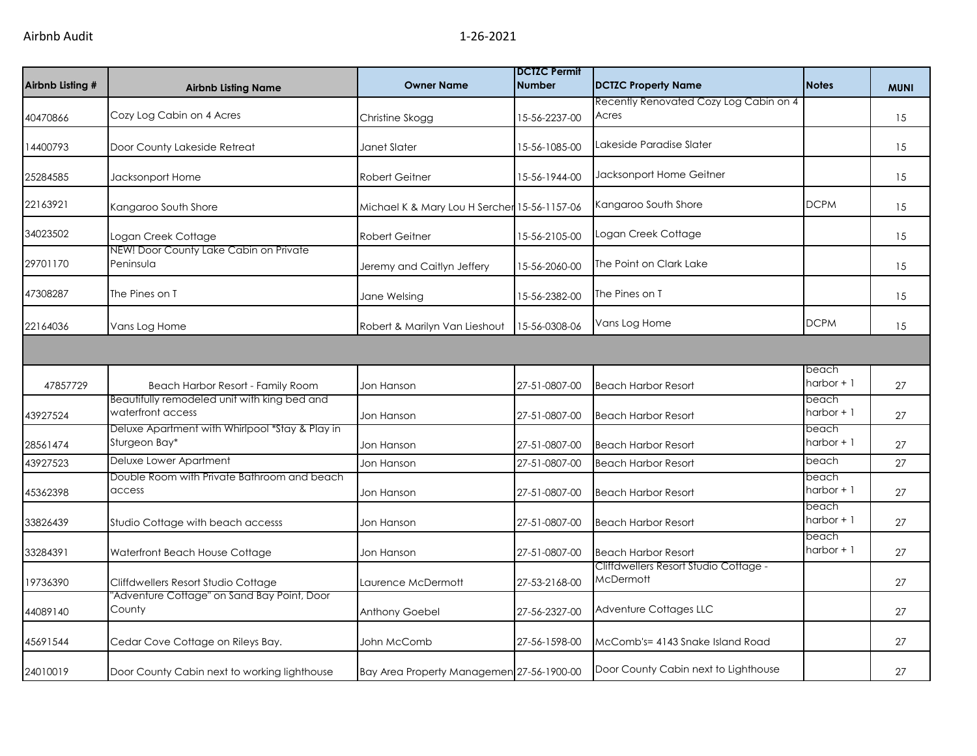| Airbnb Listing # | <b>Airbnb Listing Name</b>                                        | <b>Owner Name</b>                            | <b>DCTZC Permit</b><br><b>Number</b> | <b>DCTZC Property Name</b>                         | <b>Notes</b>         | <b>MUNI</b> |
|------------------|-------------------------------------------------------------------|----------------------------------------------|--------------------------------------|----------------------------------------------------|----------------------|-------------|
| 40470866         | Cozy Log Cabin on 4 Acres                                         | Christine Skogg                              | 15-56-2237-00                        | Recently Renovated Cozy Log Cabin on 4<br>Acres    |                      | 15          |
| 14400793         | Door County Lakeside Retreat                                      | Janet Slater                                 | 15-56-1085-00                        | Lakeside Paradise Slater                           |                      | 15          |
| 25284585         | Jacksonport Home                                                  | <b>Robert Geitner</b>                        | 15-56-1944-00                        | Jacksonport Home Geitner                           |                      | 15          |
| 22163921         | Kangaroo South Shore                                              | Michael K & Mary Lou H Sercher 15-56-1157-06 |                                      | Kangaroo South Shore                               | <b>DCPM</b>          | 15          |
| 34023502         | Logan Creek Cottage                                               | <b>Robert Geitner</b>                        | 15-56-2105-00                        | Logan Creek Cottage                                |                      | 15          |
| 29701170         | NEW! Door County Lake Cabin on Private<br>Peninsula               | Jeremy and Caitlyn Jeffery                   | 15-56-2060-00                        | The Point on Clark Lake                            |                      | 15          |
| 47308287         | The Pines on T                                                    | Jane Welsing                                 | 15-56-2382-00                        | The Pines on T                                     |                      | 15          |
| 22164036         | Vans Log Home                                                     | Robert & Marilyn Van Lieshout                | 15-56-0308-06                        | Vans Log Home                                      | <b>DCPM</b>          | 15          |
|                  |                                                                   |                                              |                                      |                                                    |                      |             |
| 47857729         | Beach Harbor Resort - Family Room                                 | Jon Hanson                                   | 27-51-0807-00                        | <b>Beach Harbor Resort</b>                         | beach<br>harbor $+1$ | 27          |
| 43927524         | Beautifully remodeled unit with king bed and<br>waterfront access | Jon Hanson                                   | 27-51-0807-00                        | <b>Beach Harbor Resort</b>                         | beach<br>harbor $+1$ | 27          |
| 28561474         | Deluxe Apartment with Whirlpool *Stay & Play in<br>Sturgeon Bay*  | Jon Hanson                                   | 27-51-0807-00                        | <b>Beach Harbor Resort</b>                         | beach<br>harbor $+1$ | 27          |
| 43927523         | Deluxe Lower Apartment                                            | Jon Hanson                                   | 27-51-0807-00                        | <b>Beach Harbor Resort</b>                         | beach                | 27          |
| 45362398         | Double Room with Private Bathroom and beach<br>access             | Jon Hanson                                   | 27-51-0807-00                        | <b>Beach Harbor Resort</b>                         | beach<br>harbor $+1$ | 27          |
| 33826439         | Studio Cottage with beach accesss                                 | Jon Hanson                                   | 27-51-0807-00                        | <b>Beach Harbor Resort</b>                         | beach<br>harbor $+1$ | 27          |
| 33284391         | Waterfront Beach House Cottage                                    | Jon Hanson                                   | 27-51-0807-00                        | <b>Beach Harbor Resort</b>                         | beach<br>harbor $+1$ | 27          |
| 19736390         | Cliffdwellers Resort Studio Cottage                               | Laurence McDermott                           | 27-53-2168-00                        | Cliffdwellers Resort Studio Cottage -<br>McDermott |                      | 27          |
| 44089140         | "Adventure Cottage" on Sand Bay Point, Door<br>County             | <b>Anthony Goebel</b>                        | 27-56-2327-00                        | Adventure Cottages LLC                             |                      | 27          |
| 45691544         | Cedar Cove Cottage on Rileys Bay.                                 | John McComb                                  | 27-56-1598-00                        | McComb's= 4143 Snake Island Road                   |                      | 27          |
| 24010019         | Door County Cabin next to working lighthouse                      | Bay Area Property Managemen 27-56-1900-00    |                                      | Door County Cabin next to Lighthouse               |                      | 27          |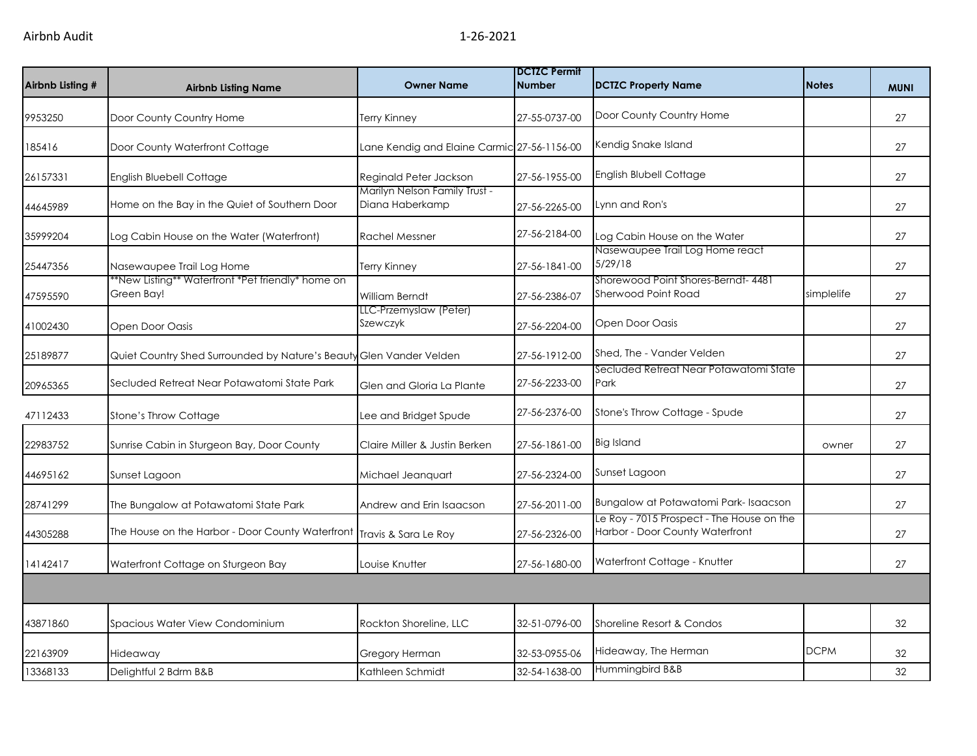| Airbnb Listing # | <b>Airbnb Listing Name</b>                                          | <b>Owner Name</b>                                | <b>IDCTZC Permit</b><br><b>Number</b> | <b>DCTZC Property Name</b>                                                   | <b>Notes</b> | <b>MUNI</b> |
|------------------|---------------------------------------------------------------------|--------------------------------------------------|---------------------------------------|------------------------------------------------------------------------------|--------------|-------------|
| 9953250          | Door County Country Home                                            | Terry Kinney                                     | 27-55-0737-00                         | Door County Country Home                                                     |              | 27          |
| 185416           | Door County Waterfront Cottage                                      | Lane Kendig and Elaine Carmic 27-56-1156-00      |                                       | Kendig Snake Island                                                          |              | 27          |
| 26157331         | <b>English Bluebell Cottage</b>                                     | Reginald Peter Jackson                           | 27-56-1955-00                         | English Blubell Cottage                                                      |              | 27          |
| 44645989         | Home on the Bay in the Quiet of Southern Door                       | Marilyn Nelson Family Trust -<br>Diana Haberkamp | 27-56-2265-00                         | Lynn and Ron's                                                               |              | 27          |
| 35999204         | Log Cabin House on the Water (Waterfront)                           | <b>Rachel Messner</b>                            | 27-56-2184-00                         | Log Cabin House on the Water                                                 |              | 27          |
| 25447356         | Nasewaupee Trail Log Home                                           | <b>Terry Kinney</b>                              | 27-56-1841-00                         | Nasewaupee Trail Log Home react<br>5/29/18                                   |              | 27          |
| 47595590         | *New Listing** Waterfront *Pet friendly* home on<br>Green Bay!      | William Berndt                                   | 27-56-2386-07                         | Shorewood Point Shores-Berndt- 4481<br>Sherwood Point Road                   | simplelife   | 27          |
| 41002430         | Open Door Oasis                                                     | LLC-Przemyslaw (Peter)<br>Szewczyk               | 27-56-2204-00                         | Open Door Oasis                                                              |              | 27          |
| 25189877         | Quiet Country Shed Surrounded by Nature's Beauty Glen Vander Velden |                                                  | 27-56-1912-00                         | Shed, The - Vander Velden                                                    |              | 27          |
| 20965365         | Secluded Retreat Near Potawatomi State Park                         | Glen and Gloria La Plante                        | 27-56-2233-00                         | Secluded Retreat Near Potawatomi State<br>Park                               |              | 27          |
| 47112433         | Stone's Throw Cottage                                               | Lee and Bridget Spude                            | 27-56-2376-00                         | Stone's Throw Cottage - Spude                                                |              | 27          |
| 22983752         | Sunrise Cabin in Sturgeon Bay, Door County                          | Claire Miller & Justin Berken                    | 27-56-1861-00                         | <b>Big Island</b>                                                            | owner        | 27          |
| 44695162         | Sunset Lagoon                                                       | Michael Jeanquart                                | 27-56-2324-00                         | Sunset Lagoon                                                                |              | 27          |
| 28741299         | The Bungalow at Potawatomi State Park                               | Andrew and Erin Isaacson                         | 27-56-2011-00                         | Bungalow at Potawatomi Park-Isaacson                                         |              | 27          |
| 44305288         | The House on the Harbor - Door County Waterfront                    | Travis & Sara Le Roy                             | 27-56-2326-00                         | Le Roy - 7015 Prospect - The House on the<br>Harbor - Door County Waterfront |              | 27          |
| 14142417         | Waterfront Cottage on Sturgeon Bay                                  | Louise Knutter                                   | 27-56-1680-00                         | Waterfront Cottage - Knutter                                                 |              | 27          |
|                  |                                                                     |                                                  |                                       |                                                                              |              |             |
| 43871860         | Spacious Water View Condominium                                     | Rockton Shoreline, LLC                           | 32-51-0796-00                         | Shoreline Resort & Condos                                                    |              | 32          |
| 22163909         | Hideaway                                                            | Gregory Herman                                   | 32-53-0955-06                         | Hideaway, The Herman                                                         | <b>DCPM</b>  | 32          |
| 13368133         | Delightful 2 Bdrm B&B                                               | Kathleen Schmidt                                 | 32-54-1638-00                         | Hummingbird B&B                                                              |              | 32          |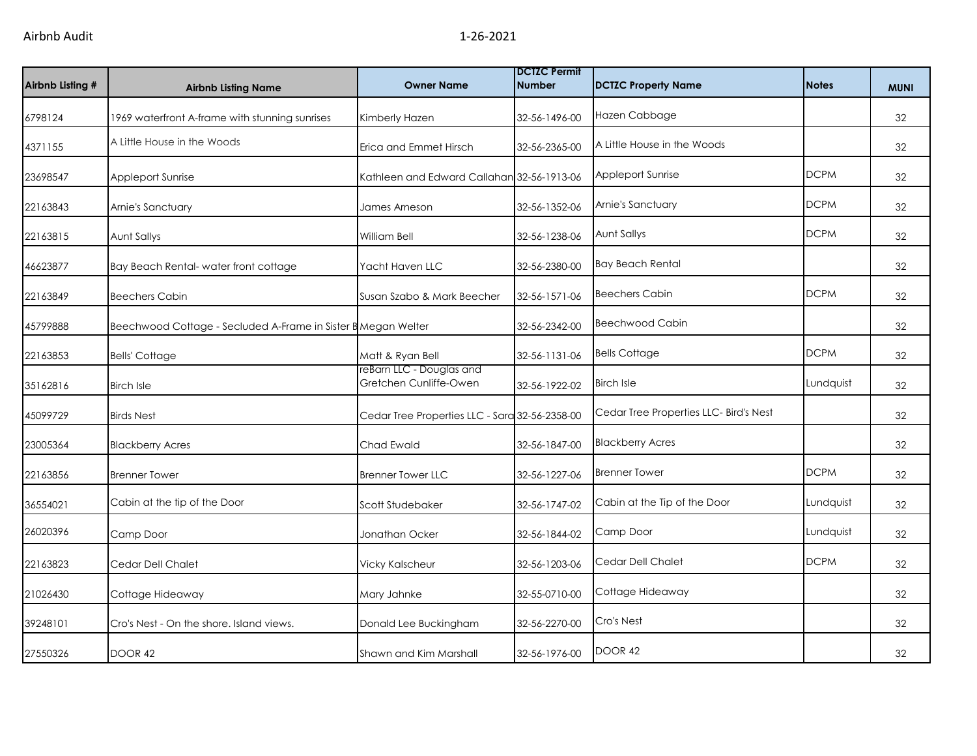| Airbnb Listing # | <b>Airbnb Listing Name</b>                                    | <b>Owner Name</b>                                  | <b>DCTZC Permit</b><br><b>Number</b> | <b>DCTZC Property Name</b>             | <b>Notes</b> | <b>MUNI</b> |
|------------------|---------------------------------------------------------------|----------------------------------------------------|--------------------------------------|----------------------------------------|--------------|-------------|
| 6798124          | 1969 waterfront A-frame with stunning sunrises                | Kimberly Hazen                                     | 32-56-1496-00                        | Hazen Cabbage                          |              | 32          |
| 4371155          | A Little House in the Woods                                   | Erica and Emmet Hirsch                             | 32-56-2365-00                        | A Little House in the Woods            |              | 32          |
| 23698547         | Appleport Sunrise                                             | Kathleen and Edward Callahan 32-56-1913-06         |                                      | Appleport Sunrise                      | <b>DCPM</b>  | 32          |
| 22163843         | Arnie's Sanctuary                                             | James Arneson                                      | 32-56-1352-06                        | Arnie's Sanctuary                      | <b>DCPM</b>  | 32          |
| 22163815         | Aunt Sallys                                                   | William Bell                                       | 32-56-1238-06                        | Aunt Sallys                            | <b>DCPM</b>  | 32          |
| 46623877         | Bay Beach Rental-water front cottage                          | Yacht Haven LLC                                    | 32-56-2380-00                        | <b>Bay Beach Rental</b>                |              | 32          |
| 22163849         | <b>Beechers Cabin</b>                                         | Susan Szabo & Mark Beecher                         | 32-56-1571-06                        | <b>Beechers Cabin</b>                  | <b>DCPM</b>  | 32          |
| 45799888         | Beechwood Cottage - Secluded A-Frame in Sister B Megan Welter |                                                    | 32-56-2342-00                        | <b>Beechwood Cabin</b>                 |              | 32          |
| 22163853         | <b>Bells' Cottage</b>                                         | Matt & Ryan Bell                                   | 32-56-1131-06                        | <b>Bells Cottage</b>                   | <b>DCPM</b>  | 32          |
| 35162816         | <b>Birch Isle</b>                                             | reBarn LLC - Douglas and<br>Gretchen Cunliffe-Owen | 32-56-1922-02                        | <b>Birch Isle</b>                      | Lundquist    | 32          |
| 45099729         | <b>Birds Nest</b>                                             | Cedar Tree Properties LLC - Sara 32-56-2358-00     |                                      | Cedar Tree Properties LLC- Bird's Nest |              | 32          |
| 23005364         | <b>Blackberry Acres</b>                                       | Chad Ewald                                         | 32-56-1847-00                        | <b>Blackberry Acres</b>                |              | 32          |
| 22163856         | <b>Brenner Tower</b>                                          | <b>Brenner Tower LLC</b>                           | 32-56-1227-06                        | <b>Brenner Tower</b>                   | <b>DCPM</b>  | 32          |
| 36554021         | Cabin at the tip of the Door                                  | Scott Studebaker                                   | 32-56-1747-02                        | Cabin at the Tip of the Door           | Lundquist    | 32          |
| 26020396         | Camp Door                                                     | Jonathan Ocker                                     | 32-56-1844-02                        | Camp Door                              | Lundquist    | 32          |
| 22163823         | Cedar Dell Chalet                                             | <b>Vicky Kalscheur</b>                             | 32-56-1203-06                        | Cedar Dell Chalet                      | <b>DCPM</b>  | 32          |
| 21026430         | Cottage Hideaway                                              | Mary Jahnke                                        | 32-55-0710-00                        | Cottage Hideaway                       |              | 32          |
| 39248101         | Cro's Nest - On the shore. Island views.                      | Donald Lee Buckingham                              | 32-56-2270-00                        | Cro's Nest                             |              | 32          |
| 27550326         | DOOR 42                                                       | Shawn and Kim Marshall                             | 32-56-1976-00                        | DOOR 42                                |              | 32          |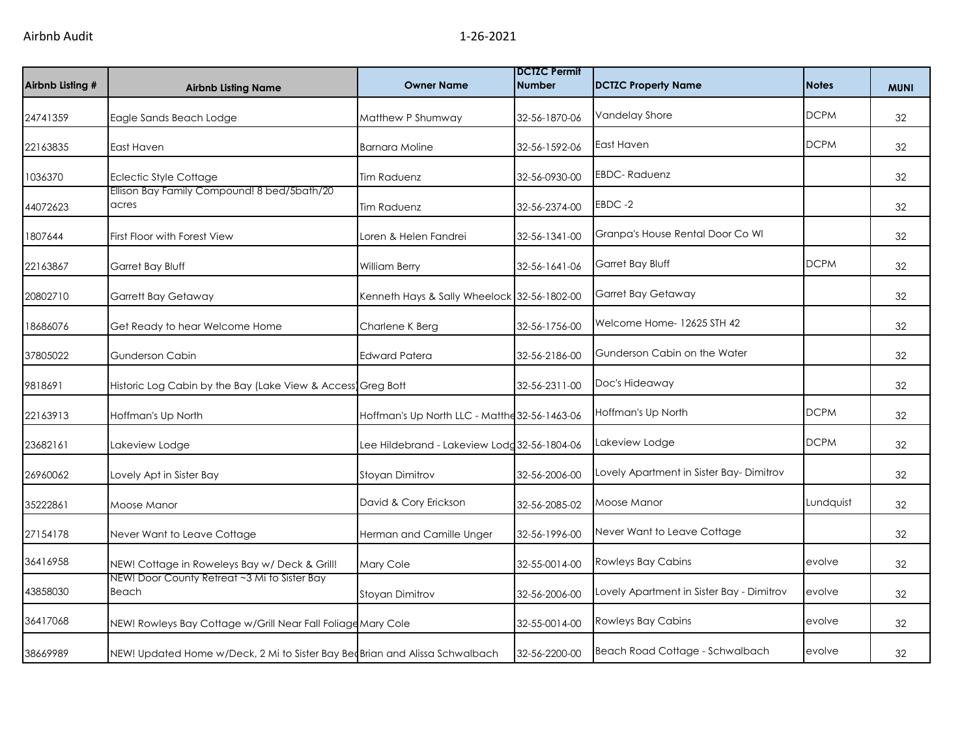| Airbnb Listing # | <b>Airbnb Listing Name</b>                                                  | <b>Owner Name</b>                             | <b>DCTZC Permit</b><br><b>Number</b> | <b>DCTZC Property Name</b>                | <b>Notes</b> | <b>MUNI</b> |
|------------------|-----------------------------------------------------------------------------|-----------------------------------------------|--------------------------------------|-------------------------------------------|--------------|-------------|
| 24741359         | Eagle Sands Beach Lodge                                                     | Matthew P Shumway                             | 32-56-1870-06                        | Vandelay Shore                            | <b>DCPM</b>  | 32          |
| 22163835         | East Haven                                                                  | <b>Barnara Moline</b>                         | 32-56-1592-06                        | East Haven                                | <b>DCPM</b>  | 32          |
| 1036370          | <b>Eclectic Style Cottage</b>                                               | Tim Raduenz                                   | 32-56-0930-00                        | <b>EBDC-Raduenz</b>                       |              | 32          |
| 44072623         | Ellison Bay Family Compound! 8 bed/5bath/20<br>acres                        | Tim Raduenz                                   | 32-56-2374-00                        | EBDC-2                                    |              | 32          |
| 1807644          | First Floor with Forest View                                                | Loren & Helen Fandrei                         | 32-56-1341-00                        | Granpa's House Rental Door Co WI          |              | 32          |
| 22163867         | Garret Bay Bluff                                                            | William Berry                                 | 32-56-1641-06                        | Garret Bay Bluff                          | <b>DCPM</b>  | 32          |
| 20802710         | <b>Garrett Bay Getaway</b>                                                  | Kenneth Hays & Sally Wheelock 32-56-1802-00   |                                      | Garret Bay Getaway                        |              | 32          |
| 18686076         | Get Ready to hear Welcome Home                                              | Charlene K Berg                               | 32-56-1756-00                        | Welcome Home- 12625 STH 42                |              | 32          |
| 37805022         | Gunderson Cabin                                                             | Edward Patera                                 | 32-56-2186-00                        | Gunderson Cabin on the Water              |              | 32          |
| 9818691          | Historic Log Cabin by the Bay (Lake View & Access Greg Bott                 |                                               | 32-56-2311-00                        | Doc's Hideaway                            |              | 32          |
| 22163913         | Hoffman's Up North                                                          | Hoffman's Up North LLC - Matthe 32-56-1463-06 |                                      | Hoffman's Up North                        | <b>DCPM</b>  | 32          |
| 23682161         | Lakeview Lodge                                                              | Lee Hildebrand - Lakeview Lodg 32-56-1804-06  |                                      | Lakeview Lodge                            | <b>DCPM</b>  | 32          |
| 26960062         | Lovely Apt in Sister Bay                                                    | Stoyan Dimitrov                               | 32-56-2006-00                        | Lovely Apartment in Sister Bay-Dimitrov   |              | 32          |
| 35222861         | Moose Manor                                                                 | David & Cory Erickson                         | 32-56-2085-02                        | Moose Manor                               | Lundquist    | 32          |
| 27154178         | Never Want to Leave Cottage                                                 | Herman and Camille Unger                      | 32-56-1996-00                        | Never Want to Leave Cottage               |              | 32          |
| 36416958         | NEW! Cottage in Roweleys Bay w/ Deck & Grill!                               | Mary Cole                                     | 32-55-0014-00                        | Rowleys Bay Cabins                        | evolve       | 32          |
| 43858030         | NEW! Door County Retreat ~3 Mi to Sister Bay<br>Beach                       | Stoyan Dimitrov                               | 32-56-2006-00                        | Lovely Apartment in Sister Bay - Dimitrov | evolve       | 32          |
| 36417068         | NEW! Rowleys Bay Cottage w/Grill Near Fall Foliage Mary Cole                |                                               | 32-55-0014-00                        | Rowleys Bay Cabins                        | evolve       | 32          |
| 38669989         | NEW! Updated Home w/Deck, 2 Mi to Sister Bay BeoBrian and Alissa Schwalbach |                                               | 32-56-2200-00                        | Beach Road Cottage - Schwalbach           | evolve       | 32          |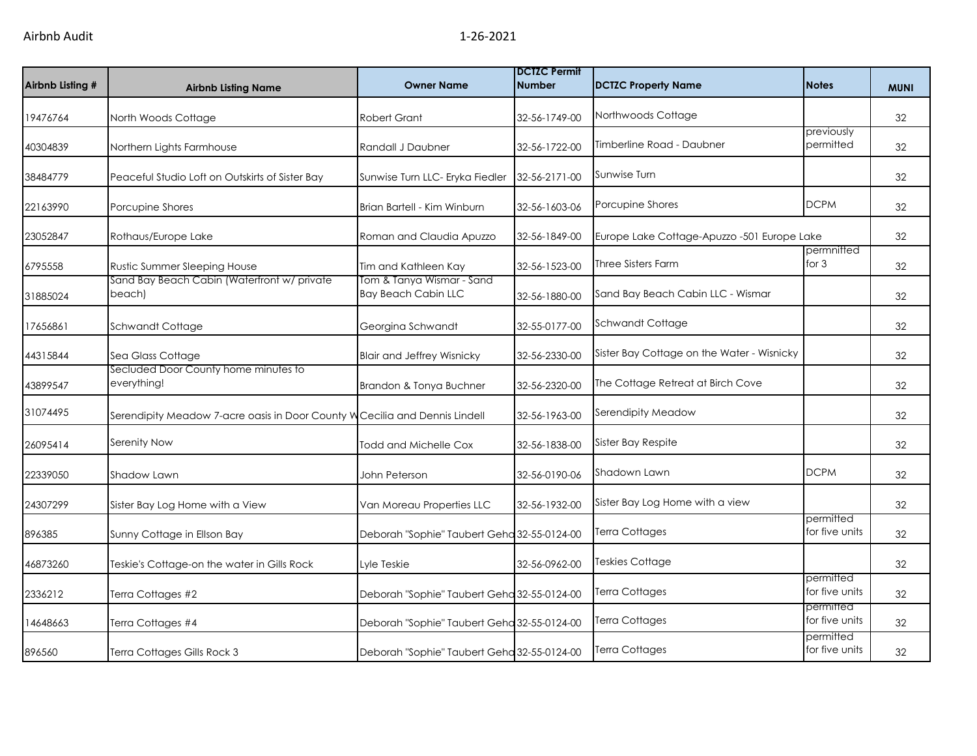| Airbnb Listing # | <b>Airbnb Listing Name</b>                                                  | <b>Owner Name</b>                                       | <b>DCTZC Permit</b><br><b>Number</b> | <b>DCTZC Property Name</b>                  | <b>Notes</b>                | <b>MUNI</b> |
|------------------|-----------------------------------------------------------------------------|---------------------------------------------------------|--------------------------------------|---------------------------------------------|-----------------------------|-------------|
| 19476764         | North Woods Cottage                                                         | <b>Robert Grant</b>                                     | 32-56-1749-00                        | Northwoods Cottage                          |                             | 32          |
| 40304839         | Northern Lights Farmhouse                                                   | Randall J Daubner                                       | 32-56-1722-00                        | Timberline Road - Daubner                   | previously<br>permitted     | 32          |
| 38484779         | Peaceful Studio Loft on Outskirts of Sister Bay                             | Sunwise Turn LLC- Eryka Fiedler                         | 32-56-2171-00                        | Sunwise Turn                                |                             | 32          |
| 22163990         | Porcupine Shores                                                            | Brian Bartell - Kim Winburn                             | 32-56-1603-06                        | Porcupine Shores                            | <b>DCPM</b>                 | 32          |
| 23052847         | Rothaus/Europe Lake                                                         | Roman and Claudia Apuzzo                                | 32-56-1849-00                        | Europe Lake Cottage-Apuzzo -501 Europe Lake |                             | 32          |
| 6795558          | Rustic Summer Sleeping House                                                | Tim and Kathleen Kay                                    | 32-56-1523-00                        | <b>Three Sisters Farm</b>                   | permnitted<br>for $3$       | 32          |
| 31885024         | Sand Bay Beach Cabin (Waterfront w/ private<br>beach)                       | Tom & Tanya Wismar - Sand<br><b>Bay Beach Cabin LLC</b> | 32-56-1880-00                        | Sand Bay Beach Cabin LLC - Wismar           |                             | 32          |
| 17656861         | Schwandt Cottage                                                            | Georgina Schwandt                                       | 32-55-0177-00                        | Schwandt Cottage                            |                             | 32          |
| 44315844         | Sea Glass Cottage                                                           | <b>Blair and Jeffrey Wisnicky</b>                       | 32-56-2330-00                        | Sister Bay Cottage on the Water - Wisnicky  |                             | 32          |
| 43899547         | Secluded Door County home minutes to<br>everything!                         | Brandon & Tonya Buchner                                 | 32-56-2320-00                        | The Cottage Retreat at Birch Cove           |                             | 32          |
| 31074495         | Serendipity Meadow 7-acre oasis in Door County W Cecilia and Dennis Lindell |                                                         | 32-56-1963-00                        | Serendipity Meadow                          |                             | 32          |
| 26095414         | Serenity Now                                                                | Todd and Michelle Cox                                   | 32-56-1838-00                        | Sister Bay Respite                          |                             | 32          |
| 22339050         | Shadow Lawn                                                                 | John Peterson                                           | 32-56-0190-06                        | Shadown Lawn                                | <b>DCPM</b>                 | 32          |
| 24307299         | Sister Bay Log Home with a View                                             | Van Moreau Properties LLC                               | 32-56-1932-00                        | Sister Bay Log Home with a view             |                             | 32          |
| 896385           | Sunny Cottage in Ellson Bay                                                 | Deborah "Sophie" Taubert Geha 32-55-0124-00             |                                      | <b>Terra Cottages</b>                       | permitted<br>for five units | 32          |
| 46873260         | Teskie's Cottage-on the water in Gills Rock                                 | Lyle Teskie                                             | 32-56-0962-00                        | Teskies Cottage                             |                             | 32          |
| 2336212          | Terra Cottages #2                                                           | Deborah "Sophie" Taubert Geha 32-55-0124-00             |                                      | Terra Cottages                              | permitted<br>for five units | 32          |
| 14648663         | Terra Cottages #4                                                           | Deborah "Sophie" Taubert Geha 32-55-0124-00             |                                      | Terra Cottages                              | permitted<br>for five units | 32          |
| 896560           | Terra Cottages Gills Rock 3                                                 | Deborah "Sophie" Taubert Geha 32-55-0124-00             |                                      | Terra Cottages                              | permitted<br>for five units | 32          |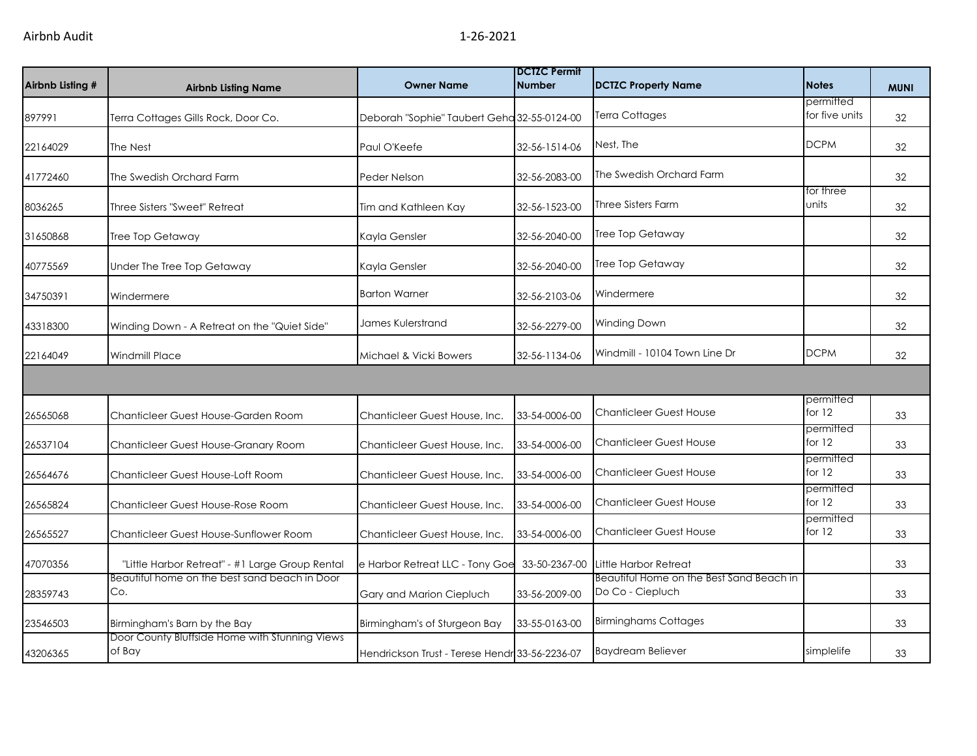| Airbnb Listing # | <b>Airbnb Listing Name</b>                               | <b>Owner Name</b>                              | <b>IDCTZC Permit</b><br>Number | <b>DCTZC Property Name</b>                                   | <b>Notes</b>                | <b>MUNI</b> |
|------------------|----------------------------------------------------------|------------------------------------------------|--------------------------------|--------------------------------------------------------------|-----------------------------|-------------|
| 897991           | Terra Cottages Gills Rock, Door Co.                      | Deborah "Sophie" Taubert Geha 32-55-0124-00    |                                | Terra Cottages                                               | permitted<br>for five units | 32          |
| 22164029         | The Nest                                                 | Paul O'Keefe                                   | 32-56-1514-06                  | Nest, The                                                    | <b>DCPM</b>                 | 32          |
| 41772460         | The Swedish Orchard Farm                                 | Peder Nelson                                   | 32-56-2083-00                  | The Swedish Orchard Farm                                     |                             | 32          |
| 8036265          | Three Sisters "Sweet" Retreat                            | Tim and Kathleen Kay                           | 32-56-1523-00                  | Three Sisters Farm                                           | for three<br>units          | 32          |
| 31650868         | Tree Top Getaway                                         | Kayla Gensler                                  | 32-56-2040-00                  | Tree Top Getaway                                             |                             | 32          |
| 40775569         | Under The Tree Top Getaway                               | Kayla Gensler                                  | 32-56-2040-00                  | Tree Top Getaway                                             |                             | 32          |
| 34750391         | Windermere                                               | <b>Barton Warner</b>                           | 32-56-2103-06                  | Windermere                                                   |                             | 32          |
| 43318300         | Winding Down - A Retreat on the "Quiet Side"             | James Kulerstrand                              | 32-56-2279-00                  | <b>Winding Down</b>                                          |                             | 32          |
| 22164049         | <b>Windmill Place</b>                                    | Michael & Vicki Bowers                         | 32-56-1134-06                  | Windmill - 10104 Town Line Dr                                | <b>DCPM</b>                 | 32          |
|                  |                                                          |                                                |                                |                                                              |                             |             |
| 26565068         | Chanticleer Guest House-Garden Room                      | Chanticleer Guest House, Inc.                  | 33-54-0006-00                  | <b>Chanticleer Guest House</b>                               | permitted<br>for $12$       | 33          |
| 26537104         | Chanticleer Guest House-Granary Room                     | Chanticleer Guest House, Inc.                  | 33-54-0006-00                  | <b>Chanticleer Guest House</b>                               | permitted<br>for 12         | 33          |
| 26564676         | Chanticleer Guest House-Loft Room                        | Chanticleer Guest House, Inc.                  | 33-54-0006-00                  | <b>Chanticleer Guest House</b>                               | permitted<br>for 12         | 33          |
| 26565824         | Chanticleer Guest House-Rose Room                        | Chanticleer Guest House, Inc.                  | 33-54-0006-00                  | <b>Chanticleer Guest House</b>                               | permitted<br>for 12         | 33          |
| 26565527         | Chanticleer Guest House-Sunflower Room                   | Chanticleer Guest House, Inc.                  | 33-54-0006-00                  | <b>Chanticleer Guest House</b>                               | permitted<br>for 12         | 33          |
| 47070356         | "Little Harbor Retreat" - #1 Large Group Rental          | e Harbor Retreat LLC - Tony Goe                | 33-50-2367-00                  | Little Harbor Retreat                                        |                             | 33          |
| 28359743         | Beautiful home on the best sand beach in Door<br>Co.     | Gary and Marion Ciepluch                       | 33-56-2009-00                  | Beautiful Home on the Best Sand Beach in<br>Do Co - Ciepluch |                             | 33          |
| 23546503         | Birmingham's Barn by the Bay                             | Birmingham's of Sturgeon Bay                   | 33-55-0163-00                  | <b>Birminghams Cottages</b>                                  |                             | 33          |
| 43206365         | Door County Bluffside Home with Stunning Views<br>of Bay | Hendrickson Trust - Terese Hendr 33-56-2236-07 |                                | <b>Baydream Believer</b>                                     | simplelife                  | 33          |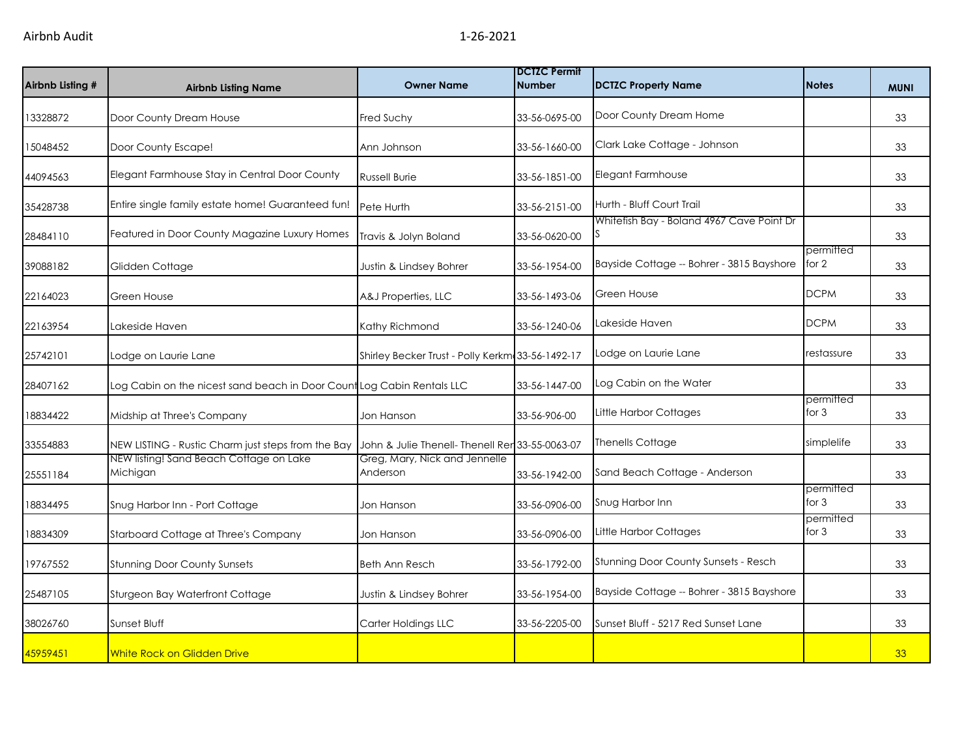| Airbnb Listing # | <b>Airbnb Listing Name</b>                                             | <b>Owner Name</b>                                | <b>DCTZC Permit</b><br><b>Number</b> | <b>DCTZC Property Name</b>                | <b>Notes</b>         | <b>MUNI</b> |
|------------------|------------------------------------------------------------------------|--------------------------------------------------|--------------------------------------|-------------------------------------------|----------------------|-------------|
| 13328872         | Door County Dream House                                                | Fred Suchy                                       | 33-56-0695-00                        | Door County Dream Home                    |                      | 33          |
| 15048452         | Door County Escape!                                                    | Ann Johnson                                      | 33-56-1660-00                        | Clark Lake Cottage - Johnson              |                      | 33          |
| 44094563         | Elegant Farmhouse Stay in Central Door County                          | <b>Russell Burie</b>                             | 33-56-1851-00                        | Elegant Farmhouse                         |                      | 33          |
| 35428738         | Entire single family estate home! Guaranteed fun!                      | Pete Hurth                                       | 33-56-2151-00                        | Hurth - Bluff Court Trail                 |                      | 33          |
| 28484110         | Featured in Door County Magazine Luxury Homes                          | Travis & Jolyn Boland                            | 33-56-0620-00                        | Whitefish Bay - Boland 4967 Cave Point Dr |                      | 33          |
| 39088182         | Glidden Cottage                                                        | Justin & Lindsey Bohrer                          | 33-56-1954-00                        | Bayside Cottage -- Bohrer - 3815 Bayshore | permitted<br>for 2   | 33          |
| 22164023         | Green House                                                            | A&J Properties, LLC                              | 33-56-1493-06                        | <b>Green House</b>                        | <b>DCPM</b>          | 33          |
| 22163954         | Lakeside Haven                                                         | Kathy Richmond                                   | 33-56-1240-06                        | Lakeside Haven                            | <b>DCPM</b>          | 33          |
| 25742101         | Lodge on Laurie Lane                                                   | Shirley Becker Trust - Polly Kerkm 33-56-1492-17 |                                      | Lodge on Laurie Lane                      | restassure           | 33          |
| 28407162         | Log Cabin on the nicest sand beach in Door Count Log Cabin Rentals LLC |                                                  | 33-56-1447-00                        | Log Cabin on the Water                    |                      | 33          |
| 18834422         | Midship at Three's Company                                             | Jon Hanson                                       | 33-56-906-00                         | Little Harbor Cottages                    | permitted<br>for 3   | 33          |
| 33554883         | NEW LISTING - Rustic Charm just steps from the Bay                     | John & Julie Thenell- Thenell Rer 33-55-0063-07  |                                      | <b>Thenells Cottage</b>                   | simplelife           | 33          |
| 25551184         | NEW listing! Sand Beach Cottage on Lake<br>Michigan                    | Greg, Mary, Nick and Jennelle<br>Anderson        | 33-56-1942-00                        | Sand Beach Cottage - Anderson             |                      | 33          |
| 18834495         | Snug Harbor Inn - Port Cottage                                         | Jon Hanson                                       | 33-56-0906-00                        | Snug Harbor Inn                           | permitted<br>for $3$ | 33          |
| 18834309         | Starboard Cottage at Three's Company                                   | Jon Hanson                                       | 33-56-0906-00                        | Little Harbor Cottages                    | permitted<br>for $3$ | 33          |
| 19767552         | <b>Stunning Door County Sunsets</b>                                    | <b>Beth Ann Resch</b>                            | 33-56-1792-00                        | Stunning Door County Sunsets - Resch      |                      | 33          |
| 25487105         | Sturgeon Bay Waterfront Cottage                                        | Justin & Lindsey Bohrer                          | 33-56-1954-00                        | Bayside Cottage -- Bohrer - 3815 Bayshore |                      | 33          |
| 38026760         | Sunset Bluff                                                           | Carter Holdings LLC                              | 33-56-2205-00                        | Sunset Bluff - 5217 Red Sunset Lane       |                      | 33          |
| 45959451         | <b>White Rock on Glidden Drive</b>                                     |                                                  |                                      |                                           |                      | 33          |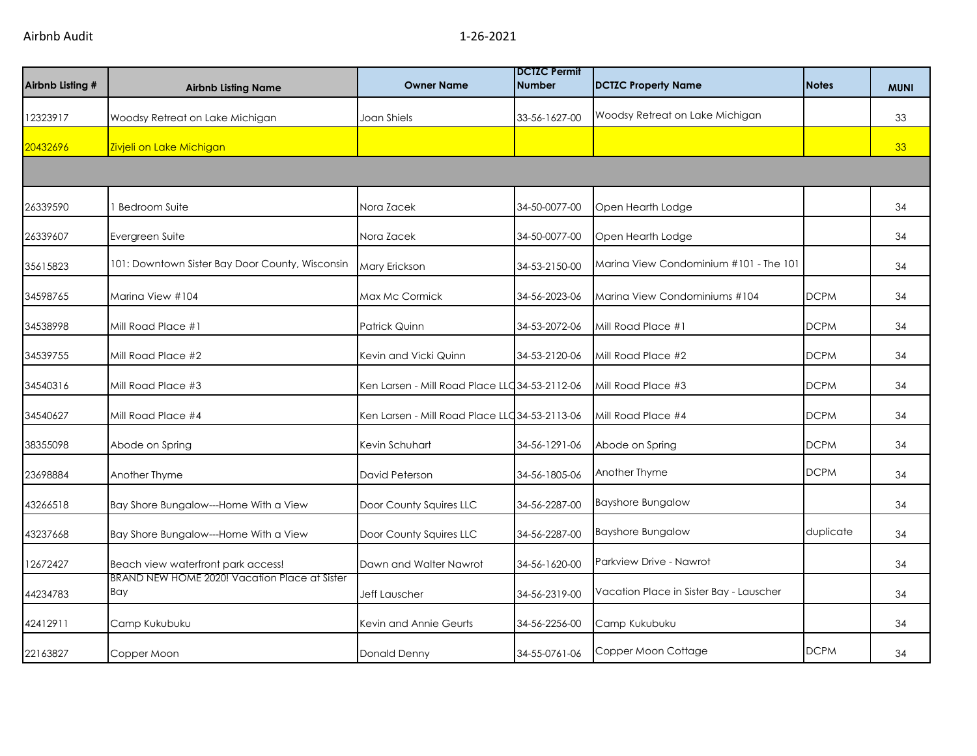| Airbnb Listing # | <b>Airbnb Listing Name</b>                           | <b>Owner Name</b>                              | <b>IDCTZC Permit</b><br><b>Number</b> | <b>DCTZC Property Name</b>              | <b>Notes</b> | <b>MUNI</b> |
|------------------|------------------------------------------------------|------------------------------------------------|---------------------------------------|-----------------------------------------|--------------|-------------|
| 12323917         | Woodsy Retreat on Lake Michigan                      | Joan Shiels                                    | 33-56-1627-00                         | Woodsy Retreat on Lake Michigan         |              | 33          |
| 20432696         | Zivjeli on Lake Michigan                             |                                                |                                       |                                         |              | 33          |
|                  |                                                      |                                                |                                       |                                         |              |             |
| 26339590         | <b>Bedroom Suite</b>                                 | Nora Zacek                                     | 34-50-0077-00                         | Open Hearth Lodge                       |              | 34          |
| 26339607         | Evergreen Suite                                      | Nora Zacek                                     | 34-50-0077-00                         | Open Hearth Lodge                       |              | 34          |
| 35615823         | 101: Downtown Sister Bay Door County, Wisconsin      | Mary Erickson                                  | 34-53-2150-00                         | Marina View Condominium #101 - The 101  |              | 34          |
| 34598765         | Marina View #104                                     | Max Mc Cormick                                 | 34-56-2023-06                         | Marina View Condominiums #104           | <b>DCPM</b>  | 34          |
| 34538998         | Mill Road Place #1                                   | <b>Patrick Quinn</b>                           | 34-53-2072-06                         | Mill Road Place #1                      | <b>DCPM</b>  | 34          |
| 34539755         | Mill Road Place #2                                   | Kevin and Vicki Quinn                          | 34-53-2120-06                         | Mill Road Place #2                      | <b>DCPM</b>  | 34          |
| 34540316         | Mill Road Place #3                                   | Ken Larsen - Mill Road Place LLC 34-53-2112-06 |                                       | Mill Road Place #3                      | <b>DCPM</b>  | 34          |
| 34540627         | Mill Road Place #4                                   | Ken Larsen - Mill Road Place LLC 34-53-2113-06 |                                       | Mill Road Place #4                      | <b>DCPM</b>  | 34          |
| 38355098         | Abode on Spring                                      | Kevin Schuhart                                 | 34-56-1291-06                         | Abode on Spring                         | <b>DCPM</b>  | 34          |
| 23698884         | Another Thyme                                        | David Peterson                                 | 34-56-1805-06                         | Another Thyme                           | <b>DCPM</b>  | 34          |
| 43266518         | Bay Shore Bungalow---Home With a View                | Door County Squires LLC                        | 34-56-2287-00                         | <b>Bayshore Bungalow</b>                |              | 34          |
| 43237668         | Bay Shore Bungalow---Home With a View                | Door County Squires LLC                        | 34-56-2287-00                         | <b>Bayshore Bungalow</b>                | duplicate    | 34          |
| 12672427         | Beach view waterfront park access!                   | Dawn and Walter Nawrot                         | 34-56-1620-00                         | Parkview Drive - Nawrot                 |              | 34          |
| 44234783         | BRAND NEW HOME 2020! Vacation Place at Sister<br>Bay | Jeff Lauscher                                  | 34-56-2319-00                         | Vacation Place in Sister Bay - Lauscher |              | 34          |
| 42412911         | Camp Kukubuku                                        | Kevin and Annie Geurts                         | 34-56-2256-00                         | Camp Kukubuku                           |              | 34          |
| 22163827         | Copper Moon                                          | Donald Denny                                   | 34-55-0761-06                         | Copper Moon Cottage                     | <b>DCPM</b>  | 34          |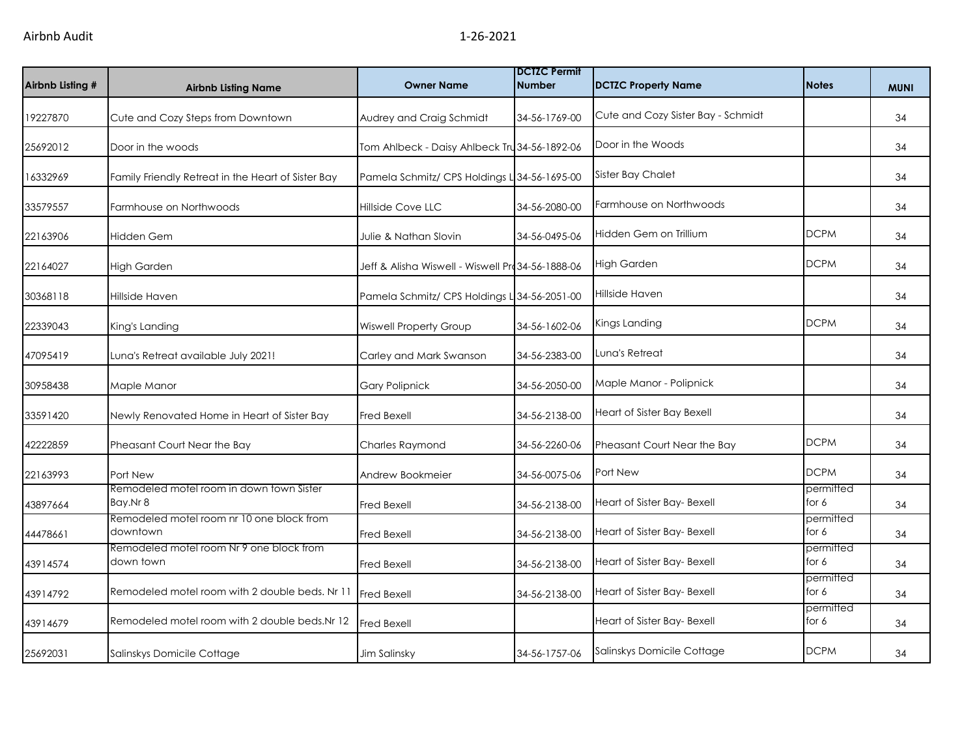| Airbnb Listing # | <b>Airbnb Listing Name</b>                            | <b>Owner Name</b>                                 | <b>DCTZC Permit</b><br><b>Number</b> | <b>DCTZC Property Name</b>         | <b>Notes</b>         | <b>MUNI</b> |
|------------------|-------------------------------------------------------|---------------------------------------------------|--------------------------------------|------------------------------------|----------------------|-------------|
| 19227870         | Cute and Cozy Steps from Downtown                     | Audrey and Craig Schmidt                          | 34-56-1769-00                        | Cute and Cozy Sister Bay - Schmidt |                      | 34          |
| 25692012         | Door in the woods                                     | Tom Ahlbeck - Daisy Ahlbeck Tru 34-56-1892-06     |                                      | Door in the Woods                  |                      | 34          |
| 16332969         | Family Friendly Retreat in the Heart of Sister Bay    | Pamela Schmitz/ CPS Holdings L 34-56-1695-00      |                                      | <b>Sister Bay Chalet</b>           |                      | 34          |
| 33579557         | Farmhouse on Northwoods                               | <b>Hillside Cove LLC</b>                          | 34-56-2080-00                        | Farmhouse on Northwoods            |                      | 34          |
| 22163906         | <b>Hidden Gem</b>                                     | Julie & Nathan Slovin                             | 34-56-0495-06                        | Hidden Gem on Trillium             | <b>DCPM</b>          | 34          |
| 22164027         | <b>High Garden</b>                                    | Jeff & Alisha Wiswell - Wiswell Pro 34-56-1888-06 |                                      | <b>High Garden</b>                 | <b>DCPM</b>          | 34          |
| 30368118         | Hillside Haven                                        | Pamela Schmitz/ CPS Holdings L 34-56-2051-00      |                                      | Hillside Haven                     |                      | 34          |
| 22339043         | King's Landing                                        | <b>Wiswell Property Group</b>                     | 34-56-1602-06                        | Kings Landing                      | <b>DCPM</b>          | 34          |
| 47095419         | Luna's Retreat available July 2021!                   | Carley and Mark Swanson                           | 34-56-2383-00                        | Luna's Retreat                     |                      | 34          |
| 30958438         | Maple Manor                                           | <b>Gary Polipnick</b>                             | 34-56-2050-00                        | Maple Manor - Polipnick            |                      | 34          |
| 33591420         | Newly Renovated Home in Heart of Sister Bay           | <b>Fred Bexell</b>                                | 34-56-2138-00                        | Heart of Sister Bay Bexell         |                      | 34          |
| 42222859         | Pheasant Court Near the Bay                           | Charles Raymond                                   | 34-56-2260-06                        | Pheasant Court Near the Bay        | <b>DCPM</b>          | 34          |
| 22163993         | Port New                                              | Andrew Bookmeier                                  | 34-56-0075-06                        | <b>Port New</b>                    | <b>DCPM</b>          | 34          |
| 43897664         | Remodeled motel room in down town Sister<br>Bay.Nr 8  | <b>Fred Bexell</b>                                | 34-56-2138-00                        | Heart of Sister Bay- Bexell        | permitted<br>for 6   | 34          |
| 44478661         | Remodeled motel room nr 10 one block from<br>downtown | <b>Fred Bexell</b>                                | 34-56-2138-00                        | Heart of Sister Bay- Bexell        | permitted<br>for 6   | 34          |
| 43914574         | Remodeled motel room Nr 9 one block from<br>down town | Fred Bexell                                       | 34-56-2138-00                        | Heart of Sister Bay- Bexell        | permitted<br>for 6   | 34          |
| 43914792         | Remodeled motel room with 2 double beds. Nr 11        | <b>Fred Bexell</b>                                | 34-56-2138-00                        | Heart of Sister Bay- Bexell        | permitted<br>for $6$ | 34          |
| 43914679         | Remodeled motel room with 2 double beds.Nr 12         | Fred Bexell                                       |                                      | Heart of Sister Bay- Bexell        | permitted<br>for 6   | 34          |
| 25692031         | Salinskys Domicile Cottage                            | Jim Salinsky                                      | 34-56-1757-06                        | Salinskys Domicile Cottage         | <b>DCPM</b>          | 34          |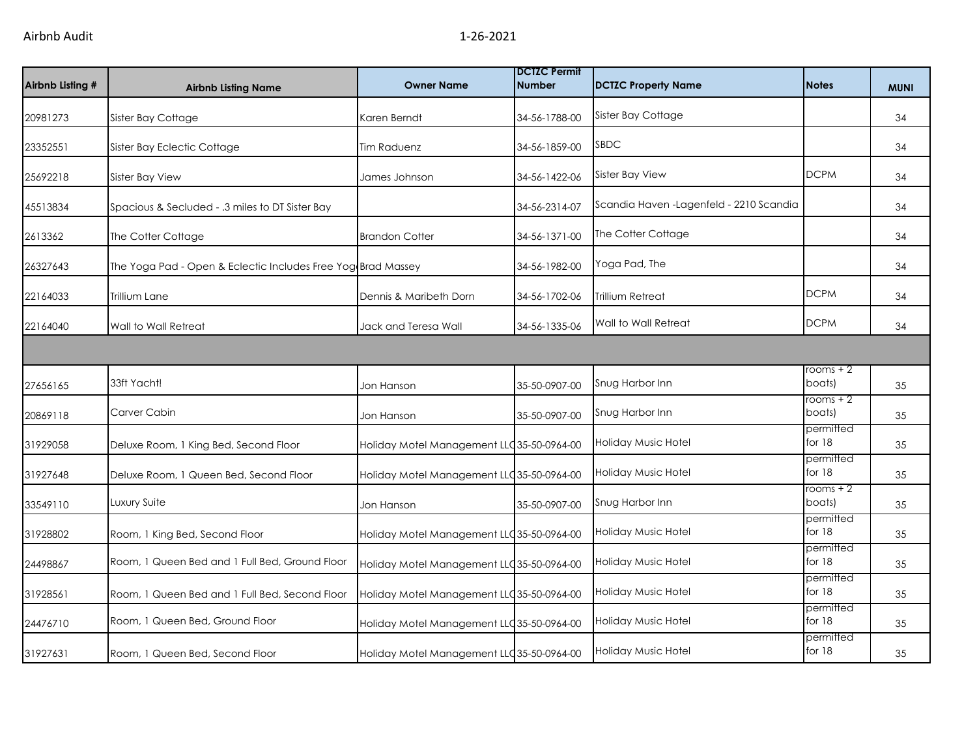| Airbnb Listing # | <b>Airbnb Listing Name</b>                                   | <b>Owner Name</b>                          | <b>DCTZC Permit</b><br><b>Number</b> | <b>DCTZC Property Name</b>               | <b>Notes</b>          | <b>MUNI</b> |
|------------------|--------------------------------------------------------------|--------------------------------------------|--------------------------------------|------------------------------------------|-----------------------|-------------|
| 20981273         | Sister Bay Cottage                                           | Karen Berndt                               | 34-56-1788-00                        | Sister Bay Cottage                       |                       | 34          |
| 23352551         | Sister Bay Eclectic Cottage                                  | <b>Tim Raduenz</b>                         | 34-56-1859-00                        | <b>SBDC</b>                              |                       | 34          |
| 25692218         | Sister Bay View                                              | James Johnson                              | 34-56-1422-06                        | Sister Bay View                          | <b>DCPM</b>           | 34          |
| 45513834         | Spacious & Secluded - .3 miles to DT Sister Bay              |                                            | 34-56-2314-07                        | Scandia Haven - Lagenfeld - 2210 Scandia |                       | 34          |
| 2613362          | The Cotter Cottage                                           | <b>Brandon Cotter</b>                      | 34-56-1371-00                        | The Cotter Cottage                       |                       | 34          |
| 26327643         | The Yoga Pad - Open & Eclectic Includes Free Yog Brad Massey |                                            | 34-56-1982-00                        | Yoga Pad, The                            |                       | 34          |
| 22164033         | Trillium Lane                                                | Dennis & Maribeth Dorn                     | 34-56-1702-06                        | Trillium Retreat                         | <b>DCPM</b>           | 34          |
| 22164040         | Wall to Wall Retreat                                         | Jack and Teresa Wall                       | 34-56-1335-06                        | Wall to Wall Retreat                     | <b>DCPM</b>           | 34          |
|                  |                                                              |                                            |                                      |                                          |                       |             |
| 27656165         | 33ft Yacht!                                                  | Jon Hanson                                 | 35-50-0907-00                        | Snug Harbor Inn                          | rooms $+2$<br>boats)  | 35          |
| 20869118         | Carver Cabin                                                 | Jon Hanson                                 | 35-50-0907-00                        | Snug Harbor Inn                          | rooms $+2$<br>boats)  | 35          |
| 31929058         | Deluxe Room, 1 King Bed, Second Floor                        | Holiday Motel Management LLC 35-50-0964-00 |                                      | Holiday Music Hotel                      | permitted<br>for 18   | 35          |
| 31927648         | Deluxe Room, 1 Queen Bed, Second Floor                       | Holiday Motel Management LLC 35-50-0964-00 |                                      | Holiday Music Hotel                      | permitted<br>for 18   | 35          |
| 33549110         | Luxury Suite                                                 | Jon Hanson                                 | 35-50-0907-00                        | Snug Harbor Inn                          | $rooms + 2$<br>boats) | 35          |
| 31928802         | Room, 1 King Bed, Second Floor                               | Holiday Motel Management LLC 35-50-0964-00 |                                      | <b>Holiday Music Hotel</b>               | permitted<br>for 18   | 35          |
| 24498867         | Room, 1 Queen Bed and 1 Full Bed, Ground Floor               | Holiday Motel Management LLC 35-50-0964-00 |                                      | Holiday Music Hotel                      | permitted<br>for $18$ | 35          |
| 31928561         | Room, 1 Queen Bed and 1 Full Bed, Second Floor               | Holiday Motel Management LLC 35-50-0964-00 |                                      | Holiday Music Hotel                      | permitted<br>for 18   | 35          |
| 24476710         | Room, 1 Queen Bed, Ground Floor                              | Holiday Motel Management LLC35-50-0964-00  |                                      | <b>Holiday Music Hotel</b>               | permitted<br>for 18   | 35          |
| 31927631         | Room, 1 Queen Bed, Second Floor                              | Holiday Motel Management LLC 35-50-0964-00 |                                      | <b>Holiday Music Hotel</b>               | permitted<br>for $18$ | 35          |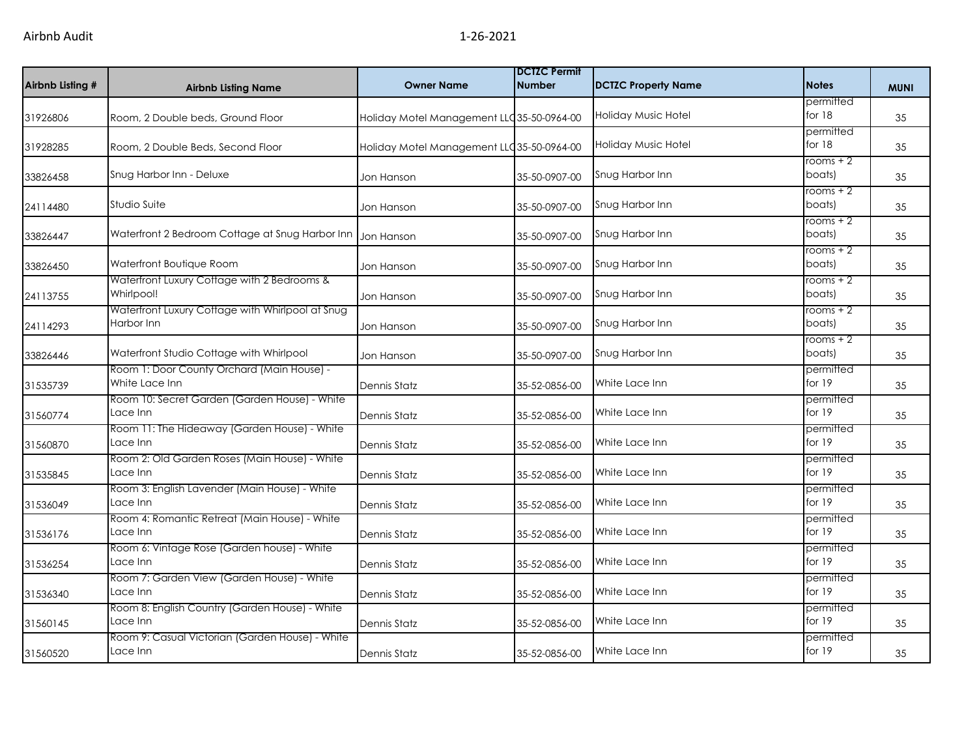| Airbnb Listing # | <b>Airbnb Listing Name</b>                                     | <b>Owner Name</b>                          | <b>DCTZC Permit</b><br><b>Number</b> | <b>DCTZC Property Name</b> | <b>Notes</b>          | <b>MUNI</b> |
|------------------|----------------------------------------------------------------|--------------------------------------------|--------------------------------------|----------------------------|-----------------------|-------------|
| 31926806         | Room, 2 Double beds, Ground Floor                              | Holiday Motel Management LLC 35-50-0964-00 |                                      | Holiday Music Hotel        | permitted<br>for 18   | 35          |
| 31928285         | Room, 2 Double Beds, Second Floor                              | Holiday Motel Management LLC 35-50-0964-00 |                                      | Holiday Music Hotel        | permitted<br>for 18   | 35          |
| 33826458         | Snug Harbor Inn - Deluxe                                       | Jon Hanson                                 | 35-50-0907-00                        | Snug Harbor Inn            | rooms $+2$<br>boats)  | 35          |
| 24114480         | Studio Suite                                                   | Jon Hanson                                 | 35-50-0907-00                        | Snug Harbor Inn            | rooms $+2$<br>boats)  | 35          |
| 33826447         | Waterfront 2 Bedroom Cottage at Snug Harbor Inn                | Jon Hanson                                 | 35-50-0907-00                        | Snug Harbor Inn            | rooms $+2$<br>boats)  | 35          |
| 33826450         | Waterfront Boutique Room                                       | Jon Hanson                                 | 35-50-0907-00                        | Snug Harbor Inn            | $rooms + 2$<br>boats) | 35          |
| 24113755         | Waterfront Luxury Cottage with 2 Bedrooms &<br>Whirlpool!      | Jon Hanson                                 | 35-50-0907-00                        | Snug Harbor Inn            | $rooms + 2$<br>boats) | 35          |
| 24114293         | Waterfront Luxury Cottage with Whirlpool at Snug<br>Harbor Inn | Jon Hanson                                 | 35-50-0907-00                        | Snug Harbor Inn            | rooms $+2$<br>boats)  | 35          |
| 33826446         | Waterfront Studio Cottage with Whirlpool                       | Jon Hanson                                 | 35-50-0907-00                        | Snug Harbor Inn            | rooms $+2$<br>boats)  | 35          |
| 31535739         | Room 1: Door County Orchard (Main House) -<br>White Lace Inn   | Dennis Statz                               | 35-52-0856-00                        | White Lace Inn             | permitted<br>for 19   | 35          |
| 31560774         | Room 10: Secret Garden (Garden House) - White<br>Lace Inn      | Dennis Statz                               | 35-52-0856-00                        | White Lace Inn             | permitted<br>for 19   | 35          |
| 31560870         | Room 11: The Hideaway (Garden House) - White<br>Lace Inn       | Dennis Statz                               | 35-52-0856-00                        | White Lace Inn             | permitted<br>for 19   | 35          |
| 31535845         | Room 2: Old Garden Roses (Main House) - White<br>Lace Inn      | Dennis Statz                               | 35-52-0856-00                        | White Lace Inn             | permitted<br>for 19   | 35          |
| 31536049         | Room 3: English Lavender (Main House) - White<br>Lace Inn      | Dennis Statz                               | 35-52-0856-00                        | White Lace Inn             | permitted<br>for 19   | 35          |
| 31536176         | Room 4: Romantic Retreat (Main House) - White<br>Lace Inn      | Dennis Statz                               | 35-52-0856-00                        | White Lace Inn             | permitted<br>for 19   | 35          |
| 31536254         | Room 6: Vintage Rose (Garden house) - White<br>Lace Inn        | Dennis Statz                               | 35-52-0856-00                        | White Lace Inn             | permitted<br>for 19   | 35          |
| 31536340         | Room 7: Garden View (Garden House) - White<br>Lace Inn         | Dennis Statz                               | 35-52-0856-00                        | White Lace Inn             | permitted<br>for 19   | 35          |
| 31560145         | Room 8: English Country (Garden House) - White<br>Lace Inn     | Dennis Statz                               | 35-52-0856-00                        | White Lace Inn             | permitted<br>for 19   | 35          |
| 31560520         | Room 9: Casual Victorian (Garden House) - White<br>Lace Inn    | Dennis Statz                               | 35-52-0856-00                        | White Lace Inn             | permitted<br>for 19   | 35          |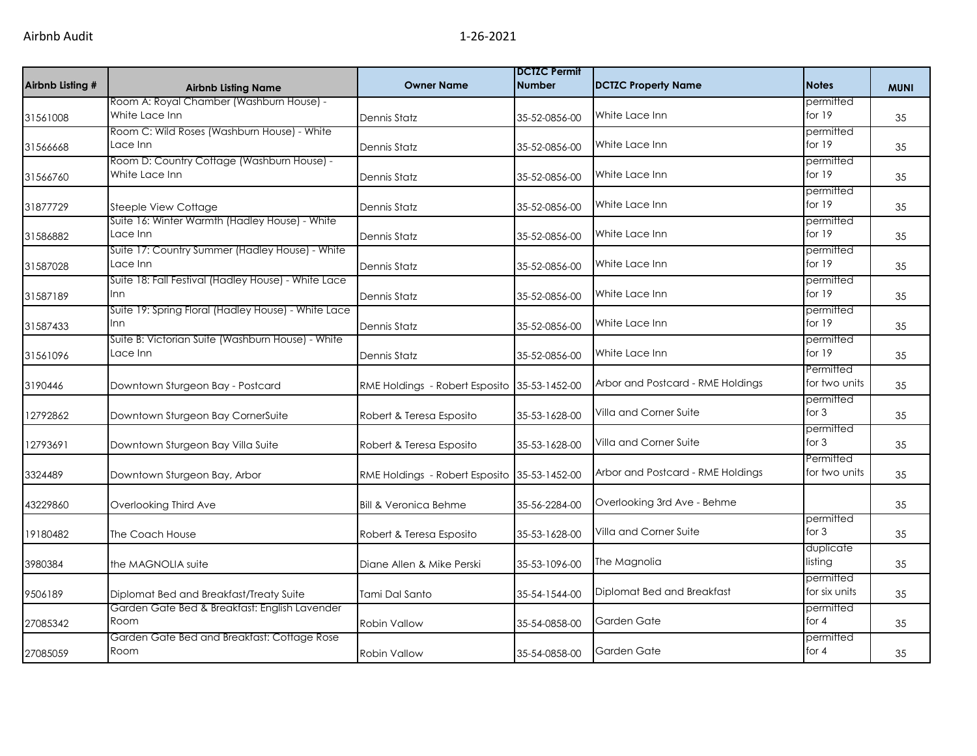| Airbnb Listing # | <b>Airbnb Listing Name</b>                                    | <b>Owner Name</b>                            | <b>DCTZC Permit</b><br><b>Number</b> | <b>DCTZC Property Name</b>        | <b>Notes</b>               | <b>MUNI</b> |
|------------------|---------------------------------------------------------------|----------------------------------------------|--------------------------------------|-----------------------------------|----------------------------|-------------|
| 31561008         | Room A: Royal Chamber (Washburn House) -<br>White Lace Inn    | <b>Dennis Statz</b>                          | 35-52-0856-00                        | White Lace Inn                    | permitted<br>for 19        | 35          |
| 31566668         | Room C: Wild Roses (Washburn House) - White<br>Lace Inn       | Dennis Statz                                 | 35-52-0856-00                        | White Lace Inn                    | permitted<br>for 19        | 35          |
| 31566760         | Room D: Country Cottage (Washburn House) -<br>White Lace Inn  | Dennis Statz                                 | 35-52-0856-00                        | White Lace Inn                    | permitted<br>for $19$      | 35          |
| 31877729         | Steeple View Cottage                                          | <b>Dennis Statz</b>                          | 35-52-0856-00                        | White Lace Inn                    | permitted<br>for $19$      | 35          |
| 31586882         | Suite 16: Winter Warmth (Hadley House) - White<br>Lace Inn    | Dennis Statz                                 | 35-52-0856-00                        | White Lace Inn                    | permitted<br>for 19        | 35          |
| 31587028         | Suite 17: Country Summer (Hadley House) - White<br>Lace Inn   | Dennis Statz                                 | 35-52-0856-00                        | White Lace Inn                    | permitted<br>for 19        | 35          |
| 31587189         | Suite 18: Fall Festival (Hadley House) - White Lace<br>Inn    | <b>Dennis Statz</b>                          | 35-52-0856-00                        | White Lace Inn                    | permitted<br>for 19        | 35          |
| 31587433         | Suite 19: Spring Floral (Hadley House) - White Lace<br>Inn    | <b>Dennis Statz</b>                          | 35-52-0856-00                        | White Lace Inn                    | permitted<br>for 19        | 35          |
| 31561096         | Suite B: Victorian Suite (Washburn House) - White<br>Lace Inn | Dennis Statz                                 | 35-52-0856-00                        | White Lace Inn                    | permitted<br>for 19        | 35          |
| 3190446          | Downtown Sturgeon Bay - Postcard                              | RME Holdings - Robert Esposito               | 35-53-1452-00                        | Arbor and Postcard - RME Holdings | Permitted<br>for two units | 35          |
| 12792862         | Downtown Sturgeon Bay CornerSuite                             | Robert & Teresa Esposito                     | 35-53-1628-00                        | Villa and Corner Suite            | permitted<br>for $3$       | 35          |
| 12793691         | Downtown Sturgeon Bay Villa Suite                             | Robert & Teresa Esposito                     | 35-53-1628-00                        | Villa and Corner Suite            | permitted<br>for $3$       | 35          |
| 3324489          | Downtown Sturgeon Bay, Arbor                                  | RME Holdings - Robert Esposito 35-53-1452-00 |                                      | Arbor and Postcard - RME Holdings | Permitted<br>for two units | 35          |
| 43229860         | Overlooking Third Ave                                         | <b>Bill &amp; Veronica Behme</b>             | 35-56-2284-00                        | Overlooking 3rd Ave - Behme       |                            | 35          |
| 19180482         | The Coach House                                               | Robert & Teresa Esposito                     | 35-53-1628-00                        | Villa and Corner Suite            | permitted<br>for $3$       | 35          |
| 3980384          | the MAGNOLIA suite                                            | Diane Allen & Mike Perski                    | 35-53-1096-00                        | The Magnolia                      | duplicate<br>listing       | 35          |
| 9506189          | Diplomat Bed and Breakfast/Treaty Suite                       | Tami Dal Santo                               | 35-54-1544-00                        | Diplomat Bed and Breakfast        | permitted<br>for six units | 35          |
| 27085342         | Garden Gate Bed & Breakfast: English Lavender<br>Room         | Robin Vallow                                 | 35-54-0858-00                        | Garden Gate                       | permitted<br>for 4         | 35          |
| 27085059         | Garden Gate Bed and Breakfast: Cottage Rose<br>Room           | Robin Vallow                                 | 35-54-0858-00                        | Garden Gate                       | permitted<br>for $4$       | 35          |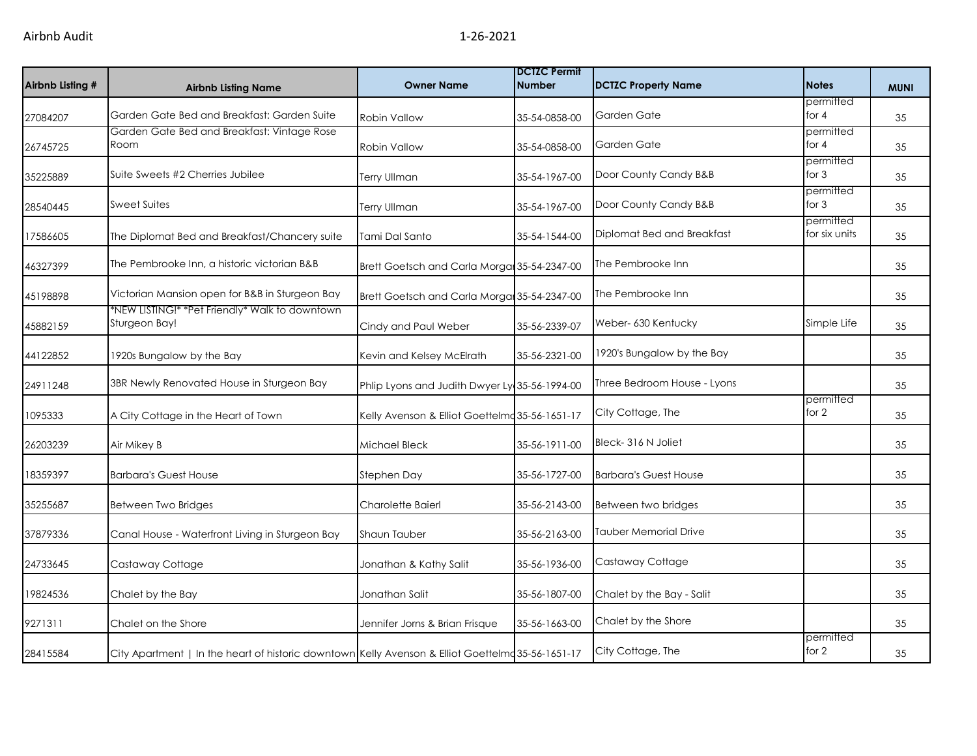| Airbnb Listing # | <b>Airbnb Listing Name</b>                                                                        | <b>Owner Name</b>                              | <b>IDCTZC Permit</b><br><b>Number</b> | <b>DCTZC Property Name</b>   | <b>Notes</b>               | <b>MUNI</b> |
|------------------|---------------------------------------------------------------------------------------------------|------------------------------------------------|---------------------------------------|------------------------------|----------------------------|-------------|
| 27084207         | Garden Gate Bed and Breakfast: Garden Suite                                                       | Robin Vallow                                   | 35-54-0858-00                         | Garden Gate                  | permitted<br>for $4$       | 35          |
| 26745725         | Garden Gate Bed and Breakfast: Vintage Rose<br>Room                                               | Robin Vallow                                   | 35-54-0858-00                         | Garden Gate                  | permitted<br>for $4$       | 35          |
| 35225889         | Suite Sweets #2 Cherries Jubilee                                                                  | <b>Terry Ullman</b>                            | 35-54-1967-00                         | Door County Candy B&B        | permitted<br>for $3$       | 35          |
| 28540445         | <b>Sweet Suites</b>                                                                               | <b>Terry Ullman</b>                            | 35-54-1967-00                         | Door County Candy B&B        | permitted<br>for $3$       | 35          |
| 17586605         | The Diplomat Bed and Breakfast/Chancery suite                                                     | Tami Dal Santo                                 | 35-54-1544-00                         | Diplomat Bed and Breakfast   | permitted<br>for six units | 35          |
| 46327399         | The Pembrooke Inn, a historic victorian B&B                                                       | Brett Goetsch and Carla Morgan 35-54-2347-00   |                                       | The Pembrooke Inn            |                            | 35          |
| 45198898         | Victorian Mansion open for B&B in Sturgeon Bay                                                    | Brett Goetsch and Carla Morga 35-54-2347-00    |                                       | The Pembrooke Inn            |                            | 35          |
| 45882159         | *NEW LISTING!* *Pet Friendly* Walk to downtown<br>Sturgeon Bay!                                   | Cindy and Paul Weber                           | 35-56-2339-07                         | Weber- 630 Kentucky          | Simple Life                | 35          |
| 44122852         | 1920s Bungalow by the Bay                                                                         | Kevin and Kelsey McElrath                      | 35-56-2321-00                         | 1920's Bungalow by the Bay   |                            | 35          |
| 24911248         | 3BR Newly Renovated House in Sturgeon Bay                                                         | Phlip Lyons and Judith Dwyer Ly 35-56-1994-00  |                                       | Three Bedroom House - Lyons  |                            | 35          |
| 1095333          | A City Cottage in the Heart of Town                                                               | Kelly Avenson & Elliot Goettelmo 35-56-1651-17 |                                       | City Cottage, The            | permitted<br>for $2$       | 35          |
| 26203239         | Air Mikey B                                                                                       | Michael Bleck                                  | 35-56-1911-00                         | Bleck-316 N Joliet           |                            | 35          |
| 18359397         | <b>Barbara's Guest House</b>                                                                      | Stephen Day                                    | 35-56-1727-00                         | <b>Barbara's Guest House</b> |                            | 35          |
| 35255687         | Between Two Bridges                                                                               | Charolette Baierl                              | 35-56-2143-00                         | Between two bridges          |                            | 35          |
| 37879336         | Canal House - Waterfront Living in Sturgeon Bay                                                   | Shaun Tauber                                   | 35-56-2163-00                         | <b>Tauber Memorial Drive</b> |                            | 35          |
| 24733645         | Castaway Cottage                                                                                  | Jonathan & Kathy Salit                         | 35-56-1936-00                         | Castaway Cottage             |                            | 35          |
| 19824536         | Chalet by the Bay                                                                                 | Jonathan Salit                                 | 35-56-1807-00                         | Chalet by the Bay - Salit    |                            | 35          |
| 9271311          | Chalet on the Shore                                                                               | Jennifer Jorns & Brian Frisque                 | 35-56-1663-00                         | Chalet by the Shore          |                            | 35          |
| 28415584         | City Apartment   In the heart of historic downtown Kelly Avenson & Elliot Goettelmd 35-56-1651-17 |                                                |                                       | City Cottage, The            | permitted<br>for 2         | 35          |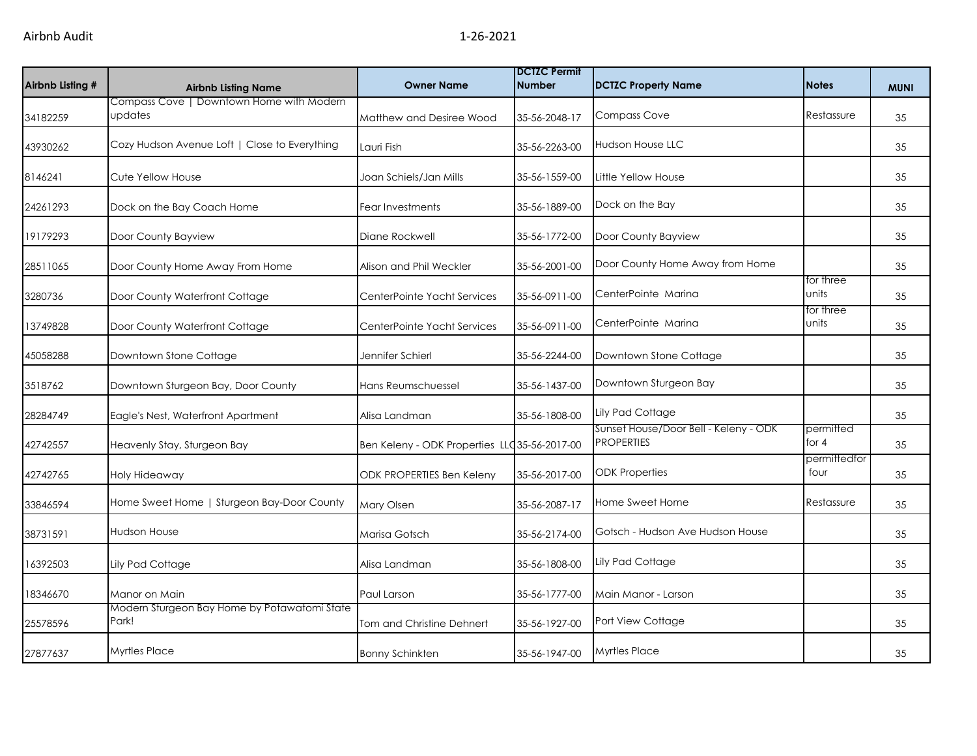| Airbnb Listing # | <b>Airbnb Listing Name</b>                            | <b>Owner Name</b>                             | <b>DCTZC Permit</b><br><b>Number</b> | <b>DCTZC Property Name</b>                                 | <b>Notes</b>         | <b>MUNI</b> |
|------------------|-------------------------------------------------------|-----------------------------------------------|--------------------------------------|------------------------------------------------------------|----------------------|-------------|
| 34182259         | Compass Cove   Downtown Home with Modern<br>updates   | Matthew and Desiree Wood                      | 35-56-2048-17                        | <b>Compass Cove</b>                                        | Restassure           | 35          |
| 43930262         | Cozy Hudson Avenue Loft   Close to Everything         | Lauri Fish                                    | 35-56-2263-00                        | <b>Hudson House LLC</b>                                    |                      | 35          |
| 8146241          | Cute Yellow House                                     | Joan Schiels/Jan Mills                        | 35-56-1559-00                        | Little Yellow House                                        |                      | 35          |
| 24261293         | Dock on the Bay Coach Home                            | Fear Investments                              | 35-56-1889-00                        | Dock on the Bay                                            |                      | 35          |
| 19179293         | Door County Bayview                                   | Diane Rockwell                                | 35-56-1772-00                        | Door County Bayview                                        |                      | 35          |
| 28511065         | Door County Home Away From Home                       | Alison and Phil Weckler                       | 35-56-2001-00                        | Door County Home Away from Home                            |                      | 35          |
| 3280736          | Door County Waterfront Cottage                        | CenterPointe Yacht Services                   | 35-56-0911-00                        | CenterPointe Marina                                        | for three<br>units   | 35          |
| 13749828         | Door County Waterfront Cottage                        | CenterPointe Yacht Services                   | 35-56-0911-00                        | CenterPointe Marina                                        | for three<br>units   | 35          |
| 45058288         | Downtown Stone Cottage                                | Jennifer Schierl                              | 35-56-2244-00                        | Downtown Stone Cottage                                     |                      | 35          |
| 3518762          | Downtown Sturgeon Bay, Door County                    | Hans Reumschuessel                            | 35-56-1437-00                        | Downtown Sturgeon Bay                                      |                      | 35          |
| 28284749         | Eagle's Nest, Waterfront Apartment                    | Alisa Landman                                 | 35-56-1808-00                        | Lily Pad Cottage                                           |                      | 35          |
| 42742557         | Heavenly Stay, Sturgeon Bay                           | Ben Keleny - ODK Properties LLC 35-56-2017-00 |                                      | Sunset House/Door Bell - Keleny - ODK<br><b>PROPERTIES</b> | permitted<br>for $4$ | 35          |
| 42742765         | Holy Hideaway                                         | ODK PROPERTIES Ben Keleny                     | 35-56-2017-00                        | <b>ODK Properties</b>                                      | permittedfor<br>four | 35          |
| 33846594         | Home Sweet Home   Sturgeon Bay-Door County            | Mary Olsen                                    | 35-56-2087-17                        | Home Sweet Home                                            | Restassure           | 35          |
| 38731591         | <b>Hudson House</b>                                   | Marisa Gotsch                                 | 35-56-2174-00                        | Gotsch - Hudson Ave Hudson House                           |                      | 35          |
| 16392503         | Lily Pad Cottage                                      | Alisa Landman                                 | 35-56-1808-00                        | Lily Pad Cottage                                           |                      | 35          |
| 18346670         | Manor on Main                                         | Paul Larson                                   | 35-56-1777-00                        | Main Manor - Larson                                        |                      | 35          |
| 25578596         | Modern Sturgeon Bay Home by Potawatomi State<br>Park! | Tom and Christine Dehnert                     | 35-56-1927-00                        | Port View Cottage                                          |                      | 35          |
| 27877637         | <b>Myrtles Place</b>                                  | <b>Bonny Schinkten</b>                        | 35-56-1947-00                        | <b>Myrtles Place</b>                                       |                      | 35          |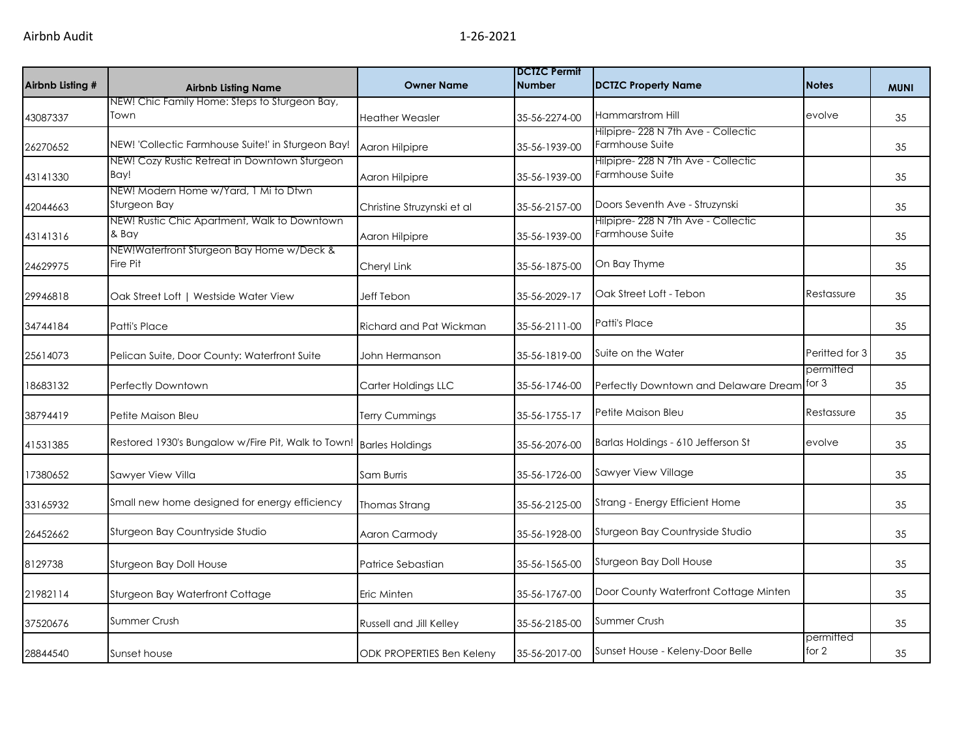| Airbnb Listing # | <b>Airbnb Listing Name</b>                                         | <b>Owner Name</b>          | <b>DCTZC Permit</b><br><b>Number</b> | DCTZC Property Name                   | <b>Notes</b>         | <b>MUNI</b> |
|------------------|--------------------------------------------------------------------|----------------------------|--------------------------------------|---------------------------------------|----------------------|-------------|
|                  | NEW! Chic Family Home: Steps to Sturgeon Bay,<br>Town              |                            |                                      | Hammarstrom Hill                      | evolve               |             |
| 43087337         |                                                                    | <b>Heather Weasler</b>     | 35-56-2274-00                        | Hilpipre-228 N 7th Ave - Collectic    |                      | 35          |
| 26270652         | NEW! 'Collectic Farmhouse Suite!' in Sturgeon Bay!                 | Aaron Hilpipre             | 35-56-1939-00                        | Farmhouse Suite                       |                      | 35          |
|                  | NEW! Cozy Rustic Retreat in Downtown Sturgeon                      |                            |                                      | Hilpipre- 228 N 7th Ave - Collectic   |                      |             |
| 43141330         | Bay!                                                               | Aaron Hilpipre             | 35-56-1939-00                        | Farmhouse Suite                       |                      | 35          |
| 42044663         | NEW! Modern Home w/Yard, 1 Mi to Dtwn<br>Sturgeon Bay              | Christine Struzynski et al | 35-56-2157-00                        | Doors Seventh Ave - Struzynski        |                      | 35          |
|                  | NEW! Rustic Chic Apartment, Walk to Downtown                       |                            |                                      | Hilpipre- 228 N 7th Ave - Collectic   |                      |             |
| 43141316         | & Bay                                                              | Aaron Hilpipre             | 35-56-1939-00                        | Farmhouse Suite                       |                      | 35          |
| 24629975         | NEW!Waterfront Sturgeon Bay Home w/Deck &<br>Fire Pit              | Cheryl Link                | 35-56-1875-00                        | On Bay Thyme                          |                      | 35          |
| 29946818         | Oak Street Loft   Westside Water View                              | <b>Jeff Tebon</b>          | 35-56-2029-17                        | Oak Street Loft - Tebon               | Restassure           | 35          |
| 34744184         | Patti's Place                                                      | Richard and Pat Wickman    | 35-56-2111-00                        | Patti's Place                         |                      | 35          |
| 25614073         | Pelican Suite, Door County: Waterfront Suite                       | John Hermanson             | 35-56-1819-00                        | Suite on the Water                    | Peritted for 3       | 35          |
| 18683132         | Perfectly Downtown                                                 | Carter Holdings LLC        | 35-56-1746-00                        | Perfectly Downtown and Delaware Dream | permitted<br>for 3   | 35          |
| 38794419         | Petite Maison Bleu                                                 | Terry Cummings             | 35-56-1755-17                        | Petite Maison Bleu                    | Restassure           | 35          |
| 41531385         | Restored 1930's Bungalow w/Fire Pit, Walk to Town! Barles Holdings |                            | 35-56-2076-00                        | Barlas Holdings - 610 Jefferson St    | evolve               | 35          |
| 17380652         | Sawyer View Villa                                                  | Sam Burris                 | 35-56-1726-00                        | Sawyer View Village                   |                      | 35          |
| 33165932         | Small new home designed for energy efficiency                      | Thomas Strang              | 35-56-2125-00                        | Strang - Energy Efficient Home        |                      | 35          |
| 26452662         | Sturgeon Bay Countryside Studio                                    | Aaron Carmody              | 35-56-1928-00                        | Sturgeon Bay Countryside Studio       |                      | 35          |
| 8129738          | Sturgeon Bay Doll House                                            | Patrice Sebastian          | 35-56-1565-00                        | Sturgeon Bay Doll House               |                      | 35          |
| 21982114         | Sturgeon Bay Waterfront Cottage                                    | Eric Minten                | 35-56-1767-00                        | Door County Waterfront Cottage Minten |                      | 35          |
| 37520676         | Summer Crush                                                       | Russell and Jill Kelley    | 35-56-2185-00                        | <b>Summer Crush</b>                   |                      | 35          |
| 28844540         | Sunset house                                                       | ODK PROPERTIES Ben Keleny  | 35-56-2017-00                        | Sunset House - Keleny-Door Belle      | permitted<br>for $2$ | 35          |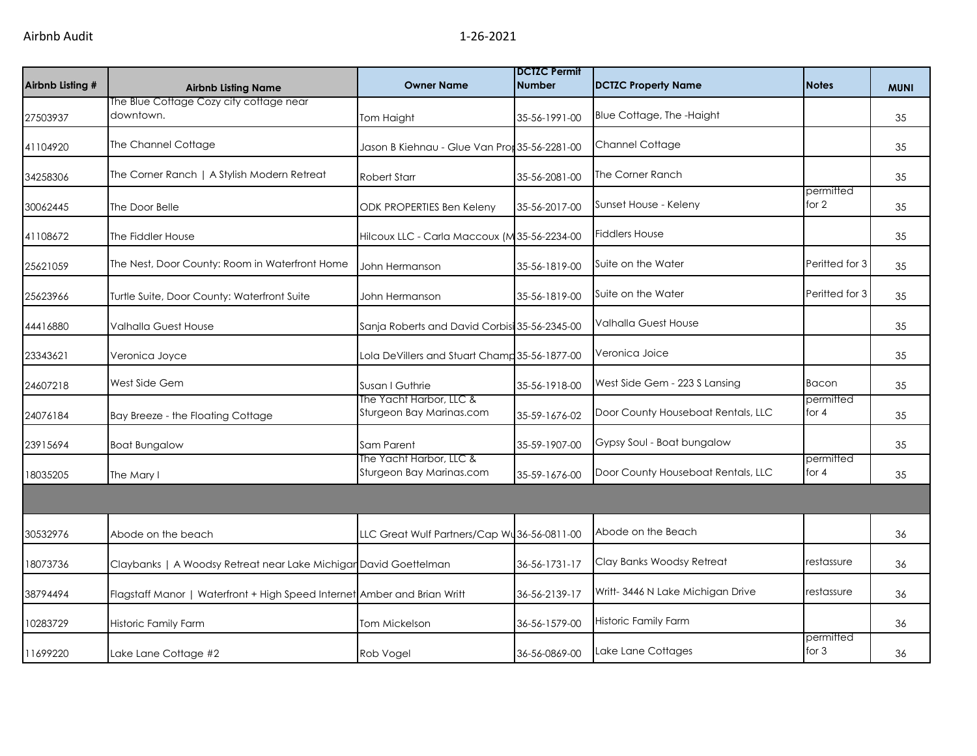| Airbnb Listing # | <b>Airbnb Listing Name</b>                                               | <b>Owner Name</b>                                   | <b>DCTZC Permit</b><br><b>Number</b> | <b>DCTZC Property Name</b>         | <b>Notes</b>         | <b>MUNI</b> |
|------------------|--------------------------------------------------------------------------|-----------------------------------------------------|--------------------------------------|------------------------------------|----------------------|-------------|
| 27503937         | The Blue Cottage Cozy city cottage near<br>downtown.                     | Tom Haight                                          | 35-56-1991-00                        | Blue Cottage, The -Haight          |                      | 35          |
| 41104920         | The Channel Cottage                                                      | Jason B Kiehnau - Glue Van Pror 35-56-2281-00       |                                      | Channel Cottage                    |                      | 35          |
| 34258306         | The Corner Ranch   A Stylish Modern Retreat                              | <b>Robert Starr</b>                                 | 35-56-2081-00                        | The Corner Ranch                   |                      | 35          |
| 30062445         | The Door Belle                                                           | ODK PROPERTIES Ben Keleny                           | 35-56-2017-00                        | Sunset House - Keleny              | permitted<br>for 2   | 35          |
| 41108672         | The Fiddler House                                                        | Hilcoux LLC - Carla Maccoux (M35-56-2234-00         |                                      | <b>Fiddlers House</b>              |                      | 35          |
| 25621059         | The Nest, Door County: Room in Waterfront Home                           | John Hermanson                                      | 35-56-1819-00                        | Suite on the Water                 | Peritted for 3       | 35          |
| 25623966         | Turtle Suite, Door County: Waterfront Suite                              | John Hermanson                                      | 35-56-1819-00                        | Suite on the Water                 | Peritted for 3       | 35          |
| 44416880         | Valhalla Guest House                                                     | Sanja Roberts and David Corbisi 35-56-2345-00       |                                      | <b>Valhalla Guest House</b>        |                      | 35          |
| 23343621         | Veronica Joyce                                                           | Lola DeVillers and Stuart Champ 35-56-1877-00       |                                      | Veronica Joice                     |                      | 35          |
| 24607218         | West Side Gem                                                            | Susan I Guthrie                                     | 35-56-1918-00                        | West Side Gem - 223 S Lansing      | <b>Bacon</b>         | 35          |
| 24076184         | Bay Breeze - the Floating Cottage                                        | The Yacht Harbor, LLC &<br>Sturgeon Bay Marinas.com | 35-59-1676-02                        | Door County Houseboat Rentals, LLC | permitted<br>for $4$ | 35          |
| 23915694         | <b>Boat Bungalow</b>                                                     | Sam Parent                                          | 35-59-1907-00                        | Gypsy Soul - Boat bungalow         |                      | 35          |
| 18035205         | The Mary I                                                               | The Yacht Harbor, LLC &<br>Sturgeon Bay Marinas.com | 35-59-1676-00                        | Door County Houseboat Rentals, LLC | permitted<br>for $4$ | 35          |
|                  |                                                                          |                                                     |                                      |                                    |                      |             |
| 30532976         | Abode on the beach                                                       | LLC Great Wulf Partners/Cap Wu36-56-0811-00         |                                      | Abode on the Beach                 |                      | 36          |
| 18073736         | Claybanks   A Woodsy Retreat near Lake Michigar David Goettelman         |                                                     | 36-56-1731-17                        | Clay Banks Woodsy Retreat          | restassure           | 36          |
| 38794494         | Flagstaff Manor   Waterfront + High Speed Internet Amber and Brian Writt |                                                     | 36-56-2139-17                        | Writt-3446 N Lake Michigan Drive   | restassure           | 36          |
| 10283729         | Historic Family Farm                                                     | Tom Mickelson                                       | 36-56-1579-00                        | Historic Family Farm               |                      | 36          |
| 11699220         | Lake Lane Cottage #2                                                     | Rob Vogel                                           | 36-56-0869-00                        | Lake Lane Cottages                 | permitted<br>for $3$ | 36          |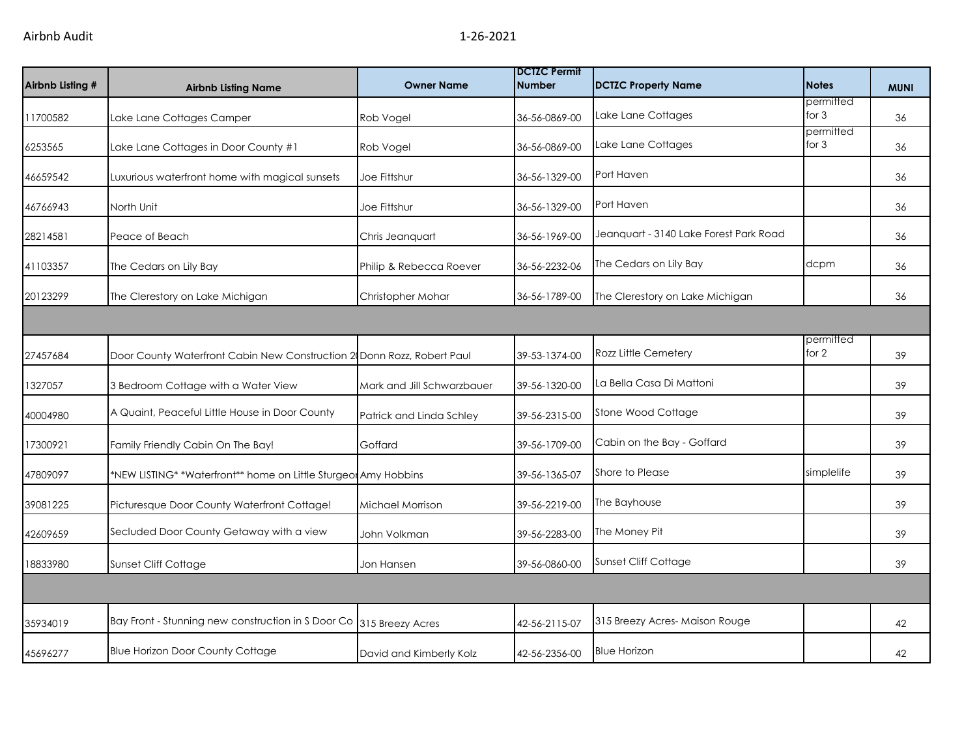| Airbnb Listing # | <b>Airbnb Listing Name</b>                                             | <b>Owner Name</b>          | <b>DCTZC Permit</b><br><b>Number</b> | <b>DCTZC Property Name</b>             | <b>Notes</b>         | <b>MUNI</b> |
|------------------|------------------------------------------------------------------------|----------------------------|--------------------------------------|----------------------------------------|----------------------|-------------|
| 11700582         | Lake Lane Cottages Camper                                              | Rob Vogel                  | 36-56-0869-00                        | Lake Lane Cottages                     | permitted<br>for $3$ | 36          |
| 6253565          | Lake Lane Cottages in Door County #1                                   | Rob Vogel                  | 36-56-0869-00                        | Lake Lane Cottages                     | permitted<br>for $3$ | 36          |
| 46659542         | Luxurious waterfront home with magical sunsets                         | Joe Fittshur               | 36-56-1329-00                        | Port Haven                             |                      | 36          |
| 46766943         | North Unit                                                             | Joe Fittshur               | 36-56-1329-00                        | Port Haven                             |                      | 36          |
| 28214581         | Peace of Beach                                                         | Chris Jeanquart            | 36-56-1969-00                        | Jeanquart - 3140 Lake Forest Park Road |                      | 36          |
| 41103357         | The Cedars on Lily Bay                                                 | Philip & Rebecca Roever    | 36-56-2232-06                        | The Cedars on Lily Bay                 | dcpm                 | 36          |
| 20123299         | The Clerestory on Lake Michigan                                        | Christopher Mohar          | 36-56-1789-00                        | The Clerestory on Lake Michigan        |                      | 36          |
|                  |                                                                        |                            |                                      |                                        |                      |             |
| 27457684         | Door County Waterfront Cabin New Construction 2 Donn Rozz, Robert Paul |                            | 39-53-1374-00                        | Rozz Little Cemetery                   | permitted<br>for 2   | 39          |
| 1327057          | 3 Bedroom Cottage with a Water View                                    | Mark and Jill Schwarzbauer | 39-56-1320-00                        | La Bella Casa Di Mattoni               |                      | 39          |
| 40004980         | A Quaint, Peaceful Little House in Door County                         | Patrick and Linda Schley   | 39-56-2315-00                        | Stone Wood Cottage                     |                      | 39          |
| 17300921         | Family Friendly Cabin On The Bay!                                      | Goffard                    | 39-56-1709-00                        | Cabin on the Bay - Goffard             |                      | 39          |
| 47809097         | *NEW LISTING* *Waterfront** home on Little Sturgeor Amy Hobbins        |                            | 39-56-1365-07                        | Shore to Please                        | simplelife           | 39          |
| 39081225         | Picturesque Door County Waterfront Cottage!                            | Michael Morrison           | 39-56-2219-00                        | The Bayhouse                           |                      | 39          |
| 42609659         | Secluded Door County Getaway with a view                               | John Volkman               | 39-56-2283-00                        | The Money Pit                          |                      | 39          |
| 18833980         | Sunset Cliff Cottage                                                   | Jon Hansen                 | 39-56-0860-00                        | Sunset Cliff Cottage                   |                      | 39          |
|                  |                                                                        |                            |                                      |                                        |                      |             |
| 35934019         | Bay Front - Stunning new construction in S Door Co 315 Breezy Acres    |                            | 42-56-2115-07                        | 315 Breezy Acres-Maison Rouge          |                      | 42          |
| 45696277         | <b>Blue Horizon Door County Cottage</b>                                | David and Kimberly Kolz    | 42-56-2356-00                        | <b>Blue Horizon</b>                    |                      | 42          |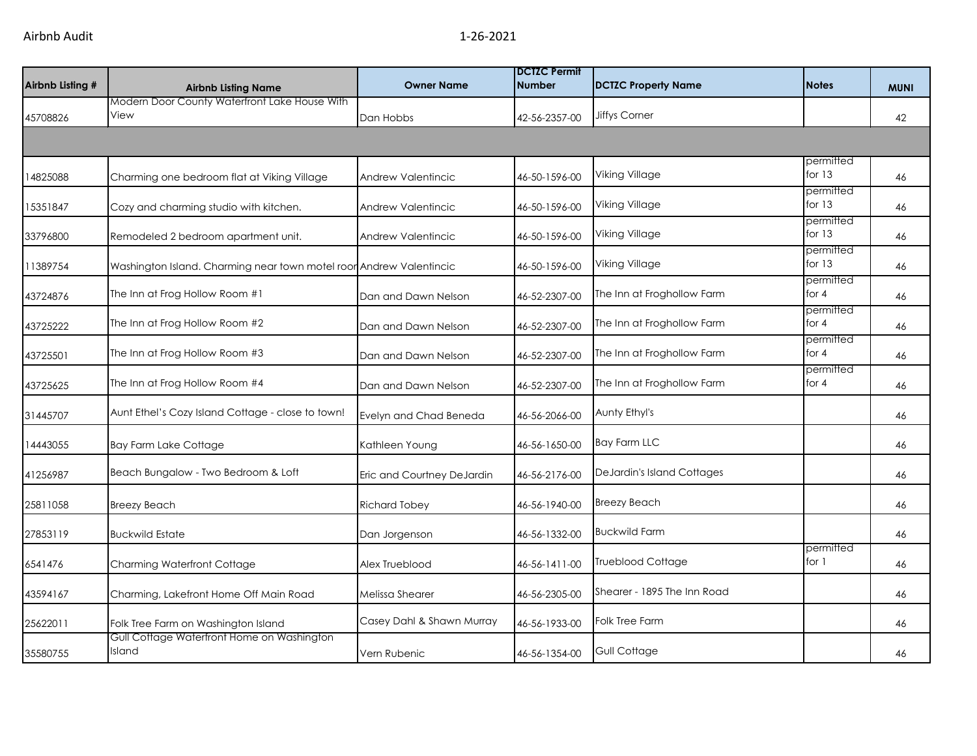| Airbnb Listing # | <b>Airbnb Listing Name</b>                                          | <b>Owner Name</b>          | <b>DCTZC Permit</b><br><b>Number</b> | <b>DCTZC Property Name</b>  | <b>Notes</b>          | <b>MUNI</b> |
|------------------|---------------------------------------------------------------------|----------------------------|--------------------------------------|-----------------------------|-----------------------|-------------|
| 45708826         | Modern Door County Waterfront Lake House With<br>View               | Dan Hobbs                  | 42-56-2357-00                        | <b>Jiffys Corner</b>        |                       | 42          |
|                  |                                                                     |                            |                                      |                             |                       |             |
| 14825088         | Charming one bedroom flat at Viking Village                         | Andrew Valentincic         | 46-50-1596-00                        | Viking Village              | permitted<br>for $13$ | 46          |
| 15351847         | Cozy and charming studio with kitchen.                              | <b>Andrew Valentincic</b>  | 46-50-1596-00                        | <b>Viking Village</b>       | permitted<br>for $13$ | 46          |
| 33796800         | Remodeled 2 bedroom apartment unit.                                 | <b>Andrew Valentincic</b>  | 46-50-1596-00                        | <b>Viking Village</b>       | permitted<br>for $13$ | 46          |
| 11389754         | Washington Island. Charming near town motel roor Andrew Valentincic |                            | 46-50-1596-00                        | Viking Village              | permitted<br>for 13   | 46          |
| 43724876         | The Inn at Frog Hollow Room #1                                      | Dan and Dawn Nelson        | 46-52-2307-00                        | The Inn at Froghollow Farm  | permitted<br>for 4    | 46          |
| 43725222         | The Inn at Frog Hollow Room #2                                      | Dan and Dawn Nelson        | 46-52-2307-00                        | The Inn at Froghollow Farm  | permitted<br>for $4$  | 46          |
| 43725501         | The Inn at Frog Hollow Room #3                                      | Dan and Dawn Nelson        | 46-52-2307-00                        | The Inn at Froghollow Farm  | permitted<br>for 4    | 46          |
| 43725625         | The Inn at Frog Hollow Room #4                                      | Dan and Dawn Nelson        | 46-52-2307-00                        | The Inn at Froghollow Farm  | permitted<br>for $4$  | 46          |
| 31445707         | Aunt Ethel's Cozy Island Cottage - close to town!                   | Evelyn and Chad Beneda     | 46-56-2066-00                        | Aunty Ethyl's               |                       | 46          |
| 14443055         | <b>Bay Farm Lake Cottage</b>                                        | Kathleen Young             | 46-56-1650-00                        | <b>Bay Farm LLC</b>         |                       | 46          |
| 41256987         | Beach Bungalow - Two Bedroom & Loft                                 | Eric and Courtney DeJardin | 46-56-2176-00                        | DeJardin's Island Cottages  |                       | 46          |
| 25811058         | <b>Breezy Beach</b>                                                 | <b>Richard Tobey</b>       | 46-56-1940-00                        | <b>Breezy Beach</b>         |                       | 46          |
| 27853119         | <b>Buckwild Estate</b>                                              | Dan Jorgenson              | 46-56-1332-00                        | <b>Buckwild Farm</b>        |                       | 46          |
| 6541476          | Charming Waterfront Cottage                                         | Alex Trueblood             | 46-56-1411-00                        | <b>Trueblood Cottage</b>    | permitted<br>for 1    | 46          |
| 43594167         | Charming, Lakefront Home Off Main Road                              | Melissa Shearer            | 46-56-2305-00                        | Shearer - 1895 The Inn Road |                       | 46          |
| 25622011         | Folk Tree Farm on Washington Island                                 | Casey Dahl & Shawn Murray  | 46-56-1933-00                        | Folk Tree Farm              |                       | 46          |
| 35580755         | Gull Cottage Waterfront Home on Washington<br>Island                | Vern Rubenic               | 46-56-1354-00                        | Gull Cottage                |                       | 46          |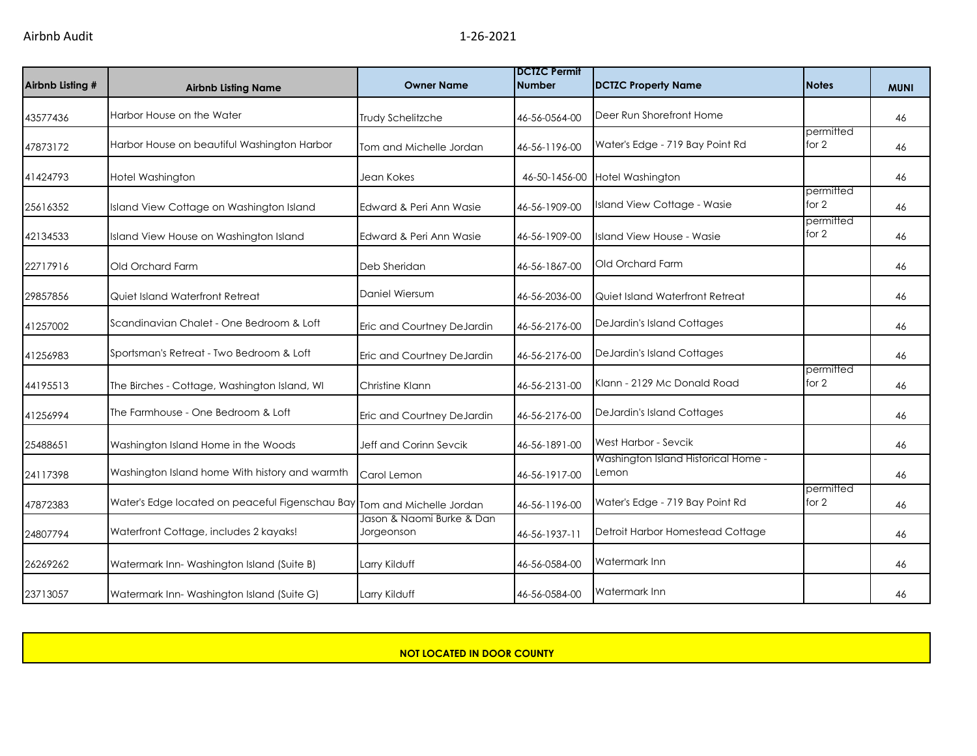| Airbnb Listing # | <b>Airbnb Listing Name</b>                                              | <b>Owner Name</b>                       | <b>DCTZC Permit</b><br><b>Number</b> | <b>DCTZC Property Name</b>                   | <b>Notes</b>         | <b>MUNI</b> |
|------------------|-------------------------------------------------------------------------|-----------------------------------------|--------------------------------------|----------------------------------------------|----------------------|-------------|
| 43577436         | Harbor House on the Water                                               | Trudy Schelitzche                       | 46-56-0564-00                        | Deer Run Shorefront Home                     |                      | 46          |
| 47873172         | Harbor House on beautiful Washington Harbor                             | Tom and Michelle Jordan                 | 46-56-1196-00                        | Water's Edge - 719 Bay Point Rd              | permitted<br>for $2$ | 46          |
| 41424793         | Hotel Washington                                                        | Jean Kokes                              |                                      | 46-50-1456-00 Hotel Washington               |                      | 46          |
| 25616352         | Island View Cottage on Washington Island                                | Edward & Peri Ann Wasie                 | 46-56-1909-00                        | Island View Cottage - Wasie                  | permitted<br>for 2   | 46          |
| 42134533         | Island View House on Washington Island                                  | Edward & Peri Ann Wasie                 | 46-56-1909-00                        | Island View House - Wasie                    | permitted<br>for $2$ | 46          |
| 22717916         | Old Orchard Farm                                                        | Deb Sheridan                            | 46-56-1867-00                        | Old Orchard Farm                             |                      | 46          |
| 29857856         | Quiet Island Waterfront Retreat                                         | Daniel Wiersum                          | 46-56-2036-00                        | Quiet Island Waterfront Retreat              |                      | 46          |
| 41257002         | Scandinavian Chalet - One Bedroom & Loft                                | Eric and Courtney DeJardin              | 46-56-2176-00                        | DeJardin's Island Cottages                   |                      | 46          |
| 41256983         | Sportsman's Retreat - Two Bedroom & Loft                                | Eric and Courtney DeJardin              | 46-56-2176-00                        | DeJardin's Island Cottages                   |                      | 46          |
| 44195513         | The Birches - Cottage, Washington Island, WI                            | Christine Klann                         | 46-56-2131-00                        | Klann - 2129 Mc Donald Road                  | permitted<br>for 2   | 46          |
| 41256994         | The Farmhouse - One Bedroom & Loft                                      | Eric and Courtney DeJardin              | 46-56-2176-00                        | DeJardin's Island Cottages                   |                      | 46          |
| 25488651         | Washington Island Home in the Woods                                     | Jeff and Corinn Sevcik                  | 46-56-1891-00                        | West Harbor - Sevcik                         |                      | 46          |
| 24117398         | Washington Island home With history and warmth                          | Carol Lemon                             | 46-56-1917-00                        | Washington Island Historical Home -<br>Lemon |                      | 46          |
| 47872383         | Water's Edge located on peaceful Figenschau Bay Tom and Michelle Jordan |                                         | 46-56-1196-00                        | Water's Edge - 719 Bay Point Rd              | permitted<br>for 2   | 46          |
| 24807794         | Waterfront Cottage, includes 2 kayaks!                                  | Jason & Naomi Burke & Dan<br>Jorgeonson | 46-56-1937-11                        | Detroit Harbor Homestead Cottage             |                      | 46          |
| 26269262         | Watermark Inn-Washington Island (Suite B)                               | Larry Kilduff                           | 46-56-0584-00                        | Watermark Inn                                |                      | 46          |
| 23713057         | Watermark Inn-Washington Island (Suite G)                               | Larry Kilduff                           | 46-56-0584-00                        | <b>Watermark Inn</b>                         |                      | 46          |

**NOT LOCATED IN DOOR COUNTY**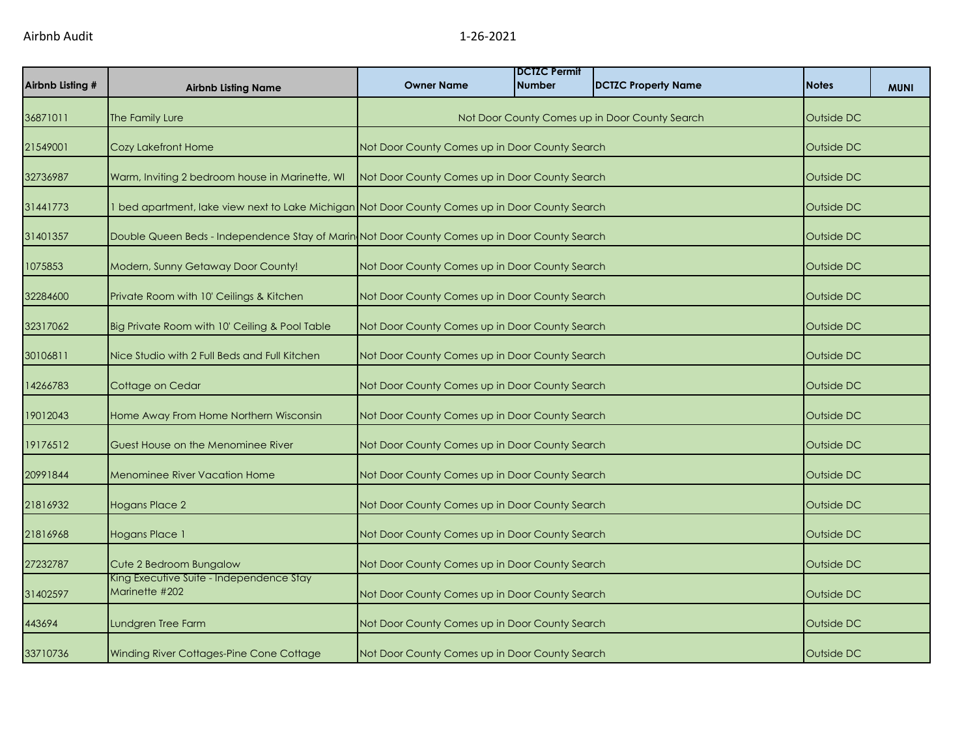| Airbnb Listing # | <b>Airbnb Listing Name</b>                                                                      | <b>Owner Name</b>                              | <b>IDCTZC Permit</b><br><b>Number</b>                        | <b>DCTZC Property Name</b>                     | <b>Notes</b> | <b>MUNI</b> |
|------------------|-------------------------------------------------------------------------------------------------|------------------------------------------------|--------------------------------------------------------------|------------------------------------------------|--------------|-------------|
| 36871011         | The Family Lure                                                                                 |                                                |                                                              | Not Door County Comes up in Door County Search | Outside DC   |             |
| 21549001         | Cozy Lakefront Home                                                                             |                                                | Not Door County Comes up in Door County Search<br>Outside DC |                                                |              |             |
| 32736987         | Warm, Inviting 2 bedroom house in Marinette, WI                                                 | Not Door County Comes up in Door County Search |                                                              |                                                | Outside DC   |             |
| 31441773         | 1 bed apartment, lake view next to Lake Michigan Not Door County Comes up in Door County Search |                                                |                                                              |                                                | Outside DC   |             |
| 31401357         | Double Queen Beds - Independence Stay of Marin Not Door County Comes up in Door County Search   |                                                |                                                              |                                                | Outside DC   |             |
| 1075853          | Modern, Sunny Getaway Door County!                                                              | Not Door County Comes up in Door County Search |                                                              |                                                | Outside DC   |             |
| 32284600         | Private Room with 10' Ceilings & Kitchen                                                        | Not Door County Comes up in Door County Search |                                                              |                                                | Outside DC   |             |
| 32317062         | Big Private Room with 10' Ceiling & Pool Table                                                  | Not Door County Comes up in Door County Search |                                                              |                                                | Outside DC   |             |
| 30106811         | Nice Studio with 2 Full Beds and Full Kitchen                                                   | Not Door County Comes up in Door County Search |                                                              |                                                | Outside DC   |             |
| 14266783         | Cottage on Cedar                                                                                | Not Door County Comes up in Door County Search |                                                              |                                                | Outside DC   |             |
| 19012043         | Home Away From Home Northern Wisconsin                                                          | Not Door County Comes up in Door County Search |                                                              |                                                | Outside DC   |             |
| 19176512         | Guest House on the Menominee River                                                              | Not Door County Comes up in Door County Search |                                                              |                                                | Outside DC   |             |
| 20991844         | <b>Menominee River Vacation Home</b>                                                            | Not Door County Comes up in Door County Search |                                                              |                                                | Outside DC   |             |
| 21816932         | <b>Hogans Place 2</b>                                                                           | Not Door County Comes up in Door County Search |                                                              |                                                | Outside DC   |             |
| 21816968         | Hogans Place 1                                                                                  | Not Door County Comes up in Door County Search |                                                              |                                                | Outside DC   |             |
| 27232787         | Cute 2 Bedroom Bungalow                                                                         | Not Door County Comes up in Door County Search |                                                              |                                                | Outside DC   |             |
| 31402597         | King Executive Suite - Independence Stay<br>Marinette #202                                      | Not Door County Comes up in Door County Search |                                                              |                                                | Outside DC   |             |
| 443694           | Lundgren Tree Farm                                                                              | Not Door County Comes up in Door County Search |                                                              |                                                | Outside DC   |             |
| 33710736         | Winding River Cottages-Pine Cone Cottage                                                        | Not Door County Comes up in Door County Search |                                                              |                                                | Outside DC   |             |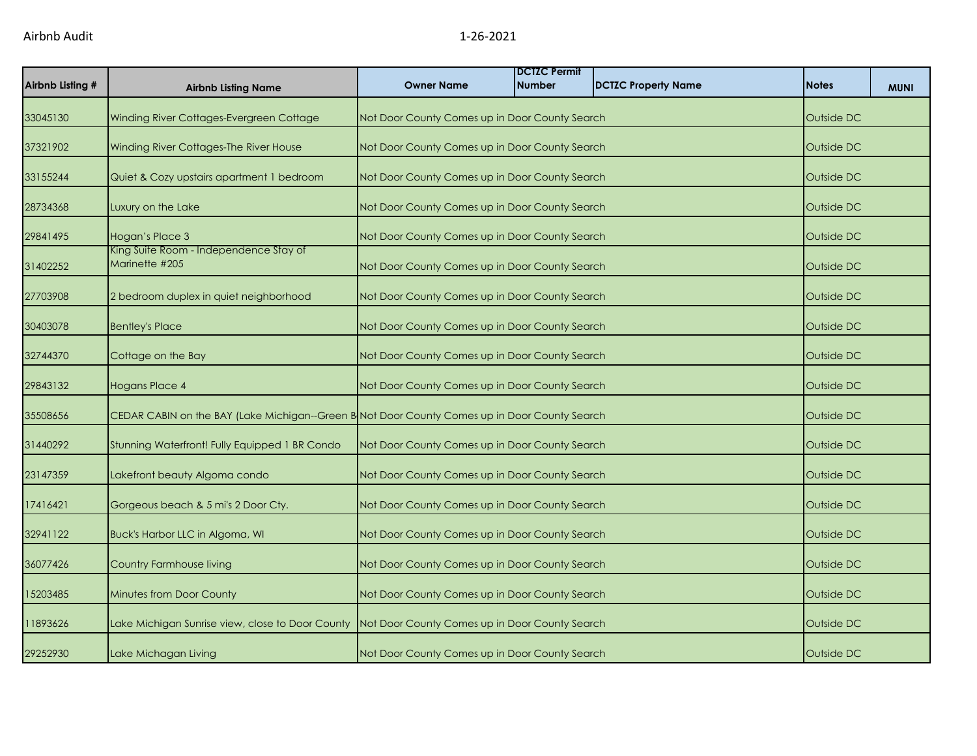| Airbnb Listing # | <b>Airbnb Listing Name</b>                                                                    | <b>Owner Name</b>                              | <b>DCTZC Permit</b><br><b>Number</b>                         | <b>DCTZC Property Name</b> | <b>Notes</b> | <b>MUNI</b> |  |
|------------------|-----------------------------------------------------------------------------------------------|------------------------------------------------|--------------------------------------------------------------|----------------------------|--------------|-------------|--|
| 33045130         | Winding River Cottages-Evergreen Cottage                                                      | Not Door County Comes up in Door County Search |                                                              |                            | Outside DC   |             |  |
| 37321902         | Winding River Cottages-The River House                                                        |                                                | Not Door County Comes up in Door County Search<br>Outside DC |                            |              |             |  |
| 33155244         | Quiet & Cozy upstairs apartment 1 bedroom                                                     |                                                | Not Door County Comes up in Door County Search<br>Outside DC |                            |              |             |  |
| 28734368         | Luxury on the Lake                                                                            | Not Door County Comes up in Door County Search |                                                              |                            | Outside DC   |             |  |
| 29841495         | Hogan's Place 3                                                                               | Not Door County Comes up in Door County Search |                                                              |                            | Outside DC   |             |  |
| 31402252         | King Suite Room - Independence Stay of<br>Marinette #205                                      | Not Door County Comes up in Door County Search |                                                              |                            | Outside DC   |             |  |
| 27703908         | 2 bedroom duplex in quiet neighborhood                                                        | Not Door County Comes up in Door County Search |                                                              |                            | Outside DC   |             |  |
| 30403078         | <b>Bentley's Place</b>                                                                        | Not Door County Comes up in Door County Search |                                                              |                            | Outside DC   |             |  |
| 32744370         | Cottage on the Bay                                                                            |                                                | Not Door County Comes up in Door County Search               |                            |              | Outside DC  |  |
| 29843132         | Hogans Place 4                                                                                | Not Door County Comes up in Door County Search |                                                              |                            | Outside DC   |             |  |
| 35508656         | CEDAR CABIN on the BAY (Lake Michigan--Green B Not Door County Comes up in Door County Search |                                                |                                                              |                            | Outside DC   |             |  |
| 31440292         | Stunning Waterfront! Fully Equipped 1 BR Condo                                                | Not Door County Comes up in Door County Search |                                                              |                            | Outside DC   |             |  |
| 23147359         | Lakefront beauty Algoma condo                                                                 | Not Door County Comes up in Door County Search |                                                              |                            | Outside DC   |             |  |
| 17416421         | Gorgeous beach & 5 mi's 2 Door Cty.                                                           | Not Door County Comes up in Door County Search |                                                              |                            | Outside DC   |             |  |
| 32941122         | Buck's Harbor LLC in Algoma, WI                                                               | Not Door County Comes up in Door County Search |                                                              |                            | Outside DC   |             |  |
| 36077426         | <b>Country Farmhouse living</b>                                                               | Not Door County Comes up in Door County Search |                                                              |                            | Outside DC   |             |  |
| 15203485         | Minutes from Door County                                                                      | Not Door County Comes up in Door County Search |                                                              |                            | Outside DC   |             |  |
| 11893626         | Lake Michigan Sunrise view, close to Door County                                              | Not Door County Comes up in Door County Search |                                                              |                            | Outside DC   |             |  |
| 29252930         | Lake Michagan Living                                                                          | Not Door County Comes up in Door County Search |                                                              |                            | Outside DC   |             |  |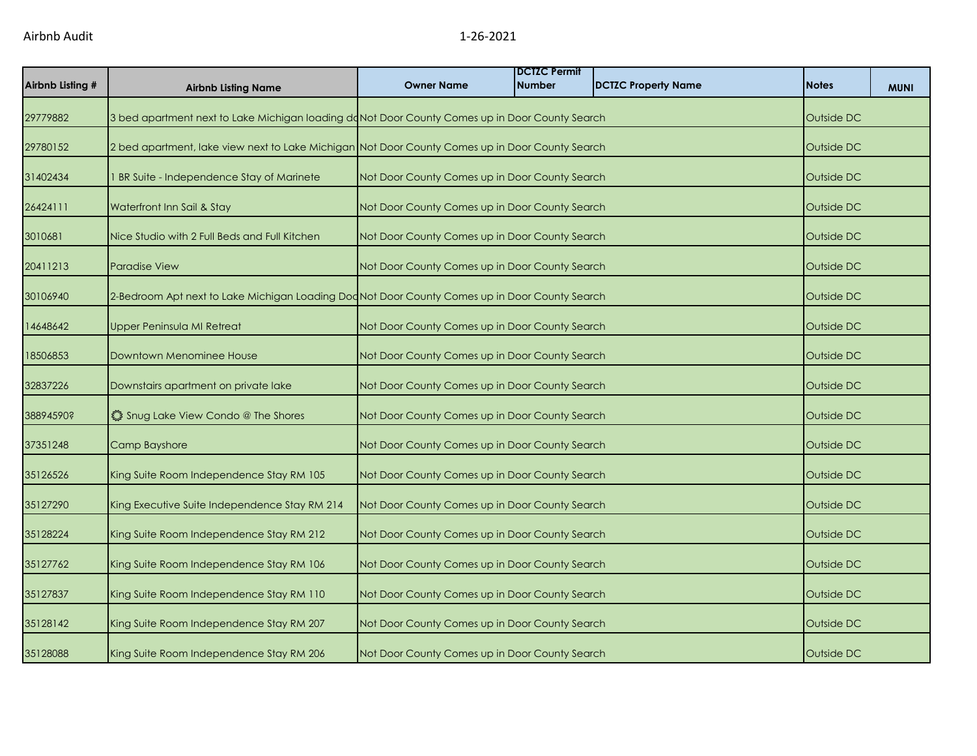| Airbnb Listing # | <b>Airbnb Listing Name</b>                                                                      | <b>Owner Name</b>                              | <b>DCTZC Permit</b><br><b>Number</b>           | <b>DCTZC Property Name</b> | <b>Notes</b> | <b>MUNI</b> |  |
|------------------|-------------------------------------------------------------------------------------------------|------------------------------------------------|------------------------------------------------|----------------------------|--------------|-------------|--|
| 29779882         | 3 bed apartment next to Lake Michigan loading doNot Door County Comes up in Door County Search  |                                                |                                                |                            | Outside DC   |             |  |
| 29780152         | 2 bed apartment, lake view next to Lake Michigan Not Door County Comes up in Door County Search |                                                | Outside DC                                     |                            |              |             |  |
| 31402434         | BR Suite - Independence Stay of Marinete                                                        |                                                | Not Door County Comes up in Door County Search |                            |              | Outside DC  |  |
| 26424111         | Waterfront Inn Sail & Stay                                                                      | Not Door County Comes up in Door County Search |                                                |                            | Outside DC   |             |  |
| 3010681          | Nice Studio with 2 Full Beds and Full Kitchen                                                   | Not Door County Comes up in Door County Search |                                                |                            | Outside DC   |             |  |
| 20411213         | <b>Paradise View</b>                                                                            | Not Door County Comes up in Door County Search |                                                |                            | Outside DC   |             |  |
| 30106940         | 2-Bedroom Apt next to Lake Michigan Loading Dod Not Door County Comes up in Door County Search  |                                                |                                                |                            | Outside DC   |             |  |
| 14648642         | Upper Peninsula MI Retreat                                                                      | Not Door County Comes up in Door County Search |                                                |                            | Outside DC   |             |  |
| 18506853         | Downtown Menominee House                                                                        | Not Door County Comes up in Door County Search |                                                |                            | Outside DC   |             |  |
| 32837226         | Downstairs apartment on private lake                                                            | Not Door County Comes up in Door County Search |                                                |                            | Outside DC   |             |  |
| 38894590?        | Shug Lake View Condo @ The Shores                                                               | Not Door County Comes up in Door County Search |                                                |                            | Outside DC   |             |  |
| 37351248         | Camp Bayshore                                                                                   | Not Door County Comes up in Door County Search |                                                |                            | Outside DC   |             |  |
| 35126526         | King Suite Room Independence Stay RM 105                                                        | Not Door County Comes up in Door County Search |                                                |                            | Outside DC   |             |  |
| 35127290         | King Executive Suite Independence Stay RM 214                                                   | Not Door County Comes up in Door County Search |                                                |                            | Outside DC   |             |  |
| 35128224         | King Suite Room Independence Stay RM 212                                                        | Not Door County Comes up in Door County Search |                                                |                            | Outside DC   |             |  |
| 35127762         | King Suite Room Independence Stay RM 106                                                        | Not Door County Comes up in Door County Search |                                                |                            | Outside DC   |             |  |
| 35127837         | King Suite Room Independence Stay RM 110                                                        | Not Door County Comes up in Door County Search |                                                |                            | Outside DC   |             |  |
| 35128142         | King Suite Room Independence Stay RM 207                                                        | Not Door County Comes up in Door County Search |                                                |                            | Outside DC   |             |  |
| 35128088         | King Suite Room Independence Stay RM 206                                                        | Not Door County Comes up in Door County Search |                                                |                            | Outside DC   |             |  |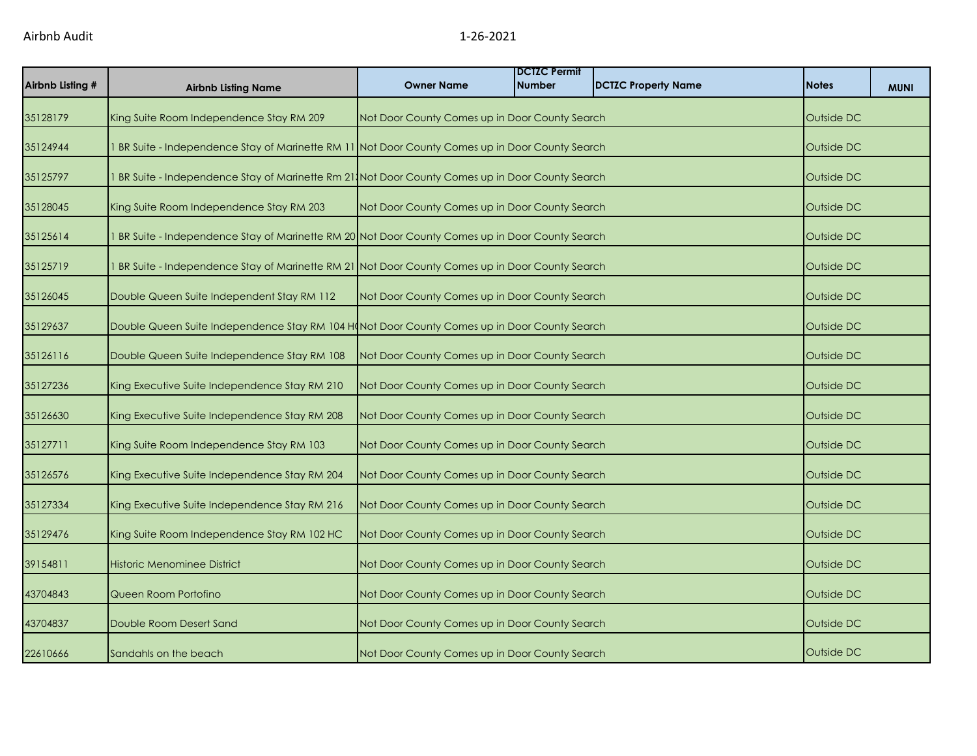| Airbnb Listing # | <b>Airbnb Listing Name</b>                                                                     | <b>Owner Name</b>                              | <b>DCTZC Permit</b><br><b>Number</b> | <b>DCTZC Property Name</b> | <b>Notes</b> | <b>MUNI</b> |
|------------------|------------------------------------------------------------------------------------------------|------------------------------------------------|--------------------------------------|----------------------------|--------------|-------------|
| 35128179         | King Suite Room Independence Stay RM 209                                                       | Not Door County Comes up in Door County Search |                                      |                            | Outside DC   |             |
| 35124944         | BR Suite - Independence Stay of Marinette RM 11 Not Door County Comes up in Door County Search |                                                |                                      |                            | Outside DC   |             |
| 35125797         | BR Suite - Independence Stay of Marinette Rm 21 Not Door County Comes up in Door County Search |                                                |                                      |                            | Outside DC   |             |
| 35128045         | King Suite Room Independence Stay RM 203                                                       | Not Door County Comes up in Door County Search |                                      |                            | Outside DC   |             |
| 35125614         | BR Suite - Independence Stay of Marinette RM 20 Not Door County Comes up in Door County Search |                                                |                                      |                            | Outside DC   |             |
| 35125719         | BR Suite - Independence Stay of Marinette RM 21 Not Door County Comes up in Door County Search |                                                |                                      |                            | Outside DC   |             |
| 35126045         | Double Queen Suite Independent Stay RM 112                                                     | Not Door County Comes up in Door County Search |                                      |                            | Outside DC   |             |
| 35129637         | Double Queen Suite Independence Stay RM 104 H(Not Door County Comes up in Door County Search   |                                                |                                      |                            | Outside DC   |             |
| 35126116         | Double Queen Suite Independence Stay RM 108                                                    | Not Door County Comes up in Door County Search |                                      |                            | Outside DC   |             |
| 35127236         | King Executive Suite Independence Stay RM 210                                                  | Not Door County Comes up in Door County Search |                                      |                            | Outside DC   |             |
| 35126630         | King Executive Suite Independence Stay RM 208                                                  | Not Door County Comes up in Door County Search |                                      |                            | Outside DC   |             |
| 35127711         | King Suite Room Independence Stay RM 103                                                       | Not Door County Comes up in Door County Search |                                      |                            | Outside DC   |             |
| 35126576         | King Executive Suite Independence Stay RM 204                                                  | Not Door County Comes up in Door County Search |                                      |                            | Outside DC   |             |
| 35127334         | King Executive Suite Independence Stay RM 216                                                  | Not Door County Comes up in Door County Search |                                      |                            | Outside DC   |             |
| 35129476         | King Suite Room Independence Stay RM 102 HC                                                    | Not Door County Comes up in Door County Search |                                      |                            | Outside DC   |             |
| 39154811         | Historic Menominee District                                                                    | Not Door County Comes up in Door County Search |                                      |                            | Outside DC   |             |
| 43704843         | Queen Room Portofino                                                                           | Not Door County Comes up in Door County Search |                                      |                            | Outside DC   |             |
| 43704837         | Double Room Desert Sand                                                                        | Not Door County Comes up in Door County Search |                                      |                            | Outside DC   |             |
| 22610666         | Sandahls on the beach                                                                          | Not Door County Comes up in Door County Search |                                      |                            | Outside DC   |             |